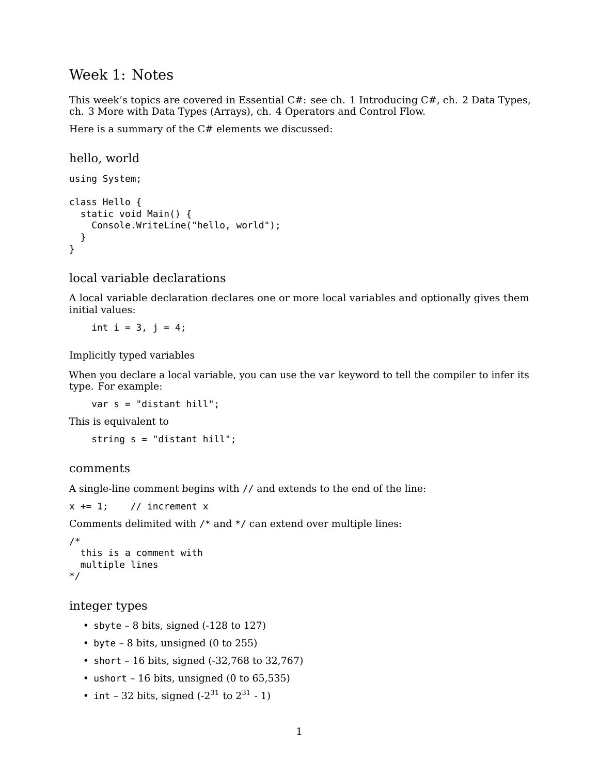## Week 1: Notes

This week's topics are covered in [Essential C#:](https://www.pearson.com/us/higher-education/program/Michaelis-Essential-C-7-0-6th-Edition/PGM1654205.html) see ch. 1 Introducing C#, ch. 2 Data Types, ch. 3 More with Data Types (Arrays), ch. 4 Operators and Control Flow.

Here is a summary of the C# elements we discussed:

```
hello, world
using System;
class Hello {
  static void Main() {
    Console.WriteLine("hello, world");
  }
}
```
local variable declarations

A local variable declaration declares one or more local variables and optionally gives them initial values:

int  $i = 3$ ,  $j = 4$ ;

Implicitly typed variables

When you declare a local variable, you can use the var keyword to tell the compiler to infer its type. For example:

var s = "distant hill";

This is equivalent to

string s = "distant hill";

### comments

A single-line comment begins with // and extends to the end of the line:

```
x \leftarrow 1; // increment x
```
Comments delimited with /\* and \*/ can extend over multiple lines:

```
/*
 this is a comment with
 multiple lines
*/
```

```
integer types
```
- sbyte  $-8$  bits, signed ( $-128$  to 127)
- byte  $-8$  bits, unsigned (0 to 255)
- short 16 bits, signed (-32,768 to 32,767)
- ushort 16 bits, unsigned (0 to 65,535)
- int 32 bits, signed  $(-2^{31} \text{ to } 2^{31} 1)$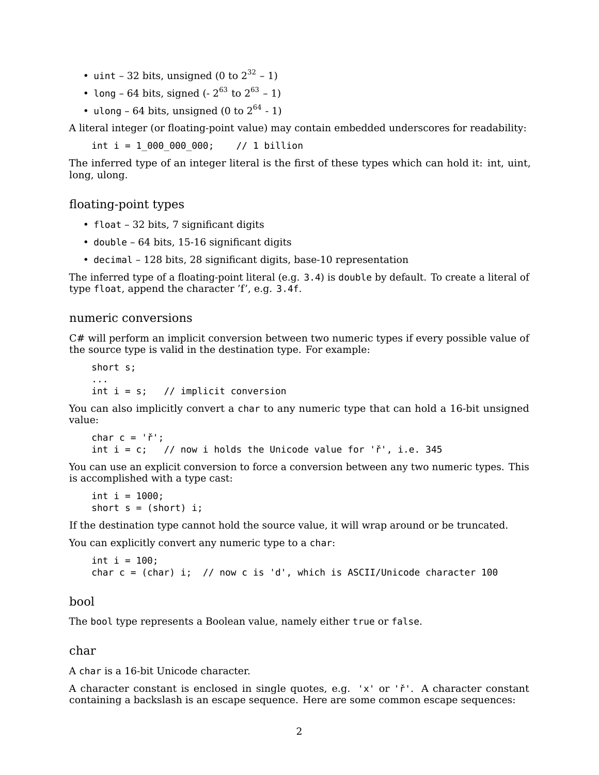- uint 32 bits, unsigned (0 to  $2^{32}$  1)
- long 64 bits, signed  $(-2^{63} \text{ to } 2^{63} 1)$
- ulong 64 bits, unsigned (0 to  $2^{64}$  1)

A literal integer (or floating-point value) may contain embedded underscores for readability:

int  $i = 1$  000 000 000; // 1 billion

The inferred type of an integer literal is the first of these types which can hold it: int, uint, long, ulong.

### floating-point types

- float 32 bits, 7 significant digits
- double 64 bits, 15-16 significant digits
- decimal 128 bits, 28 significant digits, base-10 representation

The inferred type of a floating-point literal (e.g. 3.4) is double by default. To create a literal of type float, append the character 'f', e.g. 3.4f.

## numeric conversions

C# will perform an implicit conversion between two numeric types if every possible value of the source type is valid in the destination type. For example:

short s; ... int  $i = s$ ; // implicit conversion

You can also implicitly convert a char to any numeric type that can hold a 16-bit unsigned value:

```
char c = 'r';
int i = c; // now i holds the Unicode value for i^*, i.e. 345
```
You can use an explicit conversion to force a conversion between any two numeric types. This is accomplished with a type cast:

```
int i = 1000;
short s = (short) i;
```
If the destination type cannot hold the source value, it will wrap around or be truncated.

You can explicitly convert any numeric type to a char:

```
int i = 100;
char c = (char) i; // now c is 'd', which is ASCII/Unicode character 100
```
#### bool

The bool type represents a Boolean value, namely either true or false.

char

A char is a 16-bit Unicode character.

A character constant is enclosed in single quotes, e.g. 'x' or 'ř'. A character constant containing a backslash is an escape sequence. Here are some common escape sequences: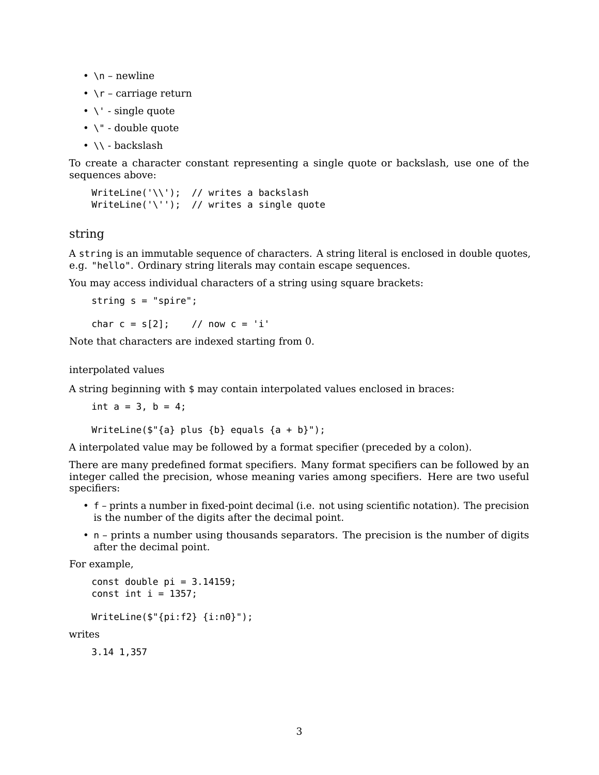- $\n\rightharpoonup$  n newline
- $\Gamma$  carriage return
- $\bullet \backslash \prime$  single quote
- \" double quote
- $\bullet \ \backslash \setminus$  backslash

To create a character constant representing a single quote or backslash, use one of the sequences above:

```
WriteLine('\\'); // writes a backslash
WriteLine('\''); // writes a single quote
```
### string

A string is an immutable sequence of characters. A string literal is enclosed in double quotes, e.g. "hello". Ordinary string literals may contain escape sequences.

You may access individual characters of a string using square brackets:

```
string s = "spire";
```
char  $c = s[2]$ ; // now  $c = 'i'$ 

Note that characters are indexed starting from 0.

interpolated values

A string beginning with \$ may contain interpolated values enclosed in braces:

int  $a = 3$ ,  $b = 4$ ;

```
WriteLine(\{\"{a} plus {b} equals {a + b}");
```
A interpolated value may be followed by a format specifier (preceded by a colon).

There are many predefined format specifiers. Many format specifiers can be followed by an integer called the precision, whose meaning varies among specifiers. Here are two useful specifiers:

- f prints a number in fixed-point decimal (i.e. not using scientific notation). The precision is the number of the digits after the decimal point.
- n prints a number using thousands separators. The precision is the number of digits after the decimal point.

For example,

```
const double pi = 3.14159;
const int i = 1357;
```

```
WriteLine($"{pi:f2} {i:n0}");
```
writes

3.14 1,357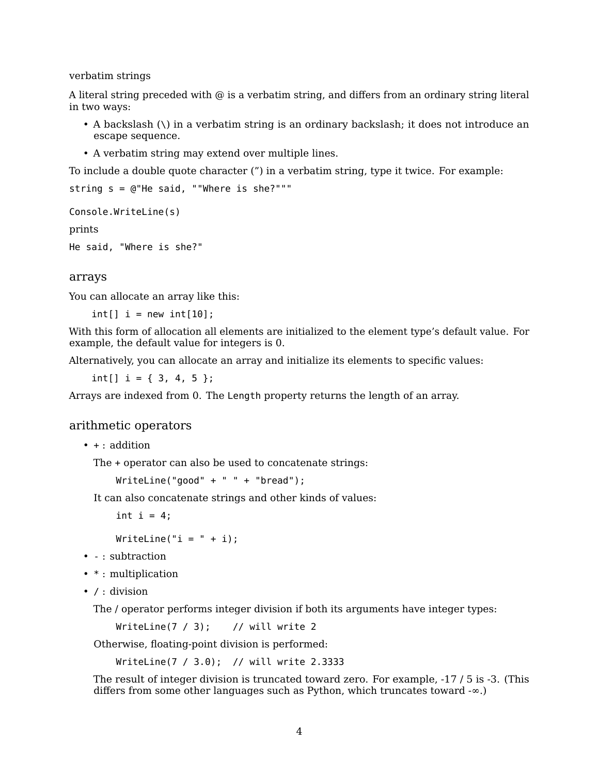verbatim strings

A literal string preceded with  $\omega$  is a verbatim string, and differs from an ordinary string literal in two ways:

- A backslash (\) in a verbatim string is an ordinary backslash; it does not introduce an escape sequence.
- A verbatim string may extend over multiple lines.

To include a double quote character (") in a verbatim string, type it twice. For example:

```
string s = @"He said, ""Where is she?"""
```

```
Console.WriteLine(s)
```
prints

```
He said, "Where is she?"
```
### arrays

You can allocate an array like this:

 $int[] i = new int[10];$ 

With this form of allocation all elements are initialized to the element type's default value. For example, the default value for integers is 0.

Alternatively, you can allocate an array and initialize its elements to specific values:

int[]  $i = \{3, 4, 5\};$ 

Arrays are indexed from 0. The Length property returns the length of an array.

### arithmetic operators

```
\bullet + : addition
```
The + operator can also be used to concatenate strings:

 $WriteLine("good" + " " + "break")$ ;

It can also concatenate strings and other kinds of values:

int  $i = 4$ ;

WriteLine(" $i = " + i$ );

- - : subtraction
- \* : multiplication
- / : division

The / operator performs integer division if both its arguments have integer types:

WriteLine( $7 / 3$ ); // will write 2

Otherwise, floating-point division is performed:

WriteLine(7 / 3.0); // will write 2.3333

The result of integer division is truncated toward zero. For example, -17 / 5 is -3. (This differs from some other languages such as Python, which truncates toward -∞.)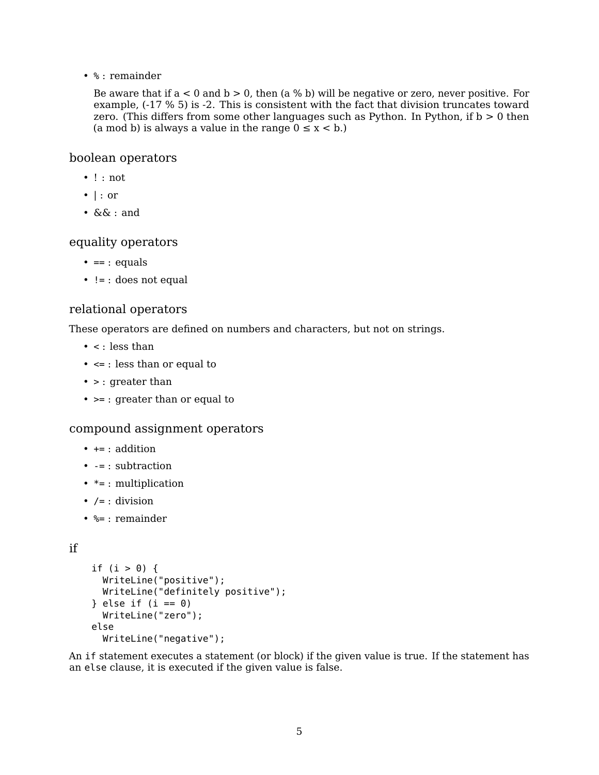• % : remainder

Be aware that if  $a < 0$  and  $b > 0$ , then  $(a *%* b)$  will be negative or zero, never positive. For example, (-17 % 5) is -2. This is consistent with the fact that division truncates toward zero. (This differs from some other languages such as Python. In Python, if  $b > 0$  then (a mod b) is always a value in the range  $0 \le x < b$ .)

## boolean operators

- ! : not
- | : or
- && : and

## equality operators

- $\bullet$  == : equals
- != : does not equal

## relational operators

These operators are defined on numbers and characters, but not on strings.

- $\bullet$  < : less than
- <= : less than or equal to
- > : greater than
- >= : greater than or equal to

## compound assignment operators

- $+ = : addition$
- $\bullet$  -= : subtraction
- $* = : multiplication$
- $\bullet$  /= : division
- %= : remainder

## if

```
if (i > 0) {
 WriteLine("positive");
  WriteLine("definitely positive");
} else if (i == 0)WriteLine("zero");
else
  WriteLine("negative");
```
An if statement executes a statement (or block) if the given value is true. If the statement has an else clause, it is executed if the given value is false.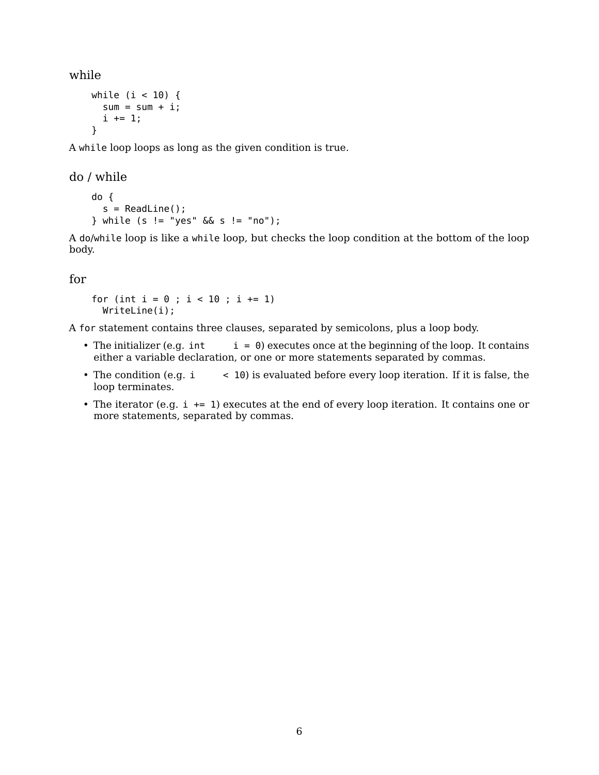while

```
while (i < 10) {
  sum = sum + i;i \neq 1;}
```
A while loop loops as long as the given condition is true.

do / while

```
do {
 s = ReadLine();
} while (s != "yes" && s != "no");
```
A do/while loop is like a while loop, but checks the loop condition at the bottom of the loop body.

for

for (int  $i = 0$ ;  $i < 10$ ;  $i \neq 1$ ) WriteLine(i);

A for statement contains three clauses, separated by semicolons, plus a loop body.

- The initializer (e.g. int  $i = 0$ ) executes once at the beginning of the loop. It contains either a variable declaration, or one or more statements separated by commas.
- The condition (e.g. i  $\leq$  10) is evaluated before every loop iteration. If it is false, the loop terminates.
- The iterator (e.g.  $i \leftarrow 1$ ) executes at the end of every loop iteration. It contains one or more statements, separated by commas.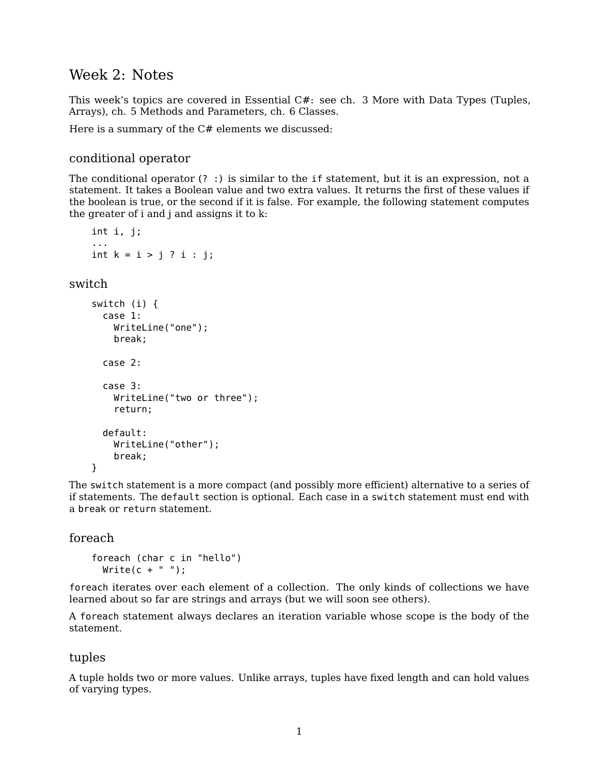# Week 2: Notes

This week's topics are covered in [Essential C#:](https://www.pearson.com/us/higher-education/program/Michaelis-Essential-C-7-0-6th-Edition/PGM1654205.html) see ch. 3 More with Data Types (Tuples, Arrays), ch. 5 Methods and Parameters, ch. 6 Classes.

Here is a summary of the  $C#$  elements we discussed:

## conditional operator

The conditional operator (? :) is similar to the if statement, but it is an expression, not a statement. It takes a Boolean value and two extra values. It returns the first of these values if the boolean is true, or the second if it is false. For example, the following statement computes the greater of i and j and assigns it to k:

```
int i, j;
...
int k = i > j ? i : j;
```
## switch

```
switch (i) {
  case 1:
    WriteLine("one");
    break;
  case 2:
  case 3:
    WriteLine("two or three");
    return;
  default:
    WriteLine("other");
    break;
```
The switch statement is a more compact (and possibly more efficient) alternative to a series of if statements. The default section is optional. Each case in a switch statement must end with a break or return statement.

## foreach

}

```
foreach (char c in "hello")
 Write(c + " ");
```
foreach iterates over each element of a collection. The only kinds of collections we have learned about so far are strings and arrays (but we will soon see others).

A foreach statement always declares an iteration variable whose scope is the body of the statement.

## tuples

A tuple holds two or more values. Unlike arrays, tuples have fixed length and can hold values of varying types.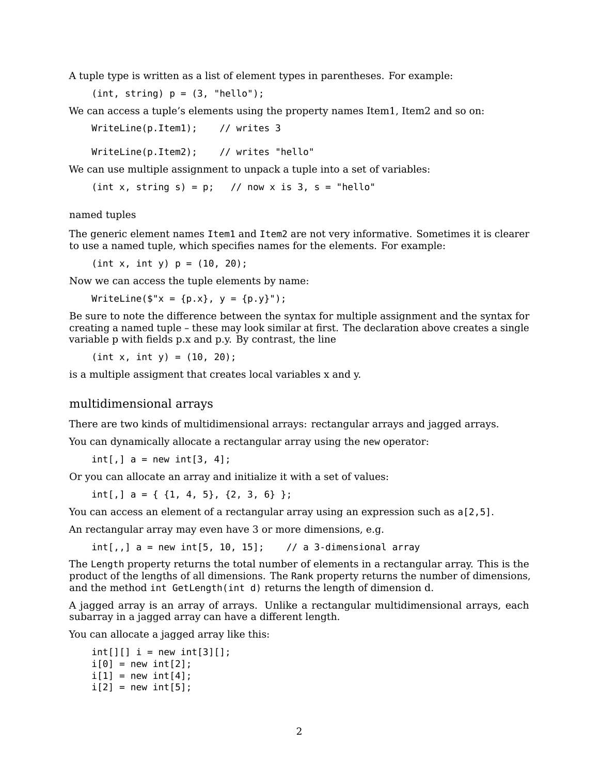A tuple type is written as a list of element types in parentheses. For example:

 $(int, string) p = (3, "hello");$ 

We can access a tuple's elements using the property names Item1, Item2 and so on:

WriteLine(p.Item1); // writes 3

WriteLine(p.Item2); // writes "hello"

We can use multiple assignment to unpack a tuple into a set of variables:

(int x, string s) =  $p$ ; // now x is 3, s = "hello"

named tuples

The generic element names Item1 and Item2 are not very informative. Sometimes it is clearer to use a named tuple, which specifies names for the elements. For example:

 $(int x, int y) p = (10, 20);$ 

Now we can access the tuple elements by name:

WriteLine( $\frac{1}{2}$ "x = {p.x}, y = {p.y}");

Be sure to note the difference between the syntax for multiple assignment and the syntax for creating a named tuple – these may look similar at first. The declaration above creates a single variable p with fields p.x and p.y. By contrast, the line

 $(int x, int y) = (10, 20);$ 

is a multiple assigment that creates local variables x and y.

### multidimensional arrays

There are two kinds of multidimensional arrays: rectangular arrays and jagged arrays.

You can dynamically allocate a rectangular array using the new operator:

int[,]  $a = new int[3, 4];$ 

Or you can allocate an array and initialize it with a set of values:

int[,]  $a = \{ \{1, 4, 5\}, \{2, 3, 6\} \};$ 

You can access an element of a rectangular array using an expression such as  $a[2,5]$ .

An rectangular array may even have 3 or more dimensions, e.g.

 $int[,$ ,  $]$  a = new  $int[5, 10, 15];$  // a 3-dimensional array

The Length property returns the total number of elements in a rectangular array. This is the product of the lengths of all dimensions. The Rank property returns the number of dimensions, and the method int GetLength(int d) returns the length of dimension d.

A jagged array is an array of arrays. Unlike a rectangular multidimensional arrays, each subarray in a jagged array can have a different length.

You can allocate a jagged array like this:

```
int[] i = new int[3][];
i[0] = new int[2];
i[1] = new int[4];
i[2] = new int[5];
```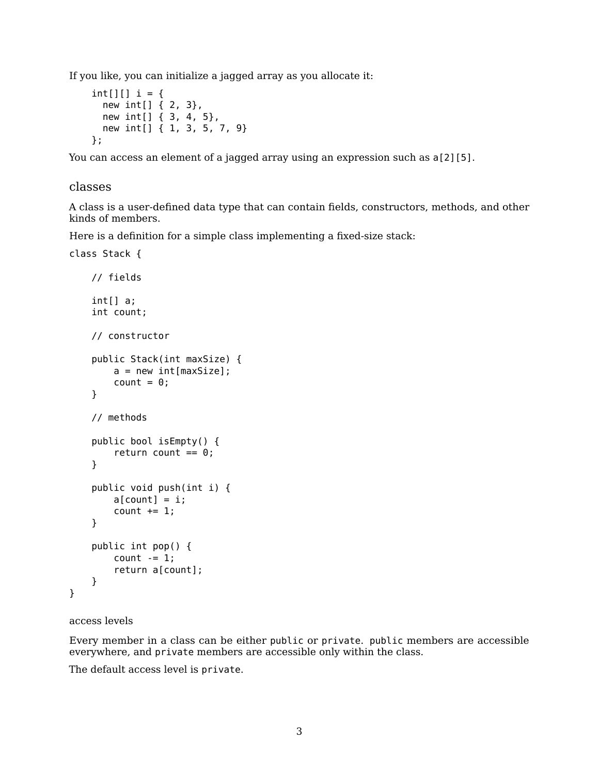If you like, you can initialize a jagged array as you allocate it:

```
int[][] i = \{new int[] { 2, 3},
  new int[] { 3, 4, 5},
  new int[] { 1, 3, 5, 7, 9}
};
```
You can access an element of a jagged array using an expression such as  $a[2][5]$ .

### classes

A class is a user-defined data type that can contain fields, constructors, methods, and other kinds of members.

Here is a definition for a simple class implementing a fixed-size stack:

```
class Stack {
   // fields
    int[] a;
    int count;
   // constructor
   public Stack(int maxSize) {
        a = new int(maxSize;
        count = 0;}
   // methods
   public bool isEmpty() {
        return count == 0;}
    public void push(int i) {
        a[count] = i;count += 1;}
    public int pop() {
        count - = 1;
        return a[count];
    }
```
## access levels

}

Every member in a class can be either public or private. public members are accessible everywhere, and private members are accessible only within the class.

The default access level is private.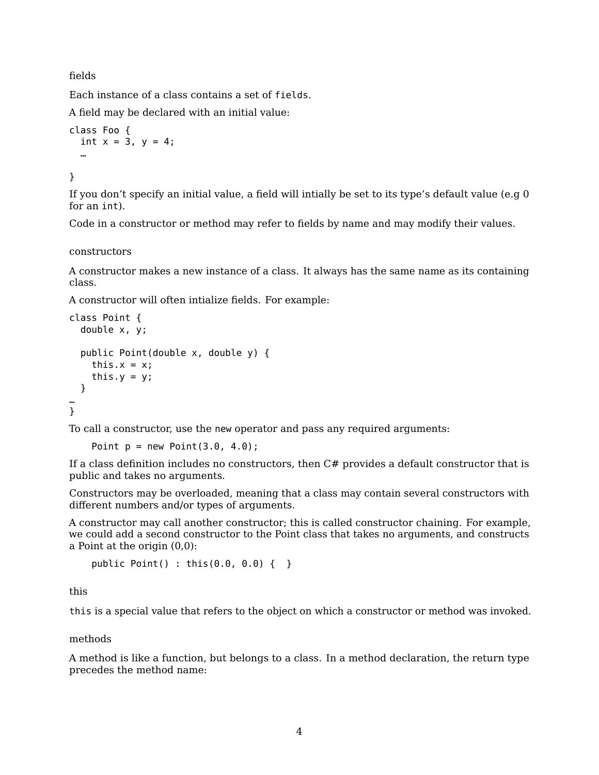fields

Each instance of a class contains a set of fields.

A field may be declared with an initial value:

```
class Foo {
 int x = 3, y = 4;
  …
```
}

If you don't specify an initial value, a field will intially be set to its type's default value (e.g 0 for an int).

Code in a constructor or method may refer to fields by name and may modify their values.

constructors

A constructor makes a new instance of a class. It always has the same name as its containing class.

A constructor will often intialize fields. For example:

```
class Point {
  double x, y;
  public Point(double x, double y) {
    this.x = x;this.y = y;
  }
…
}
```
To call a constructor, use the new operator and pass any required arguments:

Point  $p = new Point(3.0, 4.0);$ 

If a class definition includes no constructors, then C# provides a default constructor that is public and takes no arguments.

Constructors may be overloaded, meaning that a class may contain several constructors with different numbers and/or types of arguments.

A constructor may call another constructor; this is called constructor chaining. For example, we could add a second constructor to the Point class that takes no arguments, and constructs a Point at the origin (0,0):

public Point() : this(0.0, 0.0) { }

this

this is a special value that refers to the object on which a constructor or method was invoked.

methods

A method is like a function, but belongs to a class. In a method declaration, the return type precedes the method name: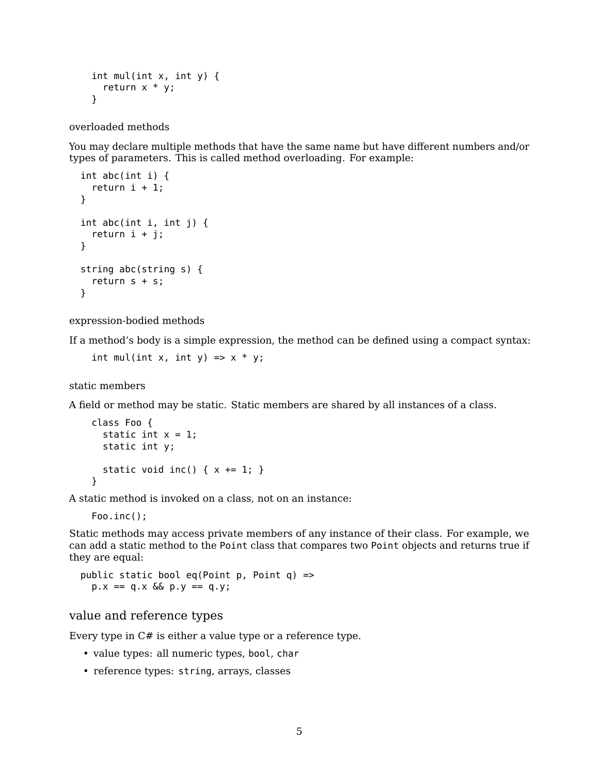```
int mul(int x, int y) {
 return x * y;
}
```
overloaded methods

You may declare multiple methods that have the same name but have different numbers and/or types of parameters. This is called method overloading. For example:

```
int abc(int i) {
  return i + 1;
}
int abc(int i, int j) {
  return i + j;
}
string abc(string s) {
 return s + s;
}
```
expression-bodied methods

If a method's body is a simple expression, the method can be defined using a compact syntax:

int mul(int x, int y) =>  $x * y$ ;

static members

A field or method may be static. Static members are shared by all instances of a class.

```
class Foo {
  static int x = 1;
  static int y;
  static void inc() \{ x \leftarrow 1; \}}
```
A static method is invoked on a class, not on an instance:

Foo.inc();

Static methods may access private members of any instance of their class. For example, we can add a static method to the Point class that compares two Point objects and returns true if they are equal:

public static bool eq(Point p, Point q) =>  $p.x == q.x & Qx y == q.y;$ 

## value and reference types

Every type in C# is either a value type or a reference type.

- value types: all numeric types, bool, char
- reference types: string, arrays, classes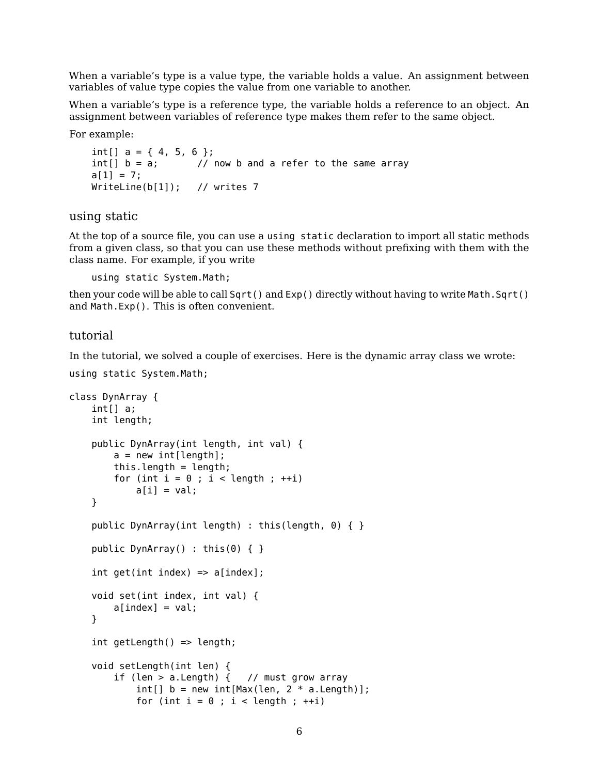When a variable's type is a value type, the variable holds a value. An assignment between variables of value type copies the value from one variable to another.

When a variable's type is a reference type, the variable holds a reference to an object. An assignment between variables of reference type makes them refer to the same object.

For example:

```
int[] a = \{4, 5, 6\};
int[] b = a; // now b and a refer to the same array
a[1] = 7;WriteLine(b[1]); // writes 7
```
using static

At the top of a source file, you can use a using static declaration to import all static methods from a given class, so that you can use these methods without prefixing with them with the class name. For example, if you write

using static System.Math;

then your code will be able to call Sqrt() and  $Exp()$  directly without having to write Math.Sqrt() and Math.Exp(). This is often convenient.

### tutorial

In the tutorial, we solved a couple of [exercises.](https://ksvi.mff.cuni.cz/~dingle/2019-20/prog_2/exercises_2.html) Here is the dynamic array class we wrote:

```
using static System.Math;
```

```
class DynArray {
    int[] a;
    int length;
    public DynArray(int length, int val) {
        a = new int[length];this.length = length;
        for (int i = 0; i < length; ++i)
            a[i] = val;}
    public DynArray(int length) : this(length, 0) { }
    public DynArray() : this(0) { }
    int get(int index) \Rightarrow a[index];void set(int index, int val) {
        a[index] = val;
    }
    int getLength() \Rightarrow length;void setLength(int len) {
        if (len > a.Length) \{ // must grow array
            int[] b = new int[Max(len, 2 * a.length)];for (int i = 0; i < length; ++i)
```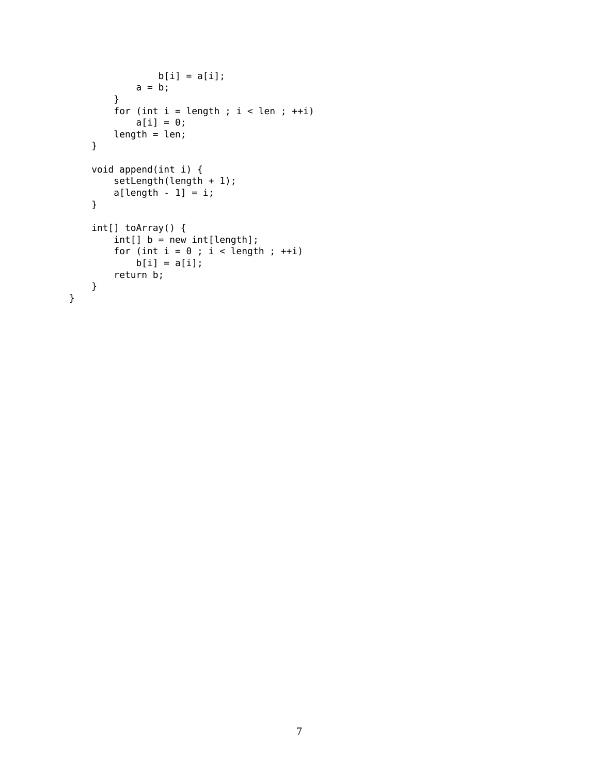```
b[i] = a[i];a = b;}
   for (int i = length; i < len; i+i)
       a[i] = 0;length = len;}
void append(int i) {
    setLength(length + 1);
    a[length - 1] = i;}
int[] toArray() {
    int[] b = new int[length];for (int i = 0; i < length; ++i)
       b[i] = a[i];return b;
}
```
}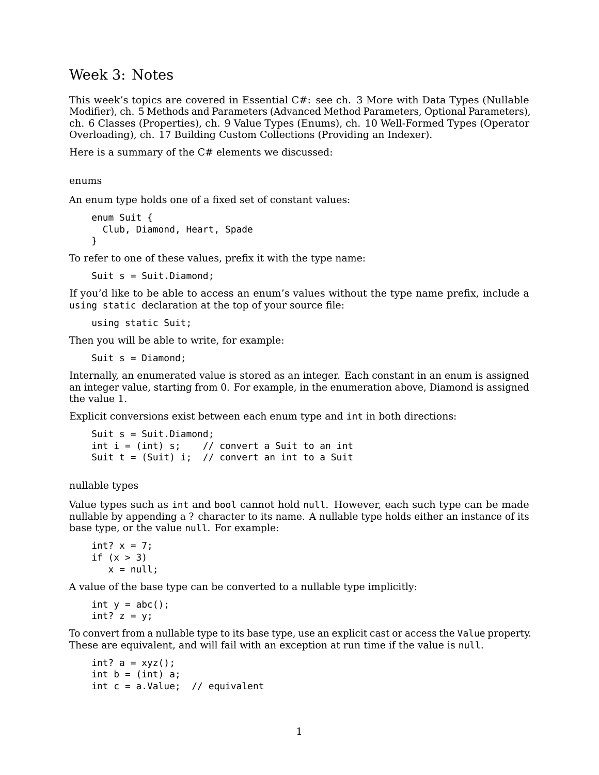## Week 3: Notes

This week's topics are covered in [Essential C#:](https://www.pearson.com/us/higher-education/program/Michaelis-Essential-C-7-0-6th-Edition/PGM1654205.html) see ch. 3 More with Data Types (Nullable Modifier), ch. 5 Methods and Parameters (Advanced Method Parameters, Optional Parameters), ch. 6 Classes (Properties), ch. 9 Value Types (Enums), ch. 10 Well-Formed Types (Operator Overloading), ch. 17 Building Custom Collections (Providing an Indexer).

Here is a summary of the C# elements we discussed:

enums

An enum type holds one of a fixed set of constant values:

```
enum Suit {
  Club, Diamond, Heart, Spade
}
```
To refer to one of these values, prefix it with the type name:

Suit s = Suit.Diamond;

If you'd like to be able to access an enum's values without the type name prefix, include a using static declaration at the top of your source file:

using static Suit;

Then you will be able to write, for example:

Suit s = Diamond;

Internally, an enumerated value is stored as an integer. Each constant in an enum is assigned an integer value, starting from 0. For example, in the enumeration above, Diamond is assigned the value 1.

Explicit conversions exist between each enum type and int in both directions:

```
Suit s = Suit.Diamond;
int i = (int) s; // convert a Suit to an int
Suit t = (Suit) i; // convert an int to a Suit
```
nullable types

Value types such as int and bool cannot hold null. However, each such type can be made nullable by appending a ? character to its name. A nullable type holds either an instance of its base type, or the value null. For example:

```
int? x = 7:
if (x > 3)x = null:
```
A value of the base type can be converted to a nullable type implicitly:

int  $y = abc()$ ; int?  $z = y$ ;

To convert from a nullable type to its base type, use an explicit cast or access the Value property. These are equivalent, and will fail with an exception at run time if the value is null.

```
int? a = xyz();
int b = (int) a;int c = a.Value; // equivalent
```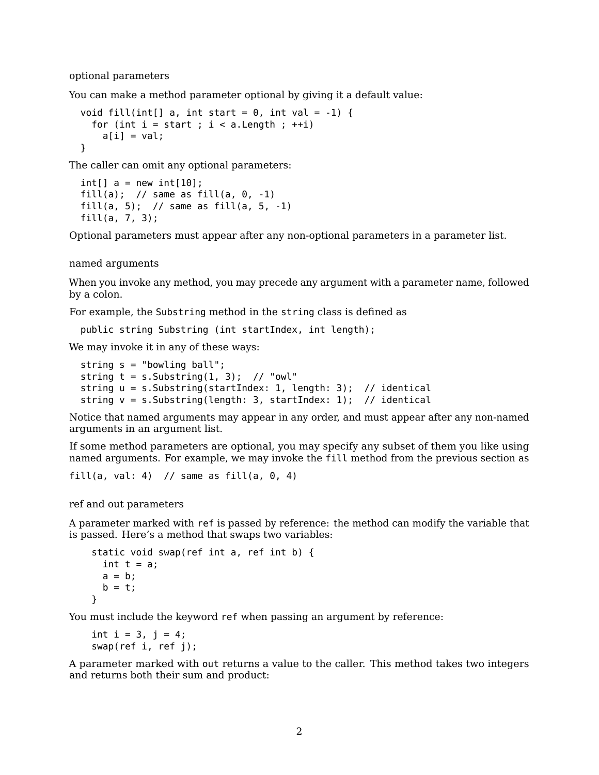optional parameters

You can make a method parameter optional by giving it a default value:

```
void fill(int[] a, int start = 0, int val = -1) {
 for (int i = start; i < a. Length; ++i)
   a[i] = val;}
```
The caller can omit any optional parameters:

```
int[] a = new int[10];
fill(a); // same as fill(a, \theta, -1)
fill(a, 5); // same as fill(a, 5, -1)fill(a, 7, 3);
```
Optional parameters must appear after any non-optional parameters in a parameter list.

named arguments

When you invoke any method, you may precede any argument with a parameter name, followed by a colon.

For example, the Substring method in the string class is defined as

```
public string Substring (int startIndex, int length);
```
We may invoke it in any of these ways:

```
string s = "bowling ball";
string t = s.Substring(1, 3); // "owl"
string u = s.Substring(startIndex: 1, length: 3); // identical
string v = s.Substring(lenqth: 3, startIndex: 1); // identical
```
Notice that named arguments may appear in any order, and must appear after any non-named arguments in an argument list.

If some method parameters are optional, you may specify any subset of them you like using named arguments. For example, we may invoke the fill method from the previous section as

```
fill(a, val: 4) // same as fill(a, 0, 4)
```
ref and out parameters

A parameter marked with ref is passed by reference: the method can modify the variable that is passed. Here's a method that swaps two variables:

```
static void swap(ref int a, ref int b) {
  int t = a;
 a = b;
 b = t;
}
```
You must include the keyword ref when passing an argument by reference:

```
int i = 3, j = 4;
swap(ref i, ref j);
```
A parameter marked with out returns a value to the caller. This method takes two integers and returns both their sum and product: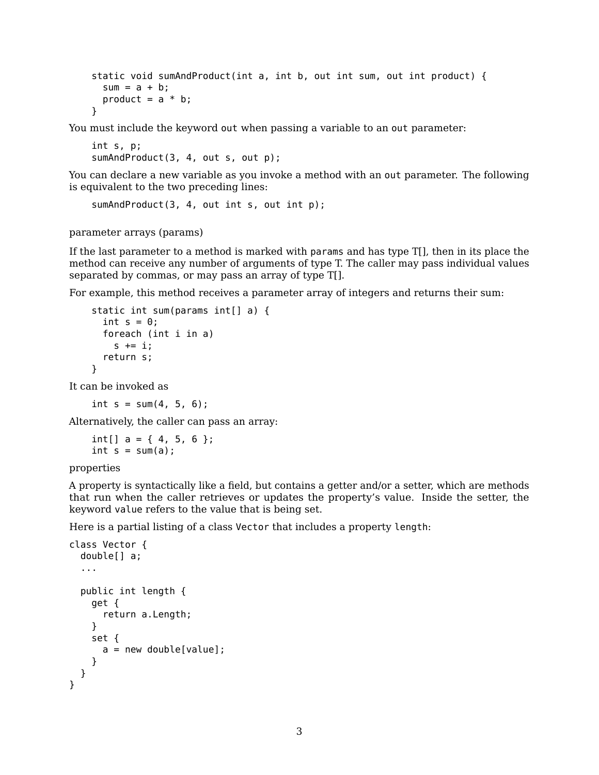```
static void sumAndProduct(int a, int b, out int sum, out int product) {
  sum = a + b;
  product = a * b;
}
```
You must include the keyword out when passing a variable to an out parameter:

```
int s, p;
sumAndProduct(3, 4, out s, out p);
```
You can declare a new variable as you invoke a method with an out parameter. The following is equivalent to the two preceding lines:

```
sumAndProduct(3, 4, out int s, out int p);
```
parameter arrays (params)

If the last parameter to a method is marked with params and has type T[], then in its place the method can receive any number of arguments of type T. The caller may pass individual values separated by commas, or may pass an array of type T[].

For example, this method receives a parameter array of integers and returns their sum:

```
static int sum(params int[] a) {
  int s = 0;
  foreach (int i in a)
    s += i;
  return s;
}
```
It can be invoked as

int  $s = sum(4, 5, 6)$ ;

Alternatively, the caller can pass an array:

```
int[] a = \{4, 5, 6\};int s = sum(a);
```
properties

A property is syntactically like a field, but contains a getter and/or a setter, which are methods that run when the caller retrieves or updates the property's value. Inside the setter, the keyword value refers to the value that is being set.

Here is a partial listing of a class Vector that includes a property length:

```
class Vector {
 double[] a;
  ...
  public int length {
    get {
      return a.Length;
    }
    set {
      a = new double[value];}
 }
}
```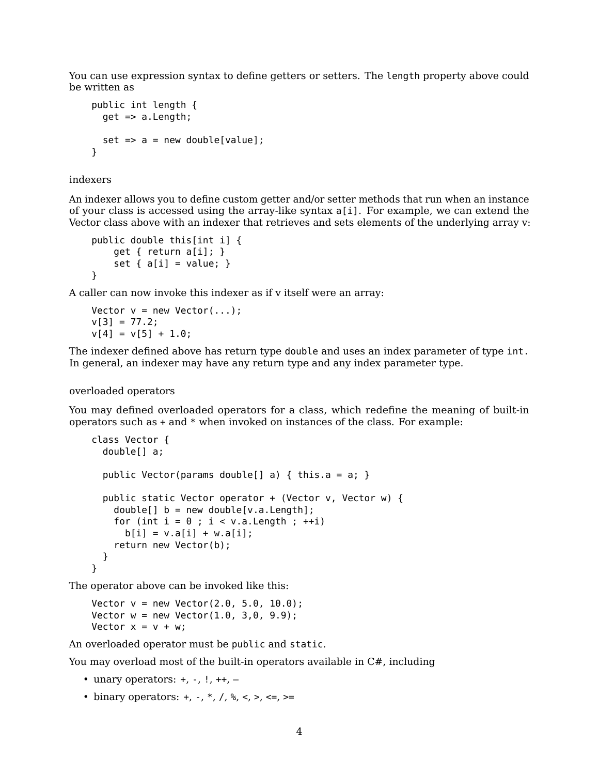You can use expression syntax to define getters or setters. The length property above could be written as

```
public int length {
  get => a.Length;
  set \Rightarrow a = new double[value];}
```
indexers

An indexer allows you to define custom getter and/or setter methods that run when an instance of your class is accessed using the array-like syntax a[i]. For example, we can extend the Vector class above with an indexer that retrieves and sets elements of the underlying array v:

```
public double this[int i] {
    get { return a[i]; }
    set { a[i] = value; }
}
```
A caller can now invoke this indexer as if v itself were an array:

```
Vector v = new Vector(...);v[3] = 77.2;v[4] = v[5] + 1.0;
```
The indexer defined above has return type double and uses an index parameter of type int. In general, an indexer may have any return type and any index parameter type.

#### overloaded operators

You may defined overloaded operators for a class, which redefine the meaning of built-in operators such as + and \* when invoked on instances of the class. For example:

```
class Vector {
 double[] a;
 public Vector(params double[] a) { this.a = a; }
 public static Vector operator + (Vector v, Vector w) {
   double[] b = new double[v.a.Length];for (int i = 0; i < v.a.Length; ++i)
     b[i] = v.a[i] + w.a[i];return new Vector(b);
 }
}
```
The operator above can be invoked like this:

```
Vector v = new Vector(2.0, 5.0, 10.0);Vector w = new Vector(1.0, 3, 0, 9.9);
Vector x = v + w;
```
An overloaded operator must be public and static.

You may overload most of the built-in operators available in  $C#$ , including

- unary operators:  $+, -, !, ++, -$
- binary operators:  $+, -, *, /, %$ ,  $\lt$ ,  $\lt$ =,  $\gt$ =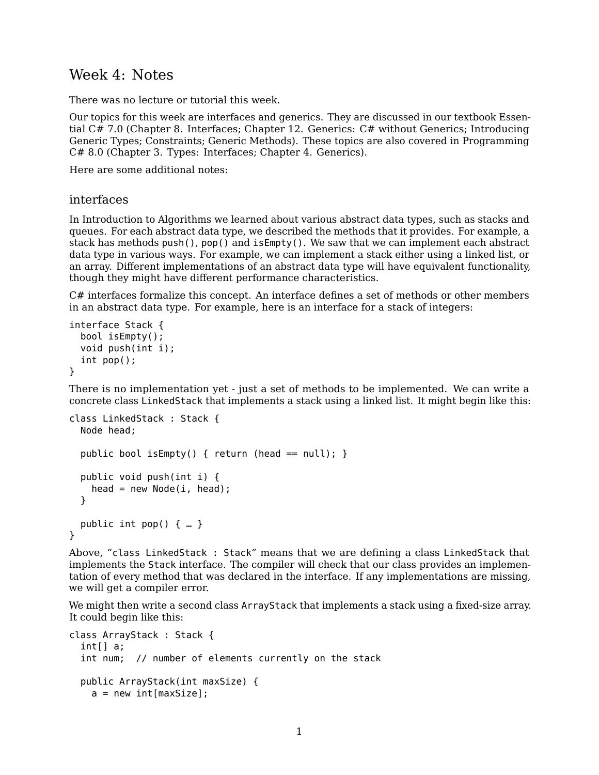## Week 4: Notes

There was no lecture or tutorial this week.

Our topics for this week are interfaces and generics. They are discussed in our textbook [Essen](https://www.pearson.com/us/higher-education/program/Michaelis-Essential-C-7-0-6th-Edition/PGM1654205.html)[tial C# 7.0](https://www.pearson.com/us/higher-education/program/Michaelis-Essential-C-7-0-6th-Edition/PGM1654205.html) (Chapter 8. Interfaces; Chapter 12. Generics: C# without Generics; Introducing Generic Types; Constraints; Generic Methods). These topics are also covered in [Programming](https://www.oreilly.com/library/view/programming-c-80/9781492056805/) [C# 8.0](https://www.oreilly.com/library/view/programming-c-80/9781492056805/) (Chapter 3. Types: Interfaces; Chapter 4. Generics).

Here are some additional notes:

### interfaces

In Introduction to Algorithms we learned about various abstract data types, such as stacks and queues. For each abstract data type, we described the methods that it provides. For example, a stack has methods push(), pop() and isEmpty(). We saw that we can implement each abstract data type in various ways. For example, we can implement a stack either using a linked list, or an array. Different implementations of an abstract data type will have equivalent functionality, though they might have different performance characteristics.

C# interfaces formalize this concept. An interface defines a set of methods or other members in an abstract data type. For example, here is an interface for a stack of integers:

```
interface Stack {
  bool isEmpty();
  void push(int i);
  int pop();
}
```
There is no implementation yet - just a set of methods to be implemented. We can write a concrete class LinkedStack that implements a stack using a linked list. It might begin like this:

```
class LinkedStack : Stack {
  Node head;
  public bool isEmpty() { return (head == null); }
  public void push(int i) {
   head = new Node(i, head);
  }
 public int pop() { … }
}
```
Above, "class LinkedStack : Stack" means that we are defining a class LinkedStack that implements the Stack interface. The compiler will check that our class provides an implementation of every method that was declared in the interface. If any implementations are missing, we will get a compiler error.

We might then write a second class ArrayStack that implements a stack using a fixed-size array. It could begin like this:

```
class ArrayStack : Stack {
 int[] a;
 int num; // number of elements currently on the stack
 public ArrayStack(int maxSize) {
   a = new int(maxSize];
```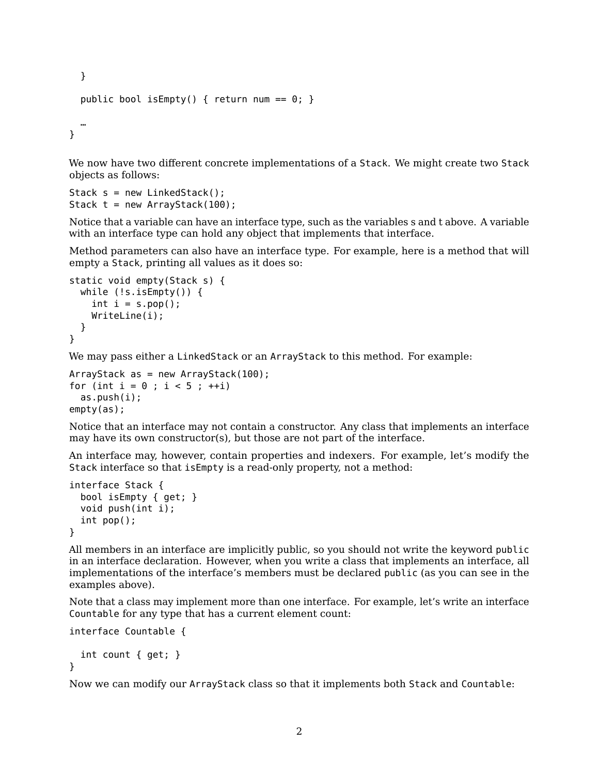```
}
  public bool isEmpty() { return num == 0; }
  …
}
```
We now have two different concrete implementations of a Stack. We might create two Stack objects as follows:

```
Stack s = new LinkedStack();
Stack t = new ArrayStack(100);
```
Notice that a variable can have an interface type, such as the variables s and t above. A variable with an interface type can hold any object that implements that interface.

Method parameters can also have an interface type. For example, here is a method that will empty a Stack, printing all values as it does so:

```
static void empty(Stack s) {
  while (!s.isEmpty()) {
    int i = s.pop();
   WriteLine(i);
 }
}
```
We may pass either a LinkedStack or an ArrayStack to this method. For example:

```
ArrayStack as = new ArrayStack(100);
for (int i = 0; i < 5; +i)
  as.push(i);
empty(as);
```
Notice that an interface may not contain a constructor. Any class that implements an interface may have its own constructor(s), but those are not part of the interface.

An interface may, however, contain properties and indexers. For example, let's modify the Stack interface so that isEmpty is a read-only property, not a method:

```
interface Stack {
  bool isEmpty { get; }
  void push(int i);
  int pop();
}
```
All members in an interface are implicitly public, so you should not write the keyword public in an interface declaration. However, when you write a class that implements an interface, all implementations of the interface's members must be declared public (as you can see in the examples above).

Note that a class may implement more than one interface. For example, let's write an interface Countable for any type that has a current element count:

```
interface Countable {
```

```
int count { get; }
}
```
Now we can modify our ArrayStack class so that it implements both Stack and Countable: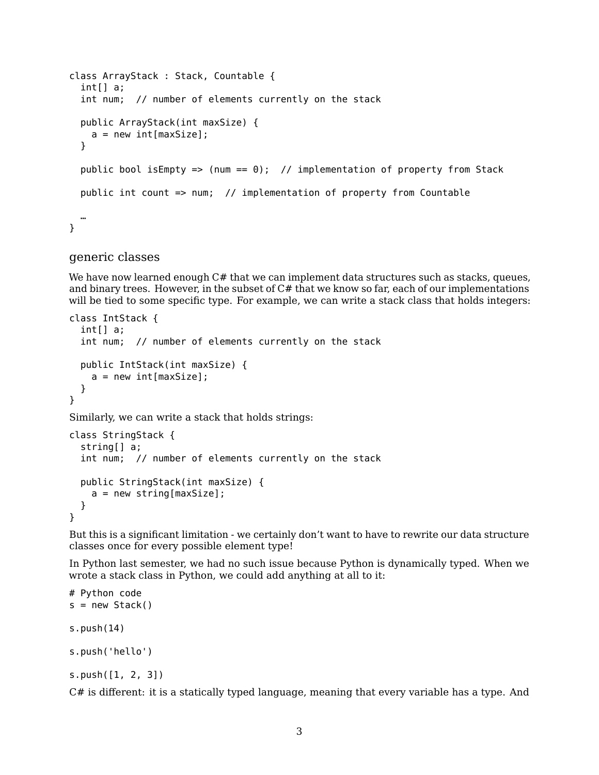```
class ArrayStack : Stack, Countable {
 int[] a;
 int num; // number of elements currently on the stack
 public ArrayStack(int maxSize) {
   a = new int(maxSize;}
 public bool isEmpty => (num == 0); // implementation of property from Stack
 public int count => num; // implementation of property from Countable
  …
}
```
#### generic classes

We have now learned enough C# that we can implement data structures such as stacks, queues, and binary trees. However, in the subset of  $C#$  that we know so far, each of our implementations will be tied to some specific type. For example, we can write a stack class that holds integers:

```
class IntStack {
  int[] a;
  int num; // number of elements currently on the stack
  public IntStack(int maxSize) {
    a = new int(maxSize;
  }
}
```
Similarly, we can write a stack that holds strings:

```
class StringStack {
  string[] a;
  int num; // number of elements currently on the stack
  public StringStack(int maxSize) {
    a = new string[maxSize];
  }
}
```
But this is a significant limitation - we certainly don't want to have to rewrite our data structure classes once for every possible element type!

In Python last semester, we had no such issue because Python is dynamically typed. When we wrote a stack class in Python, we could add anything at all to it:

```
# Python code
s = new Stack()s.push(14)
s.push('hello')
s.push([1, 2, 3])
```
C# is different: it is a statically typed language, meaning that every variable has a type. And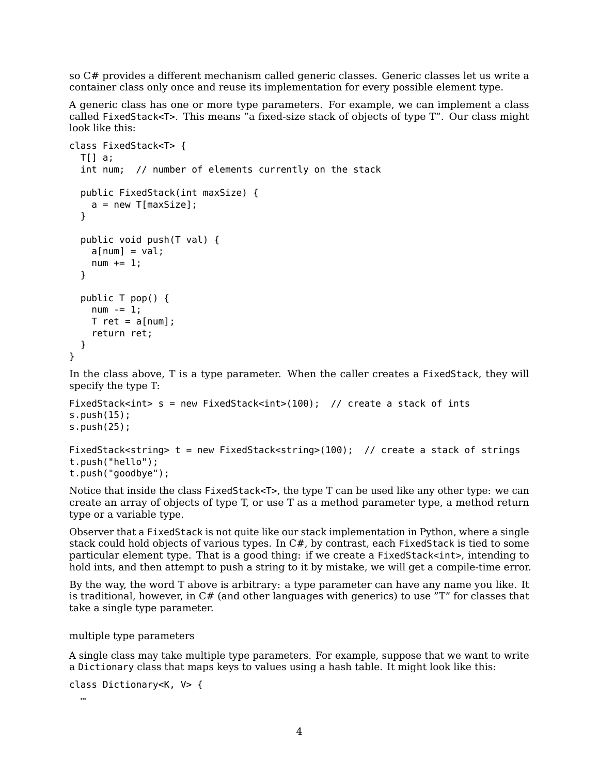so C# provides a different mechanism called generic classes. Generic classes let us write a container class only once and reuse its implementation for every possible element type.

A generic class has one or more type parameters. For example, we can implement a class called FixedStack<T>. This means "a fixed-size stack of objects of type T". Our class might look like this:

```
class FixedStack<T> {
  TI] a;
  int num; // number of elements currently on the stack
  public FixedStack(int maxSize) {
    a = new T(maxSize;
  }
  public void push(T val) {
    a[num] = val;num += 1;}
  public T pop() {
    num - = 1;T ret = a[num];
    return ret;
  }
}
```
In the class above, T is a type parameter. When the caller creates a FixedStack, they will specify the type T:

```
FixedStack<int> s = new FixedStack<int>(100); // create a stack of ints
s.push(15);
s.push(25);
```

```
FixedStack<string> t = new FixedStack<string>(100); // create a stack of strings
t.push("hello");
t.push("goodbye");
```
Notice that inside the class FixedStack<T>, the type T can be used like any other type: we can create an array of objects of type T, or use T as a method parameter type, a method return type or a variable type.

Observer that a FixedStack is not quite like our stack implementation in Python, where a single stack could hold objects of various types. In C#, by contrast, each FixedStack is tied to some particular element type. That is a good thing: if we create a FixedStack<int>, intending to hold ints, and then attempt to push a string to it by mistake, we will get a compile-time error.

By the way, the word T above is arbitrary: a type parameter can have any name you like. It is traditional, however, in  $C#$  (and other languages with generics) to use  $T''$  for classes that take a single type parameter.

multiple type parameters

A single class may take multiple type parameters. For example, suppose that we want to write a Dictionary class that maps keys to values using a hash table. It might look like this:

```
class Dictionary<K, V> {
  …
```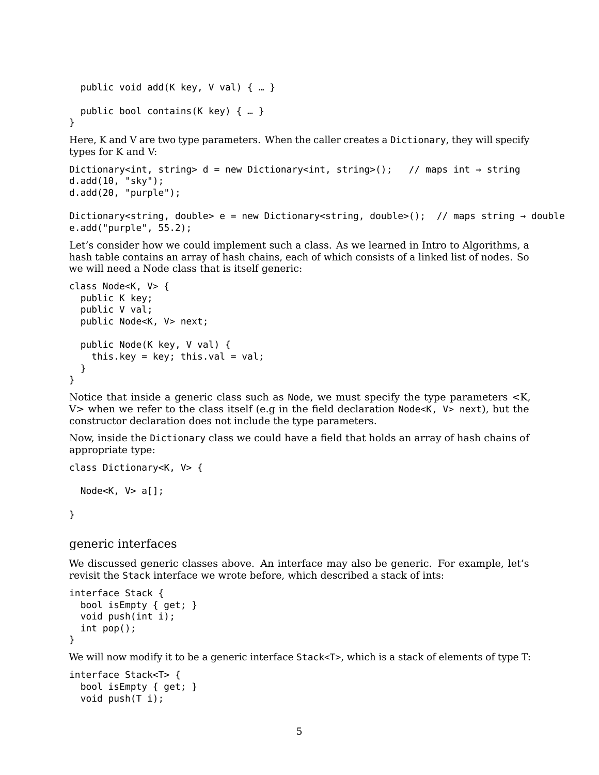```
public void add(K key, V val) { … }
  public bool contains(K key) { … }
}
Here, K and V are two type parameters. When the caller creates a Dictionary, they will specify
types for K and V:
Dictionary<int, string> d = new Dictionary<int, string>(); // maps int \rightarrow string
d.add(10, "sky");
```

```
d.add(20, "purple");
```

```
Dictionary<string, double> e = new Dictionary<string, double>(); // maps string \rightarrow double
e.add("purple", 55.2);
```
Let's consider how we could implement such a class. As we learned in Intro to Algorithms, a hash table contains an array of hash chains, each of which consists of a linked list of nodes. So we will need a Node class that is itself generic:

```
class Node<K, V> {
  public K key;
  public V val;
  public Node<K, V> next;
  public Node(K key, V val) {
    this.key = key; this.val = val;
  }
}
```
Notice that inside a generic class such as Node, we must specify the type parameters <K, V> when we refer to the class itself (e.g in the field declaration Node<K,  $V$ > next), but the constructor declaration does not include the type parameters.

Now, inside the Dictionary class we could have a field that holds an array of hash chains of appropriate type:

```
class Dictionary<K, V> {
  Node<K, V> a[];
}
```
### generic interfaces

We discussed generic classes above. An interface may also be generic. For example, let's revisit the Stack interface we wrote before, which described a stack of ints:

```
interface Stack {
  bool isEmpty { get; }
  void push(int i);
  int pop();
}
```
We will now modify it to be a generic interface Stack<T>, which is a stack of elements of type T:

```
interface Stack<T> {
  bool isEmpty { get; }
  void push(T i);
```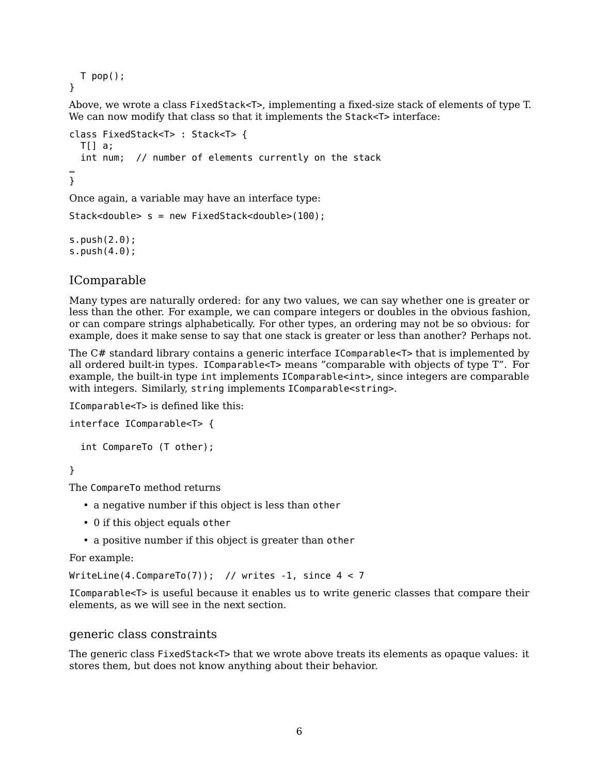```
T pop();
}
```
Above, we wrote a class FixedStack<T>, implementing a fixed-size stack of elements of type T. We can now modify that class so that it implements the Stack<T> interface:

```
class FixedStack<T> : Stack<T> {
  T[] a;int num; // number of elements currently on the stack
…
}
```
Once again, a variable may have an interface type:

```
Stack<double> s = new FixedStack<double>(100);
```
s.push(2.0); s.push(4.0);

## IComparable

Many types are naturally ordered: for any two values, we can say whether one is greater or less than the other. For example, we can compare integers or doubles in the obvious fashion, or can compare strings alphabetically. For other types, an ordering may not be so obvious: for example, does it make sense to say that one stack is greater or less than another? Perhaps not.

The C# standard library contains a generic interface IComparable<T> that is implemented by all ordered built-in types. IComparable<T> means "comparable with objects of type T". For example, the built-in type int implements IComparable<int>, since integers are comparable with integers. Similarly, string implements IComparable<string>.

```
IComparable<T> is defined like this:
```

```
interface IComparable<T> {
```

```
int CompareTo (T other);
```
}

The CompareTo method returns

- a negative number if this object is less than other
- 0 if this object equals other
- a positive number if this object is greater than other

For example:

```
WriteLine(4.CompareTo(7)); // writes -1, since 4 < 7
```
IComparable<T> is useful because it enables us to write generic classes that compare their elements, as we will see in the next section.

## generic class constraints

The generic class FixedStack<T> that we wrote above treats its elements as opaque values: it stores them, but does not know anything about their behavior.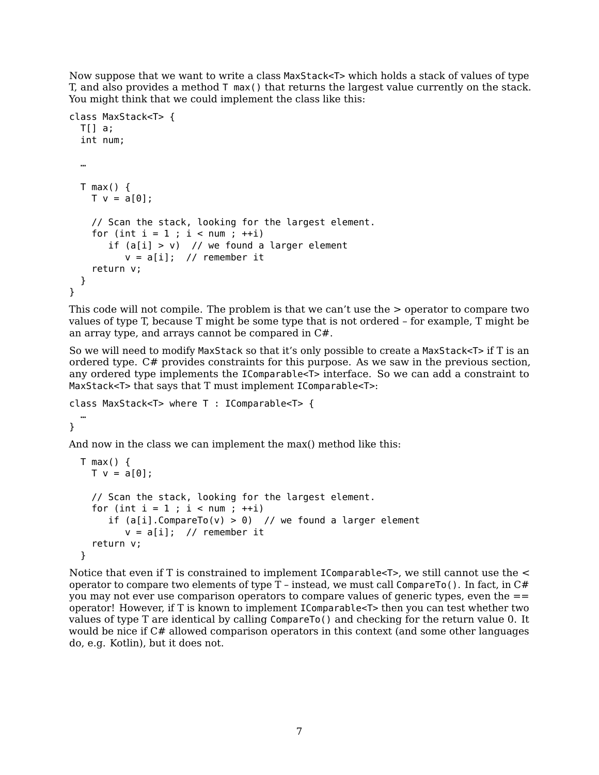Now suppose that we want to write a class MaxStack<T> which holds a stack of values of type T, and also provides a method T max() that returns the largest value currently on the stack. You might think that we could implement the class like this:

```
class MaxStack<T> {
 T[] a;int num;
 …
 T max() \{T v = a[0];// Scan the stack, looking for the largest element.
   for (int i = 1; i < num; ++i)
       if (a[i] > v) // we found a larger element
         v = a[i]; // remember it
   return v;
 }
}
```
This code will not compile. The problem is that we can't use the > operator to compare two values of type T, because T might be some type that is not ordered – for example, T might be an array type, and arrays cannot be compared in C#.

So we will need to modify MaxStack so that it's only possible to create a MaxStack<T> if T is an ordered type. C# provides constraints for this purpose. As we saw in the previous section, any ordered type implements the IComparable<T> interface. So we can add a constraint to MaxStack<T> that says that T must implement IComparable<T>:

```
class MaxStack<T> where T : IComparable<T> {
  …
```
}

And now in the class we can implement the max() method like this:

```
T max() {
 T v = a[0];// Scan the stack, looking for the largest element.
 for (int i = 1 ; i < num ; ++i)
     if (a[i].CompareTo(v) > 0) // we found a larger element
        v = a[i]; // remember it
  return v;
}
```
Notice that even if T is constrained to implement IComparable<T>, we still cannot use the < operator to compare two elements of type  $T$  – instead, we must call CompareTo(). In fact, in  $C#$ you may not ever use comparison operators to compare values of generic types, even the  $==$ operator! However, if T is known to implement IComparable<T> then you can test whether two values of type T are identical by calling CompareTo() and checking for the return value 0. It would be nice if C# allowed comparison operators in this context (and some other languages do, e.g. Kotlin), but it does not.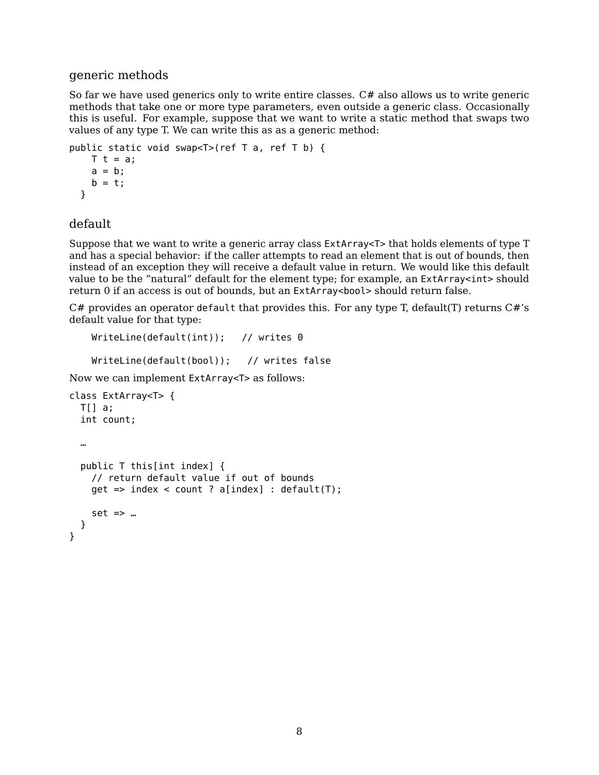## generic methods

So far we have used generics only to write entire classes. C# also allows us to write generic methods that take one or more type parameters, even outside a generic class. Occasionally this is useful. For example, suppose that we want to write a static method that swaps two values of any type T. We can write this as as a generic method:

```
public static void swap<T>(ref T a, ref T b) {
   T t = a;a = b;b = t;}
```
### default

Suppose that we want to write a generic array class ExtArray<T> that holds elements of type T and has a special behavior: if the caller attempts to read an element that is out of bounds, then instead of an exception they will receive a default value in return. We would like this default value to be the "natural" default for the element type; for example, an ExtArray<int> should return 0 if an access is out of bounds, but an ExtArray<bool> should return false.

 $C#$  provides an operator default that provides this. For any type T, default(T) returns  $C#$ 's default value for that type:

```
WriteLine(default(int)); // writes 0
```
WriteLine(default(bool)); // writes false

Now we can implement ExtArray<T> as follows:

```
class ExtArray<T> {
  T[] a;
  int count;
  …
  public T this[int index] {
    // return default value if out of bounds
    get => index < count ? a[index] : default(T);
    set => \ldots}
}
```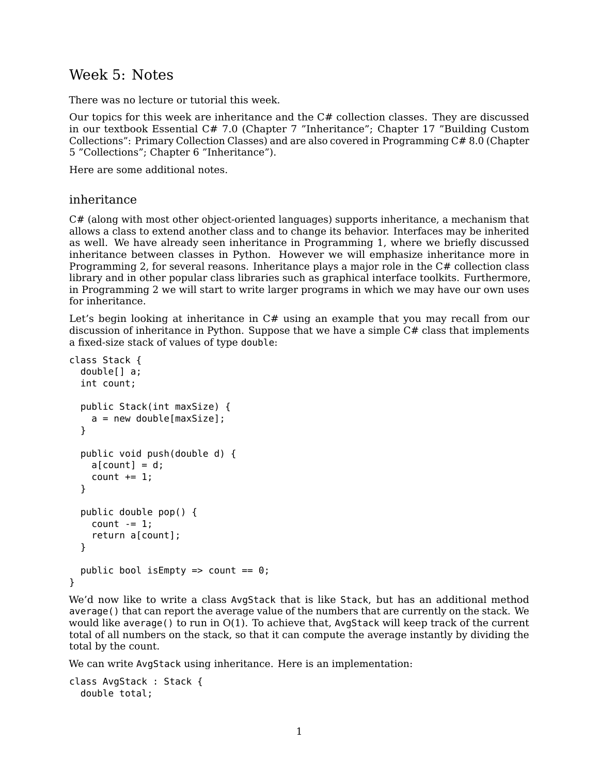# Week 5: Notes

There was no lecture or tutorial this week.

Our topics for this week are inheritance and the  $C#$  collection classes. They are discussed in our textbook [Essential C# 7.0](https://www.pearson.com/us/higher-education/program/Michaelis-Essential-C-7-0-6th-Edition/PGM1654205.html) (Chapter 7 "Inheritance"; Chapter 17 "Building Custom Collections": Primary Collection Classes) and are also covered in [Programming C# 8.0](https://www.oreilly.com/library/view/programming-c-80/9781492056805/) (Chapter 5 "Collections"; Chapter 6 "Inheritance").

Here are some additional notes.

### inheritance

C# (along with most other object-oriented languages) supports inheritance, a mechanism that allows a class to extend another class and to change its behavior. Interfaces may be inherited as well. We have already seen inheritance in Programming 1, where we briefly discussed inheritance between classes in Python. However we will emphasize inheritance more in Programming 2, for several reasons. Inheritance plays a major role in the C# collection class library and in other popular class libraries such as graphical interface toolkits. Furthermore, in Programming 2 we will start to write larger programs in which we may have our own uses for inheritance.

Let's begin looking at inheritance in  $C#$  using an example that you may recall from our discussion of inheritance in Python. Suppose that we have a simple C# class that implements a fixed-size stack of values of type double:

```
class Stack {
  double[] a;
  int count;
  public Stack(int maxSize) {
    a = new double[maxSize];}
  public void push(double d) {
    a[count] = d;count += 1;}
  public double pop() {
    count -= 1:
    return a[count];
  }
  public bool is Empty => count == 0;
}
```
We'd now like to write a class AvgStack that is like Stack, but has an additional method average() that can report the average value of the numbers that are currently on the stack. We would like average() to run in  $O(1)$ . To achieve that, AvgStack will keep track of the current total of all numbers on the stack, so that it can compute the average instantly by dividing the total by the count.

We can write AvgStack using inheritance. Here is an implementation:

```
class AvgStack : Stack {
  double total;
```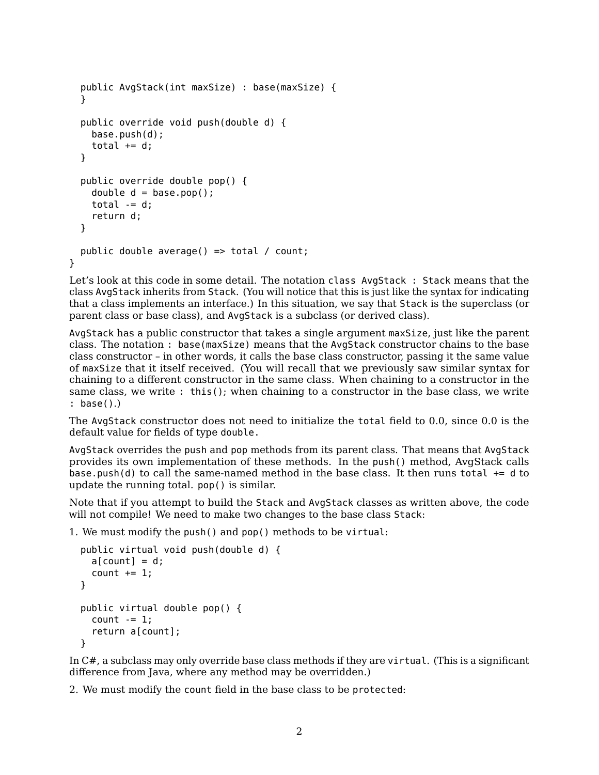```
public AvgStack(int maxSize) : base(maxSize) {
  }
  public override void push(double d) {
    base.push(d);
    total += d;}
  public override double pop() {
    double d = base.pop();
    total - d;
    return d;
  }
  public double average() => total / count;
}
```
Let's look at this code in some detail. The notation class AvgStack : Stack means that the class AvgStack inherits from Stack. (You will notice that this is just like the syntax for indicating that a class implements an interface.) In this situation, we say that Stack is the superclass (or parent class or base class), and AvgStack is a subclass (or derived class).

AvgStack has a public constructor that takes a single argument maxSize, just like the parent class. The notation : base(maxSize) means that the AvgStack constructor chains to the base class constructor – in other words, it calls the base class constructor, passing it the same value of maxSize that it itself received. (You will recall that we previously saw similar syntax for chaining to a different constructor in the same class. When chaining to a constructor in the same class, we write : this(); when chaining to a constructor in the base class, we write : base().)

The AvgStack constructor does not need to initialize the total field to 0.0, since 0.0 is the default value for fields of type double.

AvgStack overrides the push and pop methods from its parent class. That means that AvgStack provides its own implementation of these methods. In the push() method, AvgStack calls base.push(d) to call the same-named method in the base class. It then runs total  $+=$  d to update the running total. pop() is similar.

Note that if you attempt to build the Stack and AvgStack classes as written above, the code will not compile! We need to make two changes to the base class Stack:

1. We must modify the push() and pop() methods to be virtual:

```
public virtual void push(double d) {
  a[count] = d;count += 1;}
public virtual double pop() {
  count - = 1;
  return a[count];
}
```
In C#, a subclass may only override base class methods if they are virtual. (This is a significant difference from Java, where any method may be overridden.)

2. We must modify the count field in the base class to be protected: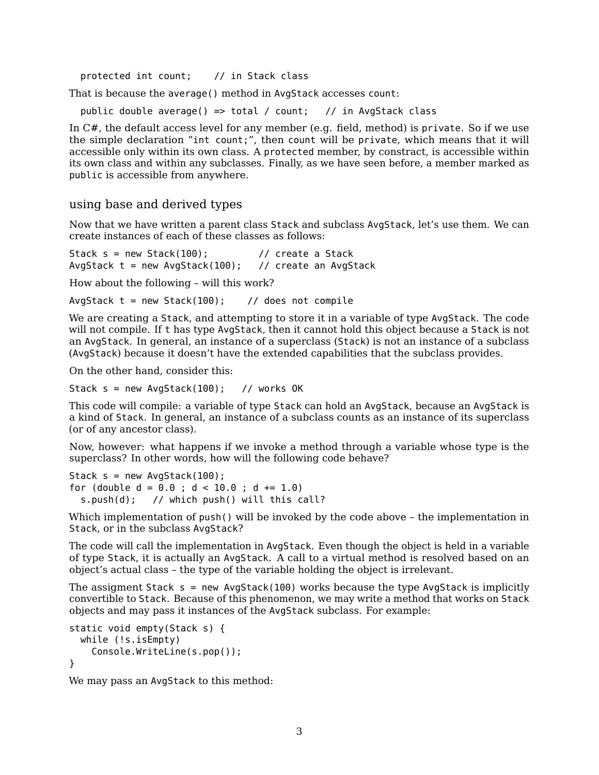protected int count; // in Stack class

That is because the average() method in AvgStack accesses count:

public double average() => total / count; // in AvgStack class

In C#, the default access level for any member (e.g. field, method) is private. So if we use the simple declaration "int count;", then count will be private, which means that it will accessible only within its own class. A protected member, by constract, is accessible within its own class and within any subclasses. Finally, as we have seen before, a member marked as public is accessible from anywhere.

### using base and derived types

Now that we have written a parent class Stack and subclass AvgStack, let's use them. We can create instances of each of these classes as follows:

Stack  $s = new Stack(100);$  // create a Stack AvgStack  $t = new AyStack(100);$  // create an AvgStack

How about the following – will this work?

AvgStack  $t = new Stack(100);$  // does not compile

We are creating a Stack, and attempting to store it in a variable of type AvgStack. The code will not compile. If t has type AvgStack, then it cannot hold this object because a Stack is not an AvgStack. In general, an instance of a superclass (Stack) is not an instance of a subclass (AvgStack) because it doesn't have the extended capabilities that the subclass provides.

On the other hand, consider this:

Stack  $s = new AvgStack(100);$  // works OK

This code will compile: a variable of type Stack can hold an AvgStack, because an AvgStack is a kind of Stack. In general, an instance of a subclass counts as an instance of its superclass (or of any ancestor class).

Now, however: what happens if we invoke a method through a variable whose type is the superclass? In other words, how will the following code behave?

Stack  $s = new AvgStack(100)$ ; for (double  $d = 0.0$ ;  $d < 10.0$ ;  $d += 1.0$ ) s.push(d); // which push() will this call?

Which implementation of push() will be invoked by the code above – the implementation in Stack, or in the subclass AvgStack?

The code will call the implementation in AvgStack. Even though the object is held in a variable of type Stack, it is actually an AvgStack. A call to a virtual method is resolved based on an object's actual class – the type of the variable holding the object is irrelevant.

The assigment Stack  $s = new AvgStack(100)$  works because the type AvgStack is implicitly convertible to Stack. Because of this phenomenon, we may write a method that works on Stack objects and may pass it instances of the AvgStack subclass. For example:

```
static void empty(Stack s) {
  while (!s.isEmpty)
   Console.WriteLine(s.pop());
}
```
We may pass an AvgStack to this method: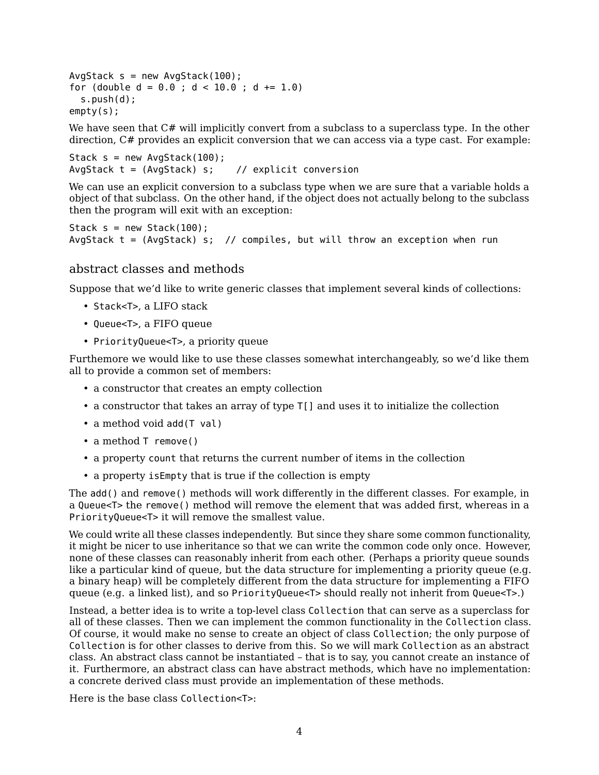```
AvgStack s = new AvgStack(100);
for (double d = 0.0; d < 10.0; d += 1.0)
 s.push(d);
empty(s);
```
We have seen that  $C#$  will implicitly convert from a subclass to a superclass type. In the other direction,  $C#$  provides an explicit conversion that we can access via a type cast. For example:

```
Stack s = new AvgStack(100);
AvgStack t = (AvgStack) s; // explicit conversion
```
We can use an explicit conversion to a subclass type when we are sure that a variable holds a object of that subclass. On the other hand, if the object does not actually belong to the subclass then the program will exit with an exception:

```
Stack s = new Stack(100);
AvgStack t = (AvgStack) s; // compiles, but will throw an exception when run
```
## abstract classes and methods

Suppose that we'd like to write generic classes that implement several kinds of collections:

- Stack<T>, a LIFO stack
- Queue<T>, a FIFO queue
- PriorityQueue<T>, a priority queue

Furthemore we would like to use these classes somewhat interchangeably, so we'd like them all to provide a common set of members:

- a constructor that creates an empty collection
- a constructor that takes an array of type T[] and uses it to initialize the collection
- a method void add(T val)
- a method T remove()
- a property count that returns the current number of items in the collection
- a property isEmpty that is true if the collection is empty

The add() and remove() methods will work differently in the different classes. For example, in a Queue<T> the remove() method will remove the element that was added first, whereas in a PriorityQueue<T> it will remove the smallest value.

We could write all these classes independently. But since they share some common functionality, it might be nicer to use inheritance so that we can write the common code only once. However, none of these classes can reasonably inherit from each other. (Perhaps a priority queue sounds like a particular kind of queue, but the data structure for implementing a priority queue (e.g. a binary heap) will be completely different from the data structure for implementing a FIFO queue (e.g. a linked list), and so PriorityQueue<T> should really not inherit from Queue<T>.)

Instead, a better idea is to write a top-level class Collection that can serve as a superclass for all of these classes. Then we can implement the common functionality in the Collection class. Of course, it would make no sense to create an object of class Collection; the only purpose of Collection is for other classes to derive from this. So we will mark Collection as an abstract class. An abstract class cannot be instantiated – that is to say, you cannot create an instance of it. Furthermore, an abstract class can have abstract methods, which have no implementation: a concrete derived class must provide an implementation of these methods.

Here is the base class Collection<T>: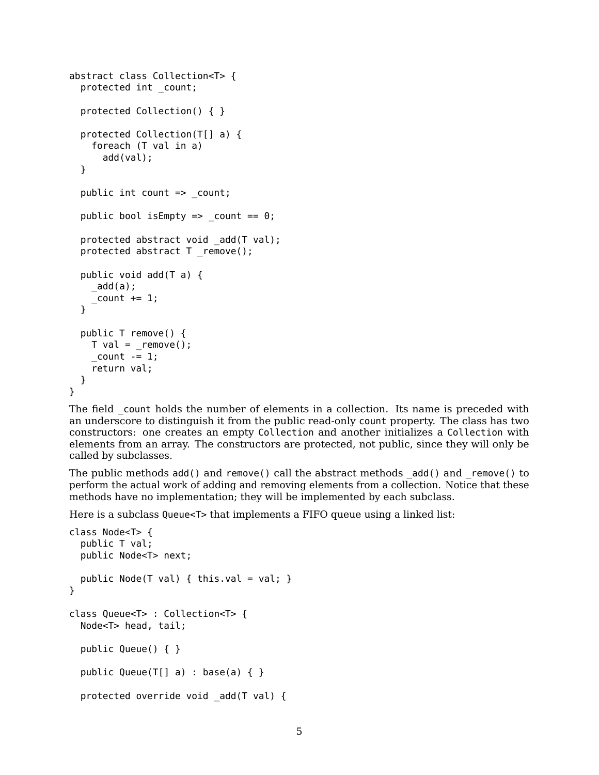```
abstract class Collection<T> {
  protected int _count;
  protected Collection() { }
  protected Collection(T[] a) {
    foreach (T val in a)
      add(val);
  }
  public int count => _count;
  public bool is Empty \Rightarrow count == 0;
  protected abstract void add(T val);
  protected abstract T _remove();
  public void add(T a) {
    _add(a);
    _ count += 1;
  }
  public T remove() {
    T val = remove();
    count -= 1;
    return val;
  }
}
```
The field count holds the number of elements in a collection. Its name is preceded with an underscore to distinguish it from the public read-only count property. The class has two constructors: one creates an empty Collection and another initializes a Collection with elements from an array. The constructors are protected, not public, since they will only be called by subclasses.

The public methods add() and remove() call the abstract methods \_add() and \_remove() to perform the actual work of adding and removing elements from a collection. Notice that these methods have no implementation; they will be implemented by each subclass.

Here is a subclass Queue<T> that implements a FIFO queue using a linked list:

```
class Node<T> {
  public T val;
  public Node<T> next;
  public Node(T val) { this.val = val; }
}
class Queue<T> : Collection<T> {
  Node<T> head, tail;
  public Queue() { }
  public Queue(T[] a) : base(a) { }
  protected override void _add(T val) {
```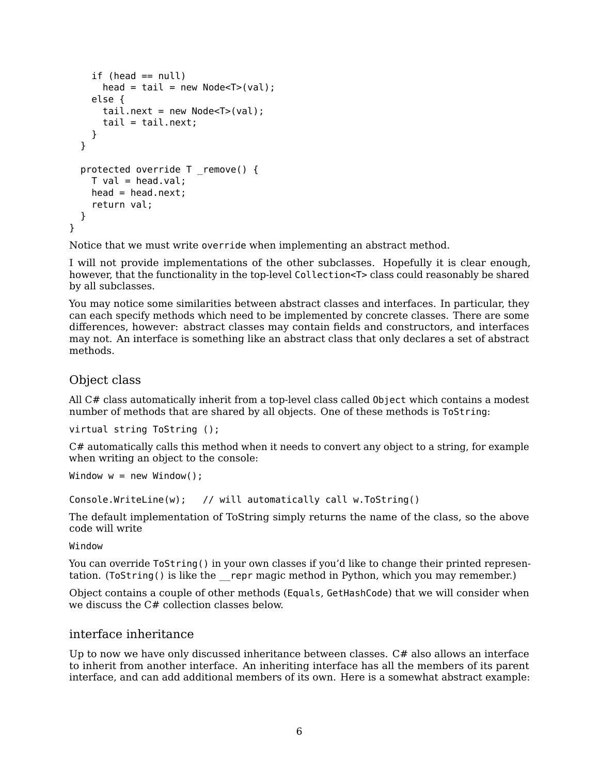```
if (head == null)
      head = tail = new Node <T > (val);
    else {
      tail.next = new Node<T>(val);
      tail = tail.next;}
  }
  protected override T _remove() {
    T val = head.val:
    head = head.next;return val;
  }
}
```
Notice that we must write override when implementing an abstract method.

I will not provide implementations of the other subclasses. Hopefully it is clear enough, however, that the functionality in the top-level Collection<T> class could reasonably be shared by all subclasses.

You may notice some similarities between abstract classes and interfaces. In particular, they can each specify methods which need to be implemented by concrete classes. There are some differences, however: abstract classes may contain fields and constructors, and interfaces may not. An interface is something like an abstract class that only declares a set of abstract methods.

## Object class

All C# class automatically inherit from a top-level class called Object which contains a modest number of methods that are shared by all objects. One of these methods is ToString:

```
virtual string ToString ();
```
C# automatically calls this method when it needs to convert any object to a string, for example when writing an object to the console:

```
Window w = new Window();
```

```
Console.WriteLine(w); // will automatically call w.ToString()
```
The default implementation of ToString simply returns the name of the class, so the above code will write

Window

You can override ToString() in your own classes if you'd like to change their printed representation. (ToString() is like the repr magic method in Python, which you may remember.)

Object contains a couple of other methods (Equals, GetHashCode) that we will consider when we discuss the C# collection classes below.

## interface inheritance

Up to now we have only discussed inheritance between classes. C# also allows an interface to inherit from another interface. An inheriting interface has all the members of its parent interface, and can add additional members of its own. Here is a somewhat abstract example: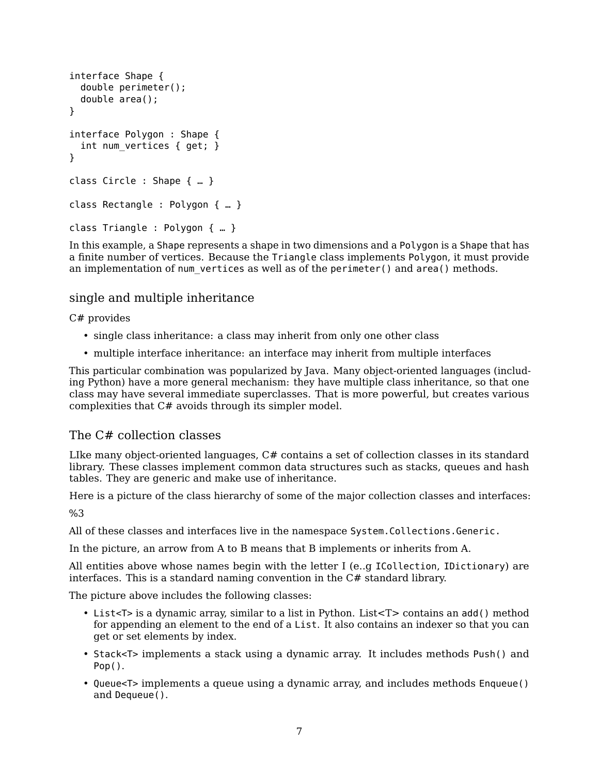```
interface Shape {
  double perimeter();
  double area();
}
interface Polygon : Shape {
  int num vertices { get; }
}
class Circle : Shape { … }
class Rectangle : Polygon { … }
class Triangle : Polygon { … }
```
In this example, a Shape represents a shape in two dimensions and a Polygon is a Shape that has a finite number of vertices. Because the Triangle class implements Polygon, it must provide an implementation of num vertices as well as of the perimeter() and area() methods.

## single and multiple inheritance

## C# provides

- single class inheritance: a class may inherit from only one other class
- multiple interface inheritance: an interface may inherit from multiple interfaces

This particular combination was popularized by Java. Many object-oriented languages (including Python) have a more general mechanism: they have multiple class inheritance, so that one class may have several immediate superclasses. That is more powerful, but creates various complexities that C# avoids through its simpler model.

## The C# collection classes

LIke many object-oriented languages, C# contains a set of collection classes in its standard library. These classes implement common data structures such as stacks, queues and hash tables. They are generic and make use of inheritance.

Here is a picture of the class hierarchy of some of the major collection classes and interfaces:

%3

All of these classes and interfaces live in the namespace System.Collections.Generic.

In the picture, an arrow from A to B means that B implements or inherits from A.

All entities above whose names begin with the letter I (e..g ICollection, IDictionary) are interfaces. This is a standard naming convention in the  $C\#$  standard library.

The picture above includes the following classes:

- List<T> is a dynamic array, similar to a list in Python. List<T> contains an add() method for appending an element to the end of a List. It also contains an indexer so that you can get or set elements by index.
- Stack<T> implements a stack using a dynamic array. It includes methods Push() and Pop().
- Queue<T> implements a queue using a dynamic array, and includes methods Enqueue() and Dequeue().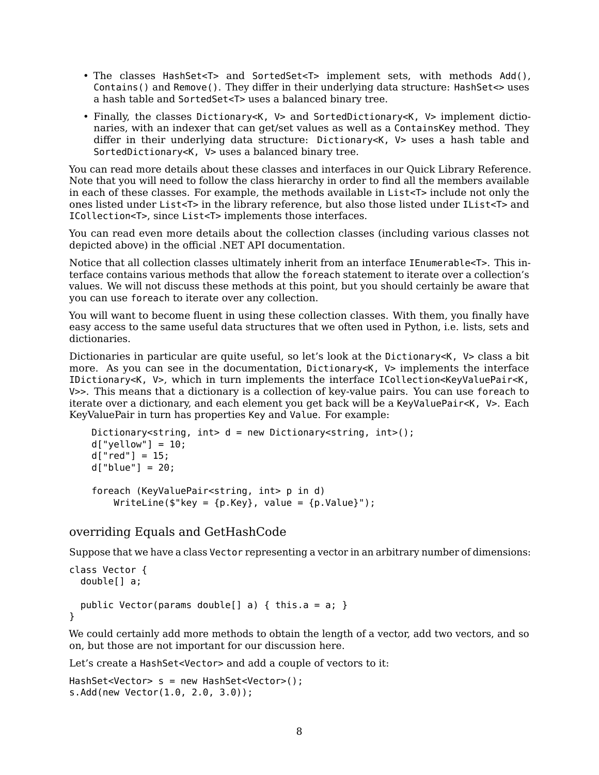- The classes HashSet<T> and SortedSet<T> implement sets, with methods Add(), Contains() and Remove(). They differ in their underlying data structure: HashSet<> uses a hash table and SortedSet<T> uses a balanced binary tree.
- Finally, the classes Dictionary<K, V> and SortedDictionary<K, V> implement dictionaries, with an indexer that can get/set values as well as a ContainsKey method. They differ in their underlying data structure: Dictionary<K, V> uses a hash table and SortedDictionary<K, V> uses a balanced binary tree.

You can read more details about these classes and interfaces in our [Quick Library Reference.](https://ksvi.mff.cuni.cz/~dingle/2019-20/prog_2/library_reference.html) Note that you will need to follow the class hierarchy in order to find all the members available in each of these classes. For example, the methods available in List<T> include not only the ones listed under List<T> in the library reference, but also those listed under IList<T> and ICollection<T>, since List<T> implements those interfaces.

You can read even more details about the collection classes (including various classes not depicted above) in the official [.NET API documentation.](https://docs.microsoft.com/en-us/dotnet/api/?view=netstandard-2.0)

Notice that all collection classes ultimately inherit from an interface IEnumerable<T>. This interface contains various methods that allow the foreach statement to iterate over a collection's values. We will not discuss these methods at this point, but you should certainly be aware that you can use foreach to iterate over any collection.

You will want to become fluent in using these collection classes. With them, you finally have easy access to the same useful data structures that we often used in Python, i.e. lists, sets and dictionaries.

Dictionaries in particular are quite useful, so let's look at the Dictionary<K,  $V$  class a bit more. As you can see in the documentation, Dictionary<K, V> implements the interface IDictionary<K, V>, which in turn implements the interface ICollection<KeyValuePair<K, V>>. This means that a dictionary is a collection of key-value pairs. You can use foreach to iterate over a dictionary, and each element you get back will be a KeyValuePair<K, V>. Each KeyValuePair in turn has properties Key and Value. For example:

```
Dictionary < string, int> d = new Dictionary < string, int> ();
d['yellow"] = 10;d['red"] = 15;d["blue"] = 20;
foreach (KeyValuePair<string, int> p in d)
    WriteLine(\frac{1}{2}"key = {p.Key}, value = {p.Value}");
```
## overriding Equals and GetHashCode

Suppose that we have a class Vector representing a vector in an arbitrary number of dimensions:

```
class Vector {
  double[] a;
  public Vector(params double[] a) { this.a = a; }
```
### }

We could certainly add more methods to obtain the length of a vector, add two vectors, and so on, but those are not important for our discussion here.

Let's create a HashSet<Vector> and add a couple of vectors to it:

```
HashSet<Vector> s = new HashSet<Vector>();
s.Add(new Vector(1.0, 2.0, 3.0));
```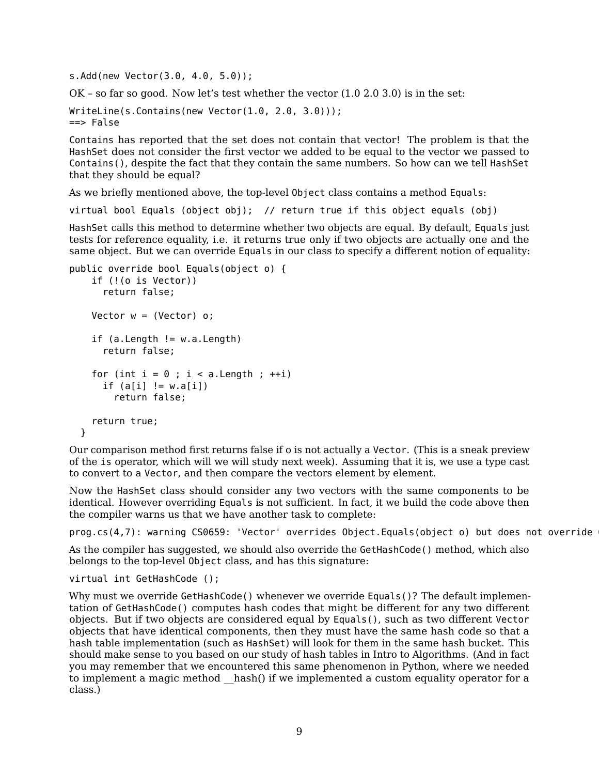s.Add(new Vector(3.0, 4.0, 5.0));

 $OK$  – so far so good. Now let's test whether the vector  $(1.0 2.0 3.0)$  is in the set:

```
WriteLine(s.Contains(new Vector(1.0, 2.0, 3.0)));
==> False
```
Contains has reported that the set does not contain that vector! The problem is that the HashSet does not consider the first vector we added to be equal to the vector we passed to Contains(), despite the fact that they contain the same numbers. So how can we tell HashSet that they should be equal?

As we briefly mentioned above, the top-level Object class contains a method Equals:

virtual bool Equals (object obj); // return true if this object equals (obj)

HashSet calls this method to determine whether two objects are equal. By default, Equals just tests for reference equality, i.e. it returns true only if two objects are actually one and the same object. But we can override Equals in our class to specify a different notion of equality:

```
public override bool Equals(object o) {
    if (!(o is Vector))
      return false;
   Vector w = (Vector) o;
    if (a.length != w.a.length)return false;
    for (int i = 0; i < a. Length; +i)
      if (a[i] := w.a[i])return false;
    return true;
  }
```
Our comparison method first returns false if o is not actually a Vector. (This is a sneak preview of the is operator, which will we will study next week). Assuming that it is, we use a type cast to convert to a Vector, and then compare the vectors element by element.

Now the HashSet class should consider any two vectors with the same components to be identical. However overriding Equals is not sufficient. In fact, it we build the code above then the compiler warns us that we have another task to complete:

 $prog.cs(4,7):$  warning CS0659: 'Vector' overrides Object.Equals(object o) but does not override

As the compiler has suggested, we should also override the GetHashCode() method, which also belongs to the top-level Object class, and has this signature:

```
virtual int GetHashCode ();
```
Why must we override GetHashCode() whenever we override Equals()? The default implementation of GetHashCode() computes hash codes that might be different for any two different objects. But if two objects are considered equal by Equals(), such as two different Vector objects that have identical components, then they must have the same hash code so that a hash table implementation (such as HashSet) will look for them in the same hash bucket. This should make sense to you based on our study of hash tables in Intro to Algorithms. (And in fact you may remember that we encountered this same phenomenon in Python, where we needed to implement a magic method hash() if we implemented a custom equality operator for a class.)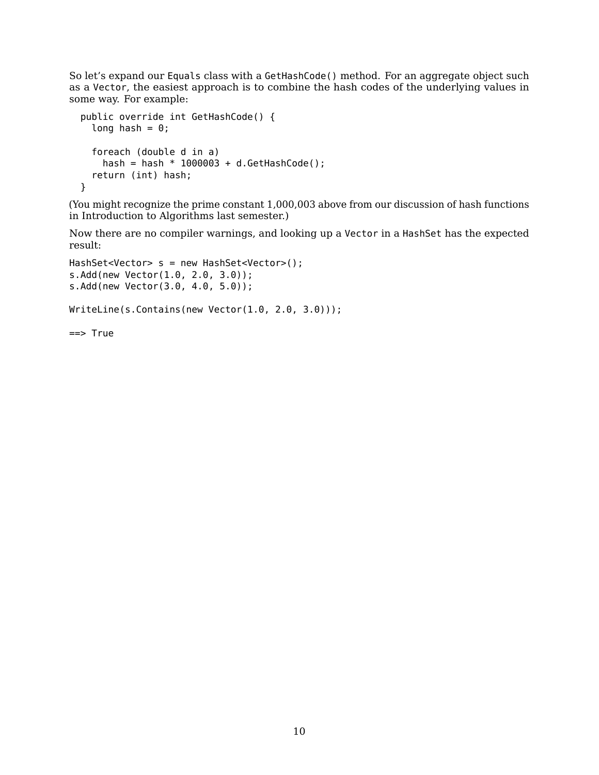So let's expand our Equals class with a GetHashCode() method. For an aggregate object such as a Vector, the easiest approach is to combine the hash codes of the underlying values in some way. For example:

```
public override int GetHashCode() {
  long hash = \theta;
  foreach (double d in a)
    hash = hash * 1000003 + d.GetHashCode();
  return (int) hash;
}
```
(You might recognize the prime constant 1,000,003 above from our [discussion of hash functions](https://ksvi.mff.cuni.cz/~dingle/2019/algs/lecture_9.html) in Introduction to Algorithms last semester.)

Now there are no compiler warnings, and looking up a Vector in a HashSet has the expected result:

```
HashSet<Vector> s = new HashSet<Vector>();
s.Add(new Vector(1.0, 2.0, 3.0));
s.Add(new Vector(3.0, 4.0, 5.0));
WriteLine(s.Contains(new Vector(1.0, 2.0, 3.0)));
==> True
```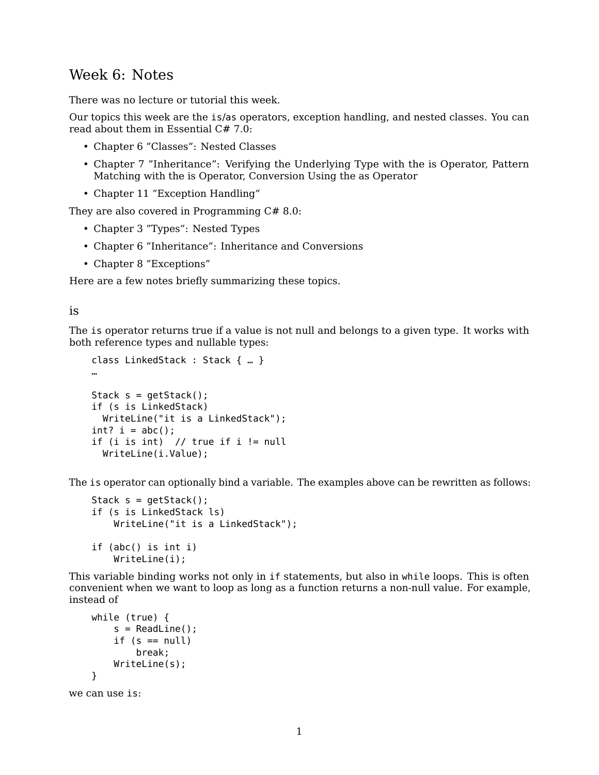# Week 6: Notes

There was no lecture or tutorial this week.

Our topics this week are the is/as operators, exception handling, and nested classes. You can read about them in [Essential C# 7.0:](https://www.pearson.com/us/higher-education/program/Michaelis-Essential-C-7-0-6th-Edition/PGM1654205.html)

- Chapter 6 "Classes": Nested Classes
- Chapter 7 "Inheritance": Verifying the Underlying Type with the is Operator, Pattern Matching with the is Operator, Conversion Using the as Operator
- Chapter 11 "Exception Handling"

They are also covered in [Programming C# 8.0:](https://www.oreilly.com/library/view/programming-c-80/9781492056805/)

- Chapter 3 "Types": Nested Types
- Chapter 6 "Inheritance": Inheritance and Conversions
- Chapter 8 "Exceptions"

Here are a few notes briefly summarizing these topics.

#### is

The is operator returns true if a value is not null and belongs to a given type. It works with both reference types and nullable types:

```
class LinkedStack : Stack { … }
…
Stack s = qetStack();
if (s is LinkedStack)
  WriteLine("it is a LinkedStack");
int? i = abc();
if (i is int) // true if i != null
  WriteLine(i.Value);
```
The is operator can optionally bind a variable. The examples above can be rewritten as follows:

```
Stack s = getStack();
if (s is LinkedStack ls)
    WriteLine("it is a LinkedStack");
if (abc() is int i)
   WriteLine(i);
```
This variable binding works not only in if statements, but also in while loops. This is often convenient when we want to loop as long as a function returns a non-null value. For example, instead of

```
while (true) {
        s = ReadLine();
        if (s == null)break;
        WriteLine(s);
    }
we can use is:
```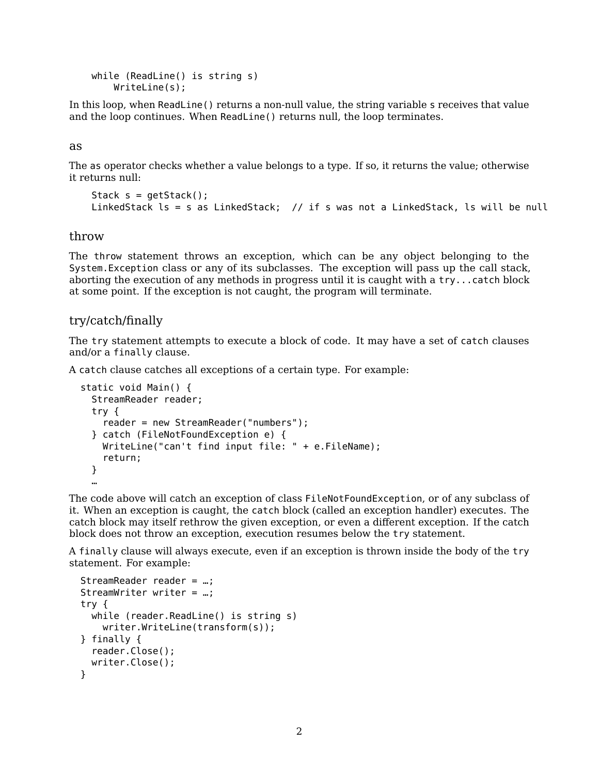```
while (ReadLine() is string s)
    WriteLine(s);
```
In this loop, when ReadLine() returns a non-null value, the string variable s receives that value and the loop continues. When ReadLine() returns null, the loop terminates.

#### as

The as operator checks whether a value belongs to a type. If so, it returns the value; otherwise it returns null:

```
Stack s = getStack();
LinkedStack ls = s as LinkedStack; // if s was not a LinkedStack, ls will be null
```
### throw

The throw statement throws an exception, which can be any object belonging to the System.Exception class or any of its subclasses. The exception will pass up the call stack, aborting the execution of any methods in progress until it is caught with a try...catch block at some point. If the exception is not caught, the program will terminate.

### try/catch/finally

The try statement attempts to execute a block of code. It may have a set of catch clauses and/or a finally clause.

A catch clause catches all exceptions of a certain type. For example:

```
static void Main() {
  StreamReader reader;
  try {
    reader = new StreamReader("numbers");
  } catch (FileNotFoundException e) {
   WriteLine("can't find input file: " + e.FileName);
    return;
  }
  …
```
The code above will catch an exception of class FileNotFoundException, or of any subclass of it. When an exception is caught, the catch block (called an exception handler) executes. The catch block may itself rethrow the given exception, or even a different exception. If the catch block does not throw an exception, execution resumes below the try statement.

A finally clause will always execute, even if an exception is thrown inside the body of the try statement. For example:

```
StreamReader reader = …;
StreamWriter writer = …;
try {
 while (reader.ReadLine() is string s)
   writer.WriteLine(transform(s));
} finally {
  reader.Close();
 writer.Close();
}
```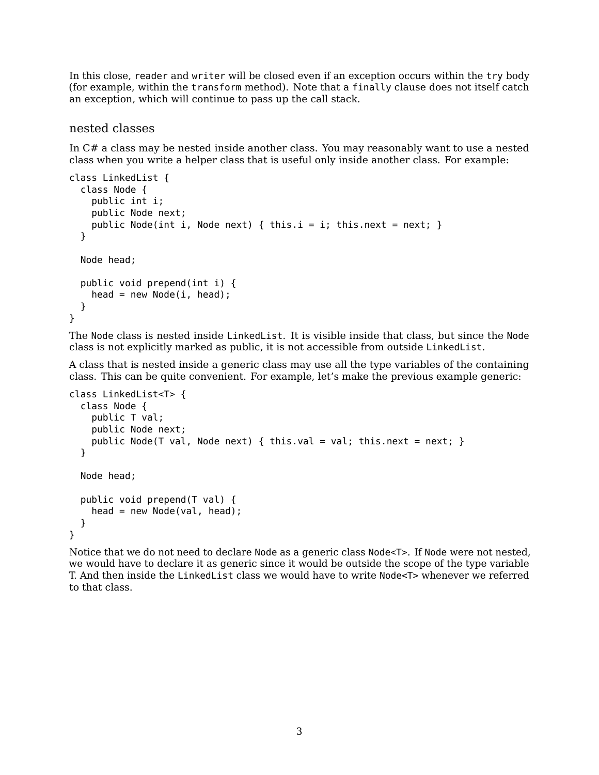In this close, reader and writer will be closed even if an exception occurs within the try body (for example, within the transform method). Note that a finally clause does not itself catch an exception, which will continue to pass up the call stack.

### nested classes

In C# a class may be nested inside another class. You may reasonably want to use a nested class when you write a helper class that is useful only inside another class. For example:

```
class LinkedList {
  class Node {
    public int i;
    public Node next;
    public Node(int i, Node next) { this.i = i; this.next = next; }
  }
 Node head;
  public void prepend(int i) {
   head = new Node(i, head);
  }
}
```
The Node class is nested inside LinkedList. It is visible inside that class, but since the Node class is not explicitly marked as public, it is not accessible from outside LinkedList.

A class that is nested inside a generic class may use all the type variables of the containing class. This can be quite convenient. For example, let's make the previous example generic:

```
class LinkedList<T> {
  class Node {
    public T val;
    public Node next;
    public Node(T val, Node next) { this.val = val; this.next = next; }
  }
 Node head;
  public void prepend(T val) {
   head = new Node(val, head);
  }
}
```
Notice that we do not need to declare Node as a generic class Node<T>. If Node were not nested, we would have to declare it as generic since it would be outside the scope of the type variable T. And then inside the LinkedList class we would have to write Node<T> whenever we referred to that class.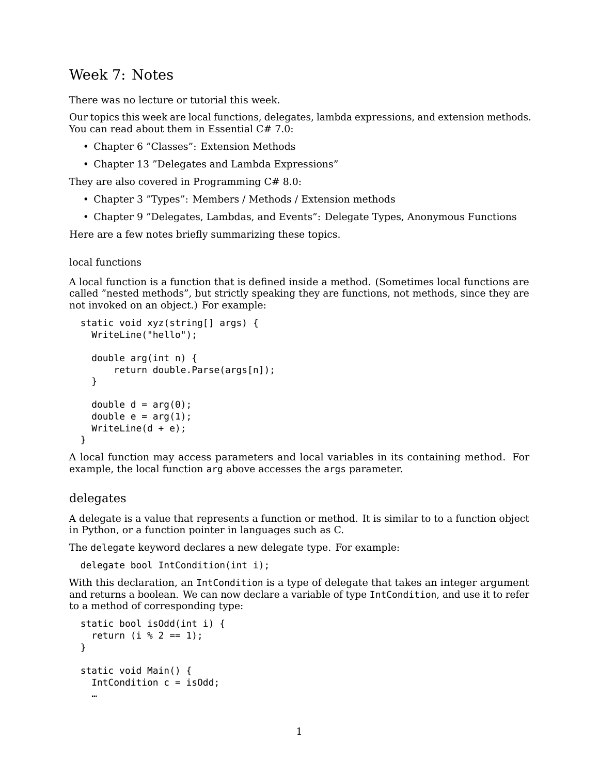# Week 7: Notes

There was no lecture or tutorial this week.

Our topics this week are local functions, delegates, lambda expressions, and extension methods. You can read about them in [Essential C# 7.0:](https://www.pearson.com/us/higher-education/program/Michaelis-Essential-C-7-0-6th-Edition/PGM1654205.html)

- Chapter 6 "Classes": Extension Methods
- Chapter 13 "Delegates and Lambda Expressions"

They are also covered in [Programming C# 8.0:](https://www.oreilly.com/library/view/programming-c-80/9781492056805/)

- Chapter 3 "Types": Members / Methods / Extension methods
- Chapter 9 "Delegates, Lambdas, and Events": Delegate Types, Anonymous Functions

Here are a few notes briefly summarizing these topics.

local functions

A local function is a function that is defined inside a method. (Sometimes local functions are called "nested methods", but strictly speaking they are functions, not methods, since they are not invoked on an object.) For example:

```
static void xyz(string[] args) {
 WriteLine("hello");
  double arg(int n) {
      return double.Parse(args[n]);
  }
  double d = arg(\theta);
  double e = arg(1);
 WriteLine(d + e);}
```
A local function may access parameters and local variables in its containing method. For example, the local function arg above accesses the args parameter.

## delegates

A delegate is a value that represents a function or method. It is similar to to a function object in Python, or a function pointer in languages such as C.

The delegate keyword declares a new delegate type. For example:

```
delegate bool IntCondition(int i);
```
With this declaration, an IntCondition is a type of delegate that takes an integer argument and returns a boolean. We can now declare a variable of type IntCondition, and use it to refer to a method of corresponding type:

```
static bool isOdd(int i) {
  return (i \, % \, 2 == 1);}
static void Main() {
  IntCondition c = isOdd;
  …
```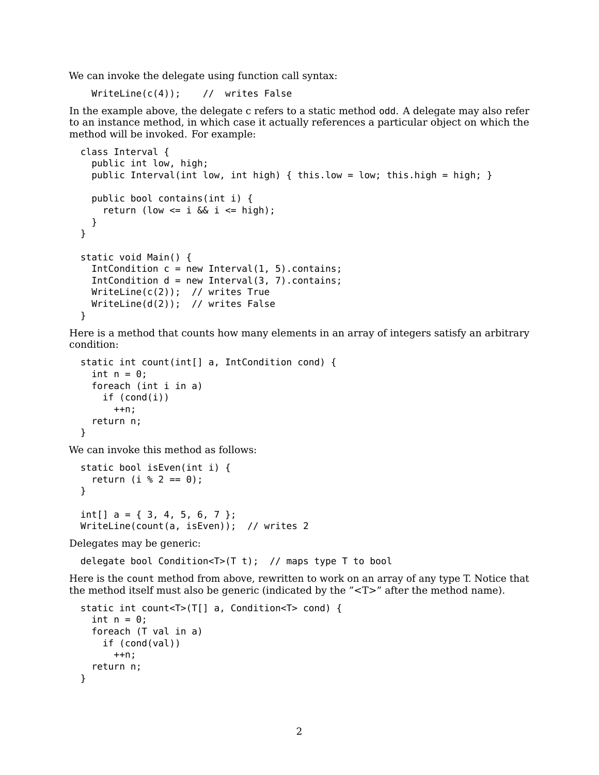We can invoke the delegate using function call syntax:

WriteLine(c(4)); // writes False

In the example above, the delegate c refers to a static method odd. A delegate may also refer to an instance method, in which case it actually references a particular object on which the method will be invoked. For example:

```
class Interval {
  public int low, high;
  public Interval(int low, int high) { this.low = low; this.high = high; }
  public bool contains(int i) {
    return (low \leq i & i \leq high);
  }
}
static void Main() {
  IntCondition c = new Interval(1, 5). contains;
  IntCondition d = new Interval(3, 7). contains;
 WriteLine(c(2)); // writes True
 WriteLine(d(2)); // writes False
}
```
Here is a method that counts how many elements in an array of integers satisfy an arbitrary condition:

```
static int count(int[] a, IntCondition cond) {
  int n = 0:
  foreach (int i in a)
    if (cond(i))
      ++n;return n;
}
```
We can invoke this method as follows:

```
static bool isEven(int i) {
  return (i % 2 == 0);
}
int[] a = \{ 3, 4, 5, 6, 7 \};
WriteLine(count(a, isEven)); // writes 2
```
Delegates may be generic:

delegate bool Condition<T>(T t); // maps type T to bool

Here is the count method from above, rewritten to work on an array of any type T. Notice that the method itself must also be generic (indicated by the "<T>" after the method name).

```
static int count<T>(T[] a, Condition<T> cond) {
  int n = 0;
  foreach (T val in a)
    if (cond(val))
      ++n;
  return n;
}
```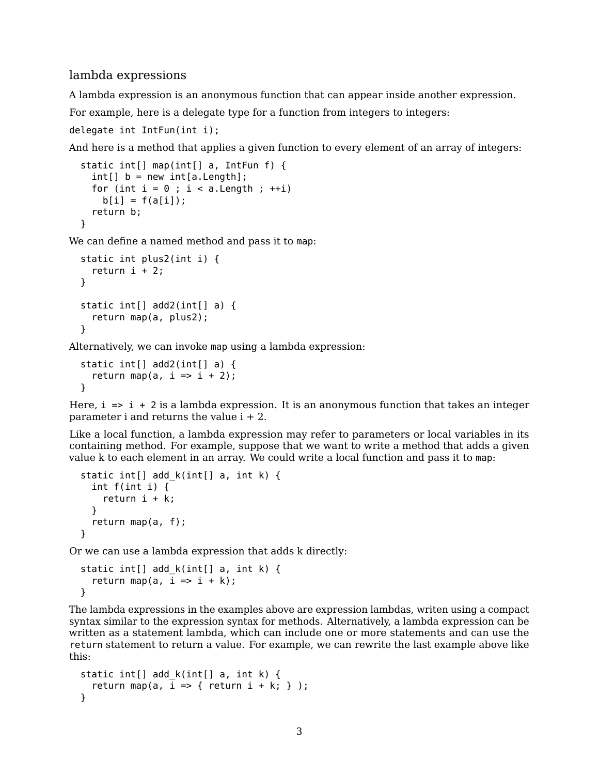## lambda expressions

A lambda expression is an anonymous function that can appear inside another expression.

For example, here is a delegate type for a function from integers to integers:

```
delegate int IntFun(int i);
```
And here is a method that applies a given function to every element of an array of integers:

```
static int[] map(int[] a, IntFun f) {
 int[] b = new int[a.length];for (int i = 0; i < a. Length; +i)
   b[i] = f(a[i]);return b;
}
```
We can define a named method and pass it to map:

```
static int plus2(int i) {
  return i + 2;
}
static int[] add2(int[] a) {
  return map(a, plus2);
}
```
Alternatively, we can invoke map using a lambda expression:

```
static int[] add2(int[] a) {
  return map(a, i \Rightarrow i + 2);
}
```
Here,  $i \neq i + 2$  is a lambda expression. It is an anonymous function that takes an integer parameter i and returns the value  $i + 2$ .

Like a local function, a lambda expression may refer to parameters or local variables in its containing method. For example, suppose that we want to write a method that adds a given value k to each element in an array. We could write a local function and pass it to map:

```
static int[] add_k(int[] a, int k) {
  int f(int i) {
    return i + k;
  }
  return map(a, f);
}
```
Or we can use a lambda expression that adds k directly:

```
static int[] add_k(int[] a, int k) {
  return map(a, i \Rightarrow i + k);
}
```
The lambda expressions in the examples above are expression lambdas, writen using a compact syntax similar to the expression syntax for methods. Alternatively, a lambda expression can be written as a statement lambda, which can include one or more statements and can use the return statement to return a value. For example, we can rewrite the last example above like this:

```
static int[] add k(int[] a, int k) {
  return map(a, i \Rightarrow { return i + k; } );
}
```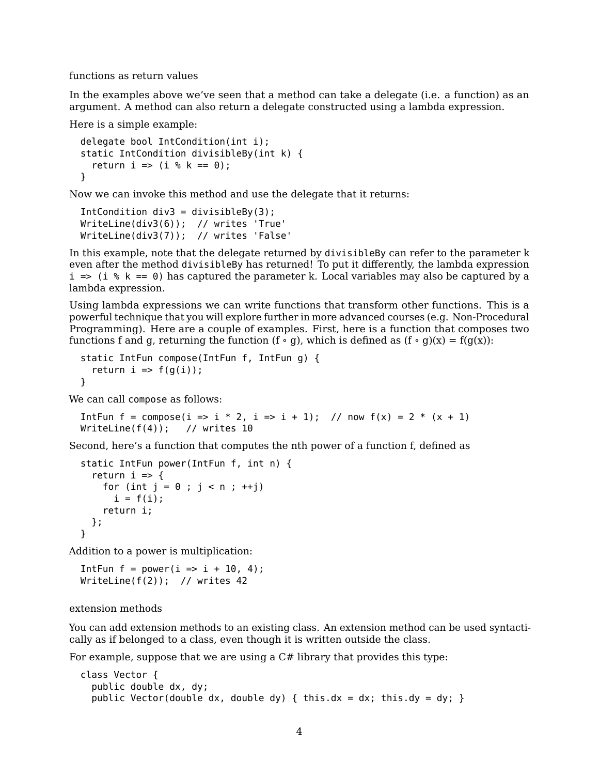functions as return values

In the examples above we've seen that a method can take a delegate (i.e. a function) as an argument. A method can also return a delegate constructed using a lambda expression.

Here is a simple example:

```
delegate bool IntCondition(int i);
static IntCondition divisibleBy(int k) {
  return i => (i \, % \, k == 0);
}
```
Now we can invoke this method and use the delegate that it returns:

```
IntCondition div3 = divisibleBv(3):
WriteLine(div3(6)); // writes 'True'
WriteLine(div3(7)); // writes 'False'
```
In this example, note that the delegate returned by divisibleBy can refer to the parameter k even after the method divisibleBy has returned! To put it differently, the lambda expression  $i \Rightarrow (i \, * \, k == 0)$  has captured the parameter k. Local variables may also be captured by a lambda expression.

Using lambda expressions we can write functions that transform other functions. This is a powerful technique that you will explore further in more advanced courses (e.g. Non-Procedural Programming). Here are a couple of examples. First, here is a function that composes two functions f and g, returning the function  $(f \circ g)$ , which is defined as  $(f \circ g)(x) = f(g(x))$ :

```
static IntFun compose(IntFun f, IntFun g) {
  return i \Rightarrow f(g(i));
}
```
We can call compose as follows:

```
IntFun f = compose(i => i * 2, i => i + 1); // now f(x) = 2 * (x + 1)WriteLine(f(4)); // writes 10
```
Second, here's a function that computes the nth power of a function f, defined as

```
static IntFun power(IntFun f, int n) {
  return i \Rightarrow ffor (int j = 0; j < n; ++j)
      i = f(i);return i;
  };
}
```
Addition to a power is multiplication:

```
IntFun f = power(i \implies i + 10, 4);
WriteLine(f(2)); // writes 42
```
extension methods

You can add extension methods to an existing class. An extension method can be used syntactically as if belonged to a class, even though it is written outside the class.

For example, suppose that we are using a  $C#$  library that provides this type:

```
class Vector {
  public double dx, dy;
  public Vector(double dx, double dy) { this.dx = dx; this.dy = dy; }
```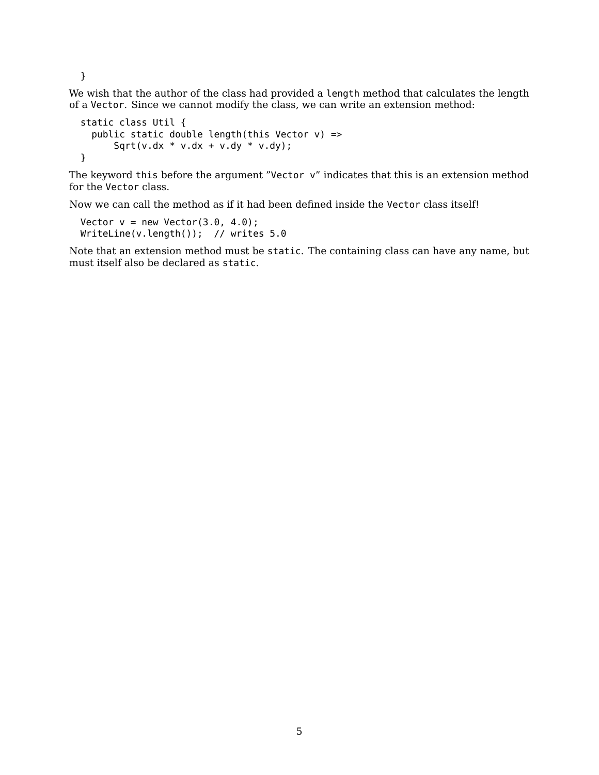}

We wish that the author of the class had provided a length method that calculates the length of a Vector. Since we cannot modify the class, we can write an extension method:

```
static class Util {
  public static double length(this Vector v) =>
      Sqrt(v.dx * v.dx + v.dy * v.dy);
}
```
The keyword this before the argument "Vector v" indicates that this is an extension method for the Vector class.

Now we can call the method as if it had been defined inside the Vector class itself!

```
Vector v = new Vector(3.0, 4.0);WriteLine(v.length()); // writes 5.0
```
Note that an extension method must be static. The containing class can have any name, but must itself also be declared as static.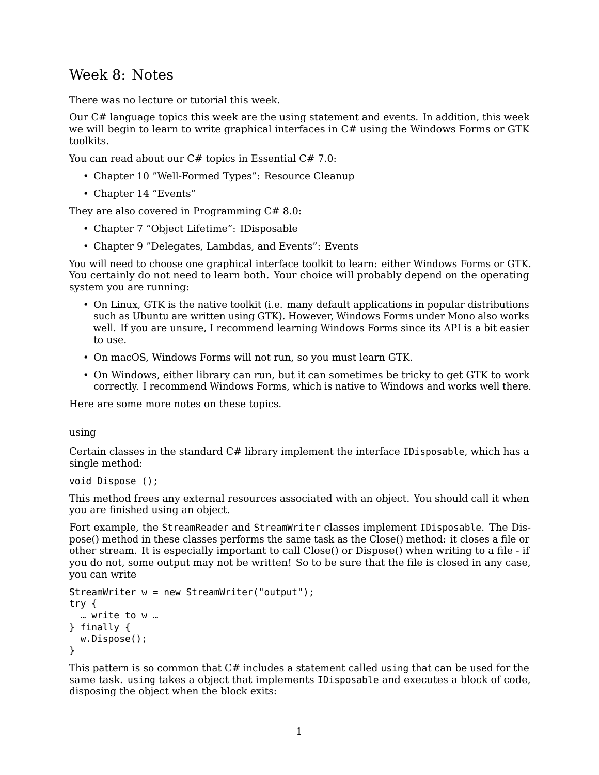# Week 8: Notes

There was no lecture or tutorial this week.

Our C# language topics this week are the using statement and events. In addition, this week we will begin to learn to write graphical interfaces in C# using the Windows Forms or GTK toolkits.

You can read about our C# topics in [Essential C# 7.0:](https://www.pearson.com/us/higher-education/program/Michaelis-Essential-C-7-0-6th-Edition/PGM1654205.html)

- Chapter 10 "Well-Formed Types": Resource Cleanup
- Chapter 14 "Events"

They are also covered in [Programming C# 8.0:](https://www.oreilly.com/library/view/programming-c-80/9781492056805/)

- Chapter 7 "Object Lifetime": IDisposable
- Chapter 9 "Delegates, Lambdas, and Events": Events

You will need to choose one graphical interface toolkit to learn: either Windows Forms or GTK. You certainly do not need to learn both. Your choice will probably depend on the operating system you are running:

- On Linux, GTK is the native toolkit (i.e. many default applications in popular distributions such as Ubuntu are written using GTK). However, Windows Forms under Mono also works well. If you are unsure, I recommend learning Windows Forms since its API is a bit easier to use.
- On macOS, Windows Forms will not run, so you must learn GTK.
- On Windows, either library can run, but it can sometimes be tricky to get GTK to work correctly. I recommend Windows Forms, which is native to Windows and works well there.

Here are some more notes on these topics.

using

Certain classes in the standard  $C#$  library implement the interface IDisposable, which has a single method:

```
void Dispose ();
```
This method frees any external resources associated with an object. You should call it when you are finished using an object.

Fort example, the StreamReader and StreamWriter classes implement IDisposable. The Dispose() method in these classes performs the same task as the Close() method: it closes a file or other stream. It is especially important to call Close() or Dispose() when writing to a file - if you do not, some output may not be written! So to be sure that the file is closed in any case, you can write

```
StreamWriter w = new StreamWriter("output");
try {
  … write to w …
} finally {
 w.Dispose();
}
```
This pattern is so common that  $C\#$  includes a statement called using that can be used for the same task. using takes a object that implements IDisposable and executes a block of code, disposing the object when the block exits: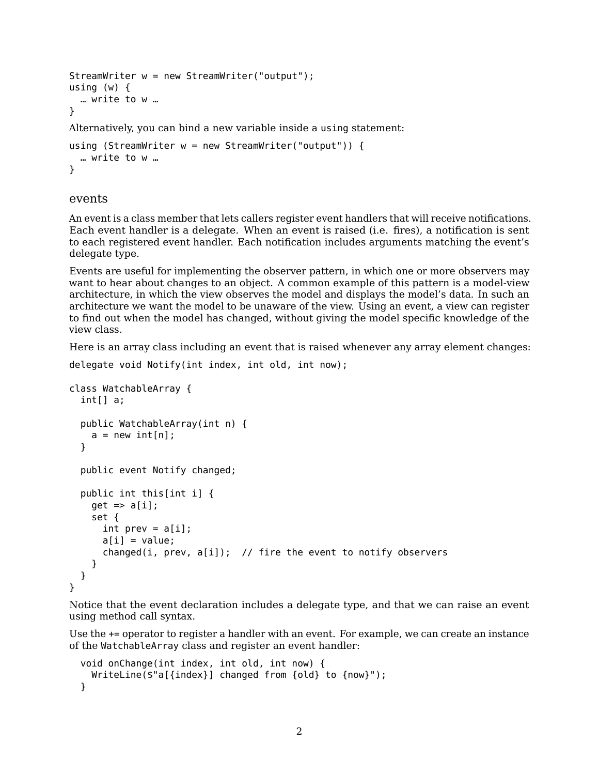```
StreamWriter w = new StreamWriter("output");
using (w) {
  … write to w …
}
Alternatively, you can bind a new variable inside a using statement:
```

```
using (StreamWriter w = new StreamWriter("output")) {
  … write to w …
```
### events

}

An event is a class member that lets callers register event handlers that will receive notifications. Each event handler is a delegate. When an event is raised (i.e. fires), a notification is sent to each registered event handler. Each notification includes arguments matching the event's delegate type.

Events are useful for implementing the observer pattern, in which one or more observers may want to hear about changes to an object. A common example of this pattern is a model-view architecture, in which the view observes the model and displays the model's data. In such an architecture we want the model to be unaware of the view. Using an event, a view can register to find out when the model has changed, without giving the model specific knowledge of the view class.

Here is an array class including an event that is raised whenever any array element changes:

```
delegate void Notify(int index, int old, int now);
```

```
class WatchableArray {
  int[] a;
  public WatchableArray(int n) {
    a = new int[n];}
  public event Notify changed;
  public int this[int i] {
    get \Rightarrow a[i];set {
      int prev = a[i];
      a[i] = value;changed(i, prev, a[i]); // fire the event to notify observers
    }
 }
}
```
Notice that the event declaration includes a delegate type, and that we can raise an event using method call syntax.

Use the += operator to register a handler with an event. For example, we can create an instance of the WatchableArray class and register an event handler:

```
void onChange(int index, int old, int now) {
 WriteLine($"a[{index}] changed from {old} to {now}");
}
```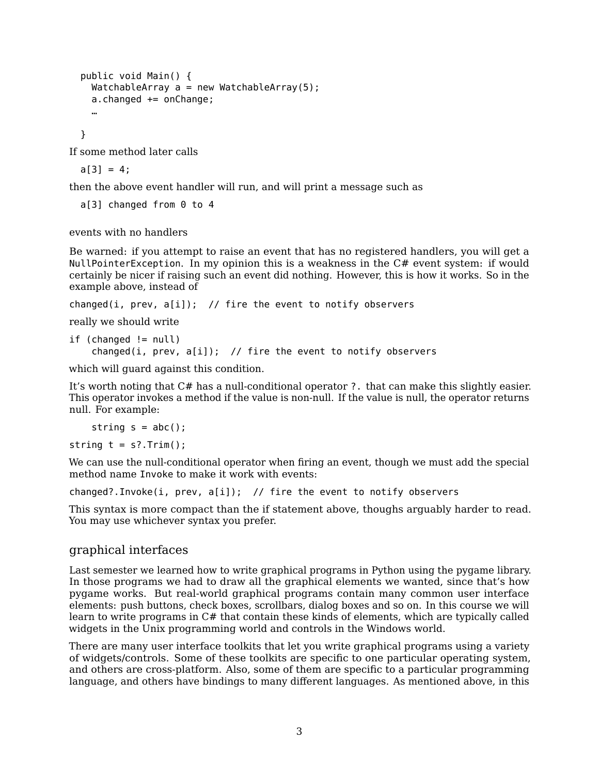```
public void Main() {
 WatchableArray a = new WatchableArray(5);a.changed += onChange;
  …
```
}

If some method later calls

 $a[3] = 4;$ 

then the above event handler will run, and will print a message such as

a[3] changed from 0 to 4

events with no handlers

Be warned: if you attempt to raise an event that has no registered handlers, you will get a NullPointerException. In my opinion this is a weakness in the C# event system: if would certainly be nicer if raising such an event did nothing. However, this is how it works. So in the example above, instead of

```
changed(i, prev, a[i]); // fire the event to notify observers
```
really we should write

```
if (changed != null)
    changed(i, prev, a[i]); // fire the event to notify observers
```
which will guard against this condition.

It's worth noting that C# has a null-conditional operator ?. that can make this slightly easier. This operator invokes a method if the value is non-null. If the value is null, the operator returns null. For example:

```
string s = abc();
```
string  $t = s$ ?.Trim();

We can use the null-conditional operator when firing an event, though we must add the special method name Invoke to make it work with events:

changed?.Invoke(i, prev, a[i]); // fire the event to notify observers

This syntax is more compact than the if statement above, thoughs arguably harder to read. You may use whichever syntax you prefer.

## graphical interfaces

Last semester we learned how to write graphical programs in Python using the pygame library. In those programs we had to draw all the graphical elements we wanted, since that's how pygame works. But real-world graphical programs contain many common user interface elements: push buttons, check boxes, scrollbars, dialog boxes and so on. In this course we will learn to write programs in  $C#$  that contain these kinds of elements, which are typically called widgets in the Unix programming world and controls in the Windows world.

There are many user interface toolkits that let you write graphical programs using a variety of widgets/controls. Some of these toolkits are specific to one particular operating system, and others are cross-platform. Also, some of them are specific to a particular programming language, and others have bindings to many different languages. As mentioned above, in this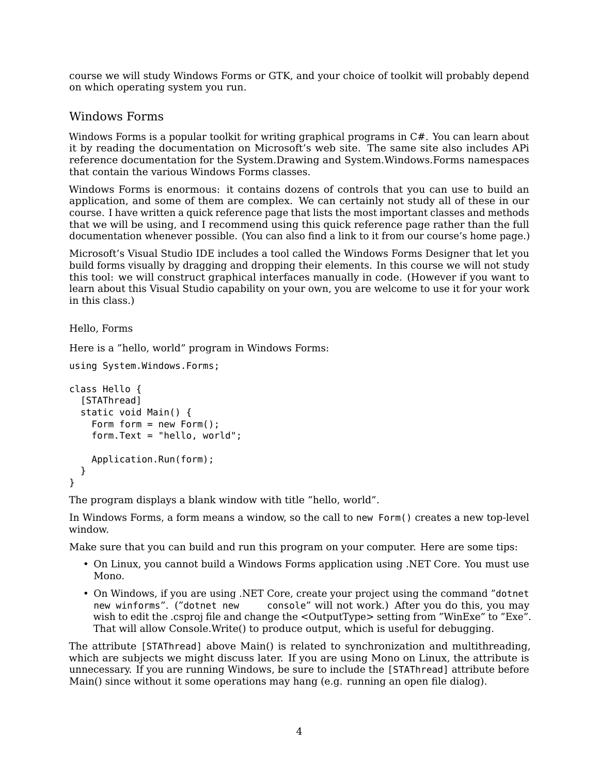course we will study Windows Forms or GTK, and your choice of toolkit will probably depend on which operating system you run.

## Windows Forms

Windows Forms is a popular toolkit for writing graphical programs in  $C\#$ . You can learn about it by reading the [documentation](https://docs.microsoft.com/en-us/dotnet/framework/winforms/) on Microsoft's web site. The same site also includes APi reference documentation for the [System.Drawing](https://docs.microsoft.com/en-us/dotnet/api/system.drawing?view=netframework-4.8) and [System.Windows.Forms](https://docs.microsoft.com/en-us/dotnet/api/system.windows.forms?view=netframework-4.8) namespaces that contain the various Windows Forms classes.

Windows Forms is enormous: it contains dozens of controls that you can use to build an application, and some of them are complex. We can certainly not study all of these in our course. I have writtena [quick reference](https://ksvi.mff.cuni.cz/~dingle/2019-20/prog_2/windows_forms_reference.html) page that lists the most important classes and methods that we will be using, and I recommend using this quick reference page rather than the full documentation whenever possible. (You can also find a link to it from our course's home page.)

Microsoft's Visual Studio IDE includes a tool called the Windows Forms Designer that let you build forms visually by dragging and dropping their elements. In this course we will not study this tool: we will construct graphical interfaces manually in code. (However if you want to learn about this Visual Studio capability on your own, you are welcome to use it for your work in this class.)

### Hello, Forms

Here is a "hello, world" program in Windows Forms:

```
using System.Windows.Forms;
```

```
class Hello {
  [STAThread]
  static void Main() {
    Form form = new Form():
    form.Text = "hello, world";
    Application.Run(form);
  }
}
```
The program displays a blank window with title "hello, world".

In Windows Forms, a form means a window, so the call to new Form() creates a new top-level window.

Make sure that you can build and run this program on your computer. Here are some tips:

- On Linux, you cannot build a Windows Forms application using .NET Core. You must use Mono.
- On Windows, if you are using .NET Core, create your project using the command "dotnet new winforms". ("dotnet new console" will not work.) After you do this, you may console" will not work.) After you do this, you may wish to edit the .csproj file and change the <OutputType> setting from "WinExe" to "Exe". That will allow Console.Write() to produce output, which is useful for debugging.

The attribute [STAThread] above Main() is related to synchronization and multithreading, which are subjects we might discuss later. If you are using Mono on Linux, the attribute is unnecessary. If you are running Windows, be sure to include the [STAThread] attribute before Main() since without it some operations may hang (e.g. running an open file dialog).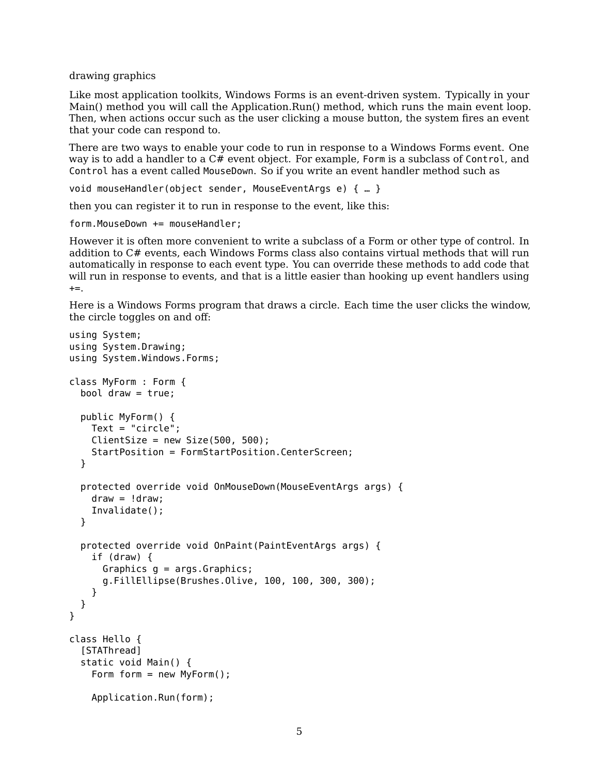drawing graphics

Like most application toolkits, Windows Forms is an event-driven system. Typically in your Main() method you will call the Application.Run() method, which runs the main event loop. Then, when actions occur such as the user clicking a mouse button, the system fires an event that your code can respond to.

There are two ways to enable your code to run in response to a Windows Forms event. One way is to add a handler to a C# event object. For example, Form is a subclass of Control, and Control has a event called MouseDown. So if you write an event handler method such as

void mouseHandler(object sender, MouseEventArgs e) { … }

then you can register it to run in response to the event, like this:

form.MouseDown += mouseHandler;

However it is often more convenient to write a subclass of a Form or other type of control. In addition to C# events, each Windows Forms class also contains virtual methods that will run automatically in response to each event type. You can override these methods to add code that will run in response to events, and that is a little easier than hooking up event handlers using  $+=$ .

Here is a Windows Forms program that draws a circle. Each time the user clicks the window, the circle toggles on and off:

```
using System;
using System.Drawing;
using System.Windows.Forms;
class MyForm : Form {
  bool draw = true;
  public MyForm() {
    Text = "circle";
    ClientSize = new Size(500, 500);StartPosition = FormStartPosition.CenterScreen;
  }
  protected override void OnMouseDown(MouseEventArgs args) {
    draw = 1 draw:
    Invalidate();
  }
  protected override void OnPaint(PaintEventArgs args) {
    if (draw) {
      Graphics g = args.Graphics;
      g.FillEllipse(Brushes.Olive, 100, 100, 300, 300);
    }
 }
}
class Hello {
  [STAThread]
  static void Main() {
    Form form = new MyForm();
    Application.Run(form);
```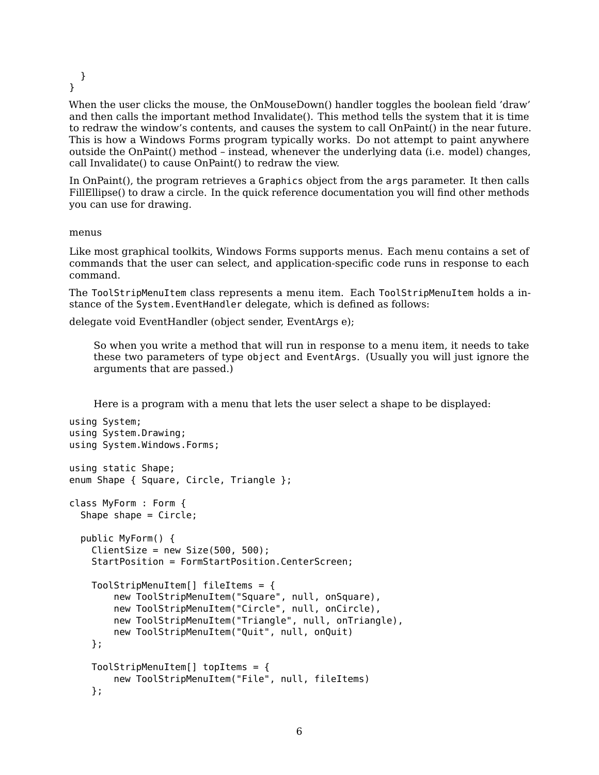} }

When the user clicks the mouse, the OnMouseDown() handler toggles the boolean field 'draw' and then calls the important method Invalidate(). This method tells the system that it is time to redraw the window's contents, and causes the system to call OnPaint() in the near future. This is how a Windows Forms program typically works. Do not attempt to paint anywhere outside the OnPaint() method – instead, whenever the underlying data (i.e. model) changes, call Invalidate() to cause OnPaint() to redraw the view.

In OnPaint(), the program retrieves a Graphics object from the args parameter. It then calls FillEllipse() to draw a circle. In the quick reference documentation you will find other methods you can use for drawing.

### menus

Like most graphical toolkits, Windows Forms supports menus. Each menu contains a set of commands that the user can select, and application-specific code runs in response to each command.

The ToolStripMenuItem class represents a menu item. Each ToolStripMenuItem holds a instance of the System.EventHandler delegate, which is defined as follows:

delegate void EventHandler (object sender, EventArgs e);

So when you write a method that will run in response to a menu item, it needs to take these two parameters of type object and EventArgs. (Usually you will just ignore the arguments that are passed.)

Here is a program with a menu that lets the user select a shape to be displayed:

```
using System;
using System.Drawing;
using System.Windows.Forms;
using static Shape;
enum Shape { Square, Circle, Triangle };
class MyForm : Form {
  Shape shape = Circle;
  public MyForm() {
    ClientSize = new Size(500, 500);
    StartPosition = FormStartPosition.CenterScreen;
    ToolStripMenuItem[] fileItems = {
        new ToolStripMenuItem("Square", null, onSquare),
        new ToolStripMenuItem("Circle", null, onCircle),
        new ToolStripMenuItem("Triangle", null, onTriangle),
        new ToolStripMenuItem("Quit", null, onQuit)
    };
   ToolStripMenuItem[] topItems = {
        new ToolStripMenuItem("File", null, fileItems)
    };
```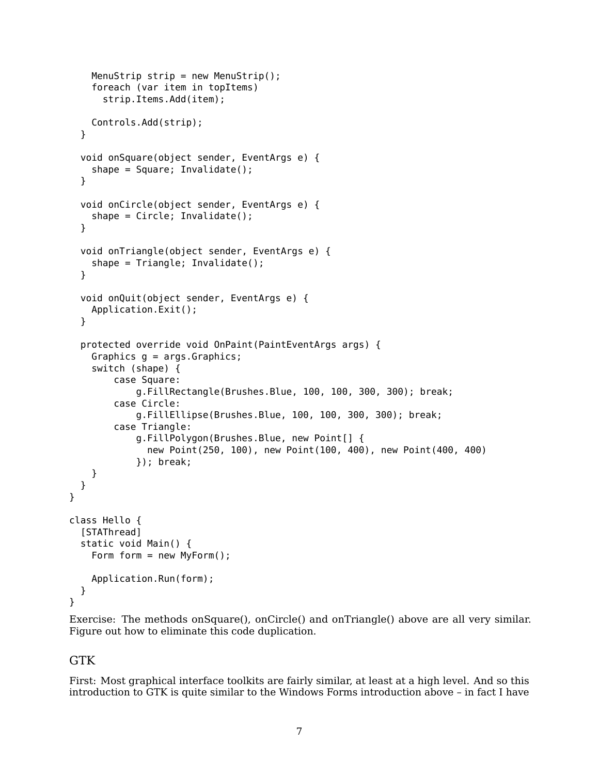```
MenuStrip strip = new MenuStrip();
    foreach (var item in topItems)
      strip.Items.Add(item);
    Controls.Add(strip);
  }
  void onSquare(object sender, EventArgs e) {
    shape = Square; Invalidate();
  }
  void onCircle(object sender, EventArgs e) {
    shape = Circle; Invalidate();
  }
  void onTriangle(object sender, EventArgs e) {
    shape = Triangle; Invalidate();
  }
  void onQuit(object sender, EventArgs e) {
    Application.Exit();
  }
  protected override void OnPaint(PaintEventArgs args) {
    Graphics q = \text{args.Graphics};
    switch (shape) {
        case Square:
            g.FillRectangle(Brushes.Blue, 100, 100, 300, 300); break;
        case Circle:
            g.FillEllipse(Brushes.Blue, 100, 100, 300, 300); break;
        case Triangle:
            g.FillPolygon(Brushes.Blue, new Point[] {
              new Point(250, 100), new Point(100, 400), new Point(400, 400)
            }); break;
    }
 }
}
class Hello {
  [STAThread]
  static void Main() {
    Form form = new MyForm();
    Application.Run(form);
  }
}
```
Exercise: The methods onSquare(), onCircle() and onTriangle() above are all very similar. Figure out how to eliminate this code duplication.

## GTK

First: Most graphical interface toolkits are fairly similar, at least at a high level. And so this introduction to GTK is quite similar to the Windows Forms introduction above – in fact I have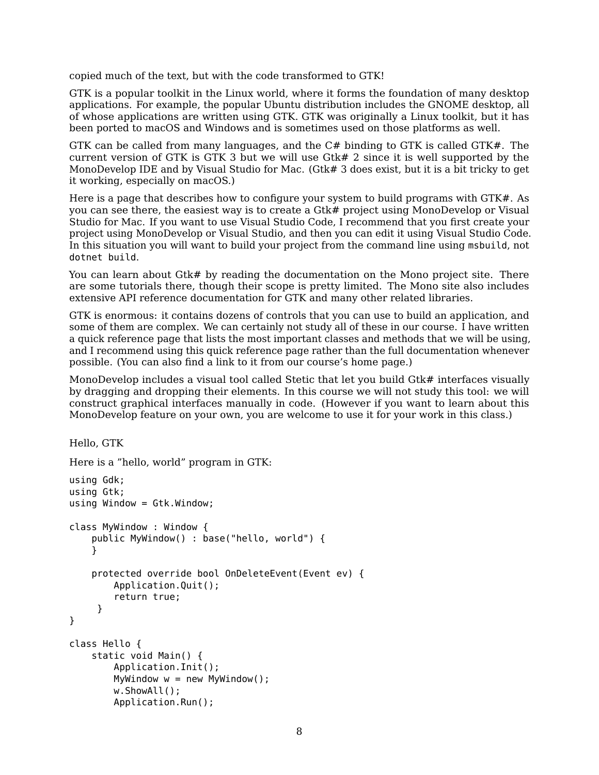copied much of the text, but with the code transformed to GTK!

GTK is a popular toolkit in the Linux world, where it forms the foundation of many desktop applications. For example, the popular Ubuntu distribution includes the GNOME desktop, all of whose applications are written using GTK. GTK was originally a Linux toolkit, but it has been ported to macOS and Windows and is sometimes used on those platforms as well.

GTK can be called from many languages, and the C# binding to GTK is called GTK#. The current version of GTK is GTK 3 but we will use Gtk# 2 since it is well supported by the MonoDevelop IDE and by Visual Studio for Mac. (Gtk# 3 does exist, but it is a bit tricky to get it working, especially on macOS.)

Hereis [a page](https://ksvi.mff.cuni.cz/~dingle/2019-20/prog_2/gtk_sharp_setup.html) that describes how to configure your system to build programs with GTK#. As you can see there, the easiest way is to create a Gtk# project using MonoDevelop or Visual Studio for Mac. If you want to use Visual Studio Code, I recommend that you first create your project using MonoDevelop or Visual Studio, and then you can edit it using Visual Studio Code. In this situation you will want to build your project from the command line using msbuild, not dotnet build.

You can learn about Gtk# by reading the [documentation](https://www.mono-project.com/docs/gui/gtksharp/) on the Mono project site. There are some [tutorials](https://www.mono-project.com/docs/gui/gtksharp/tutorials/) there, though their scope is pretty limited. The Mono site also includes extensive API [reference documentation](http://docs.go-mono.com/monodoc.ashx?link=root:/classlib-gnome) for GTK and many other related libraries.

GTK is enormous: it contains dozens of controls that you can use to build an application, and some of them are complex. We can certainly not study all of these in our course. I have written a [quick reference](https://ksvi.mff.cuni.cz/~dingle/2019-20/prog_2/gtk_sharp_reference.html) page that lists the most important classes and methods that we will be using, and I recommend using this quick reference page rather than the full documentation whenever possible. (You can also find a link to it from our course's home page.)

MonoDevelop includes a visual tool called Stetic that let you build Gtk# interfaces visually by dragging and dropping their elements. In this course we will not study this tool: we will construct graphical interfaces manually in code. (However if you want to learn about this MonoDevelop feature on your own, you are welcome to use it for your work in this class.)

Hello, GTK

```
Here is a "hello, world" program in GTK:
using Gdk;
using Gtk;
using Window = Gtk.Window;
class MyWindow : Window {
    public MyWindow() : base("hello, world") {
    }
    protected override bool OnDeleteEvent(Event ev) {
        Application.Quit();
        return true;
     }
}
class Hello {
    static void Main() {
        Application.Init();
        MyWindow w = new MyWindow();
        w.ShowAll();
        Application.Run();
```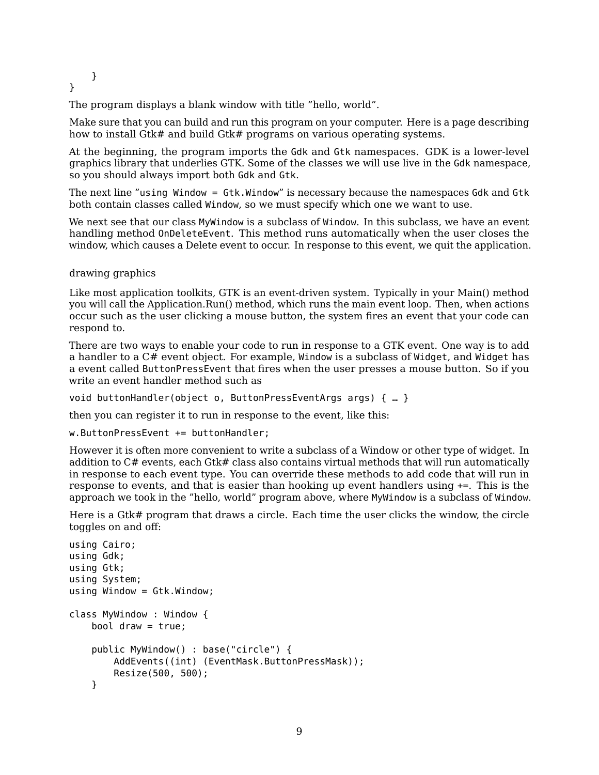}

}

The program displays a blank window with title "hello, world".

Make sure that you can build and run this program on your computer. Here is [a page](https://ksvi.mff.cuni.cz/~dingle/2019-20/prog_2/gtk_sharp_setup.html) describing how to install Gtk# and build Gtk# programs on various operating systems.

At the beginning, the program imports the Gdk and Gtk namespaces. GDK is a lower-level graphics library that underlies GTK. Some of the classes we will use live in the Gdk namespace, so you should always import both Gdk and Gtk.

The next line "using Window = Gtk.Window" is necessary because the namespaces Gdk and Gtk both contain classes called Window, so we must specify which one we want to use.

We next see that our class MyWindow is a subclass of Window. In this subclass, we have an event handling method OnDeleteEvent. This method runs automatically when the user closes the window, which causes a Delete event to occur. In response to this event, we quit the application.

drawing graphics

Like most application toolkits, GTK is an event-driven system. Typically in your Main() method you will call the Application.Run() method, which runs the main event loop. Then, when actions occur such as the user clicking a mouse button, the system fires an event that your code can respond to.

There are two ways to enable your code to run in response to a GTK event. One way is to add a handler to a C# event object. For example, Window is a subclass of Widget, and Widget has a event called ButtonPressEvent that fires when the user presses a mouse button. So if you write an event handler method such as

void buttonHandler(object o, ButtonPressEventArgs args) { … }

then you can register it to run in response to the event, like this:

w.ButtonPressEvent += buttonHandler;

However it is often more convenient to write a subclass of a Window or other type of widget. In addition to C# events, each Gtk# class also contains virtual methods that will run automatically in response to each event type. You can override these methods to add code that will run in response to events, and that is easier than hooking up event handlers using +=. This is the approach we took in the "hello, world" program above, where MyWindow is a subclass of Window.

Here is a Gtk# program that draws a circle. Each time the user clicks the window, the circle toggles on and off:

```
using Cairo;
using Gdk;
using Gtk;
using System;
using Window = Gtk.Window;
class MyWindow : Window {
    bool draw = true;
    public MyWindow() : base("circle") {
        AddEvents((int) (EventMask.ButtonPressMask));
        Resize(500, 500);
    }
```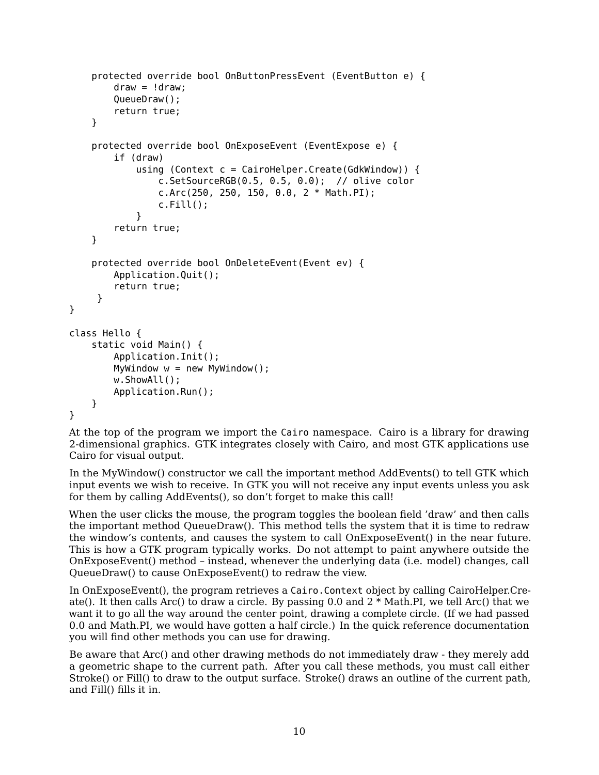```
protected override bool OnButtonPressEvent (EventButton e) {
        draw = !draw;QueueDraw();
        return true;
    }
    protected override bool OnExposeEvent (EventExpose e) {
        if (draw)
            using (Context c = CairoHelper.Create(GdkWindow)) {
                c.SetSourceRGB(0.5, 0.5, 0.0); // olive color
                c.Arc(250, 250, 150, 0.0, 2 * Math.PI);
                c.Fill();
            }
        return true;
    }
    protected override bool OnDeleteEvent(Event ev) {
        Application.Quit();
        return true;
     }
class Hello {
    static void Main() {
        Application.Init();
        MyWindow w = new MyWindow();
        w.ShowAll();
        Application.Run();
    }
```
}

}

At the top of the program we import the Cairo namespace. [Cairo](https://www.cairographics.org/) is a library for drawing 2-dimensional graphics. GTK integrates closely with Cairo, and most GTK applications use Cairo for visual output.

In the MyWindow() constructor we call the important method AddEvents() to tell GTK which input events we wish to receive. In GTK you will not receive any input events unless you ask for them by calling AddEvents(), so don't forget to make this call!

When the user clicks the mouse, the program toggles the boolean field 'draw' and then calls the important method QueueDraw(). This method tells the system that it is time to redraw the window's contents, and causes the system to call OnExposeEvent() in the near future. This is how a GTK program typically works. Do not attempt to paint anywhere outside the OnExposeEvent() method – instead, whenever the underlying data (i.e. model) changes, call QueueDraw() to cause OnExposeEvent() to redraw the view.

In OnExposeEvent(), the program retrieves a Cairo.Context object by calling CairoHelper.Create(). It then calls Arc() to draw a circle. By passing 0.0 and  $2 * \text{Math.PI}$ , we tell Arc() that we want it to go all the way around the center point, drawing a complete circle. (If we had passed 0.0 and Math.PI, we would have gotten a half circle.) In the quick reference documentation you will find other methods you can use for drawing.

Be aware that Arc() and other drawing methods do not immediately draw - they merely add a geometric shape to the current path. After you call these methods, you must call either Stroke() or Fill() to draw to the output surface. Stroke() draws an outline of the current path, and Fill() fills it in.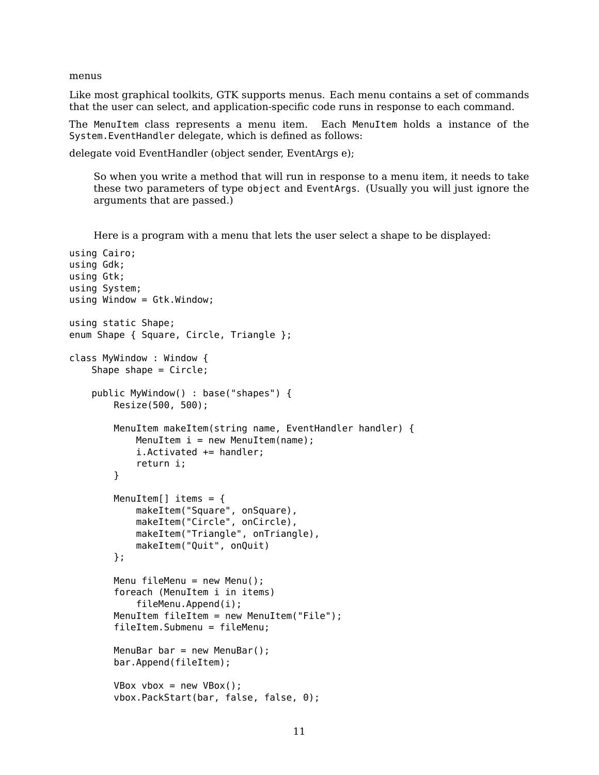menus

Like most graphical toolkits, GTK supports menus. Each menu contains a set of commands that the user can select, and application-specific code runs in response to each command.

The MenuItem class represents a menu item. Each MenuItem holds a instance of the System.EventHandler delegate, which is defined as follows:

delegate void EventHandler (object sender, EventArgs e);

So when you write a method that will run in response to a menu item, it needs to take these two parameters of type object and EventArgs. (Usually you will just ignore the arguments that are passed.)

Here is a program with a menu that lets the user select a shape to be displayed:

```
using Cairo;
using Gdk;
using Gtk;
using System;
using Window = Gtk.Window;
using static Shape;
enum Shape { Square, Circle, Triangle };
class MyWindow : Window {
    Shape shape = Circle;
    public MyWindow() : base("shapes") {
        Resize(500, 500);
        MenuItem makeItem(string name, EventHandler handler) {
            MenuItem i = new MenuItem(name);
            i.Activated += handler;
            return i;
        }
        MenuItem[] items = {
            makeItem("Square", onSquare),
            makeItem("Circle", onCircle),
            makeItem("Triangle", onTriangle),
            makeItem("Quit", onQuit)
        };
        Menu fileMenu = new Menu();
        foreach (MenuItem i in items)
            fileMenu.Append(i);
        MenuItem fileItem = new MenuItem("File");
        fileItem.Submenu = fileMenu;
        MenuBar bar = new MenuBar();
        bar.Append(fileItem);
        VBox vbox = new VBox();
        vbox.PackStart(bar, false, false, 0);
```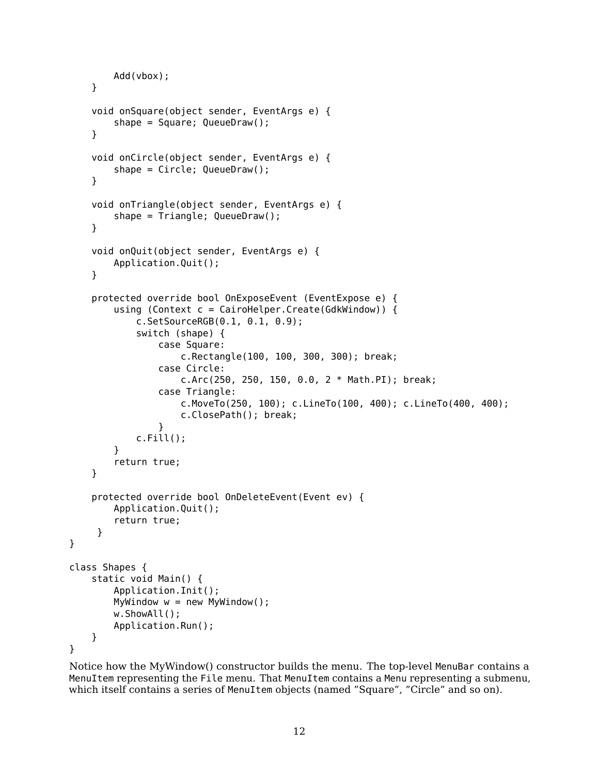```
Add(vbox);
    }
    void onSquare(object sender, EventArgs e) {
        shape = Square; QueueDraw();
    }
    void onCircle(object sender, EventArgs e) {
        shape = Circle; QueueDraw();
    }
    void onTriangle(object sender, EventArgs e) {
        shape = Triangle; QueueDraw();
    }
    void onQuit(object sender, EventArgs e) {
        Application.Quit();
    }
    protected override bool OnExposeEvent (EventExpose e) {
        using (Context c = CairoHelper.Create(GdkWindow)) {
            c.SetSourceRGB(0.1, 0.1, 0.9);
            switch (shape) {
                case Square:
                    c.Rectangle(100, 100, 300, 300); break;
                case Circle:
                    c.Arc(250, 250, 150, 0.0, 2 * Math.PI); break;
                case Triangle:
                    c.MoveTo(250, 100); c.LineTo(100, 400); c.LineTo(400, 400);
                    c.ClosePath(); break;
                }
            c.Fill();
        }
        return true;
    }
    protected override bool OnDeleteEvent(Event ev) {
        Application.Quit();
        return true;
     }
class Shapes {
    static void Main() {
        Application.Init();
        MyWindow w = new MyWindow();
        w.ShowAll();
        Application.Run();
    }
```
Notice how the MyWindow() constructor builds the menu. The top-level MenuBar contains a MenuItem representing the File menu. That MenuItem contains a Menu representing a submenu, which itself contains a series of MenuItem objects (named "Square", "Circle" and so on).

}

}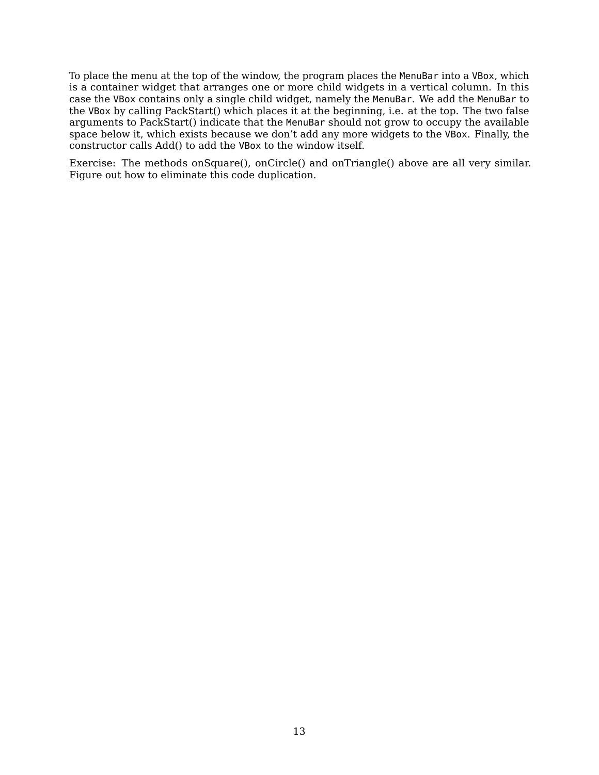To place the menu at the top of the window, the program places the MenuBar into a VBox, which is a container widget that arranges one or more child widgets in a vertical column. In this case the VBox contains only a single child widget, namely the MenuBar. We add the MenuBar to the VBox by calling PackStart() which places it at the beginning, i.e. at the top. The two false arguments to PackStart() indicate that the MenuBar should not grow to occupy the available space below it, which exists because we don't add any more widgets to the VBox. Finally, the constructor calls Add() to add the VBox to the window itself.

Exercise: The methods onSquare(), onCircle() and onTriangle() above are all very similar. Figure out how to eliminate this code duplication.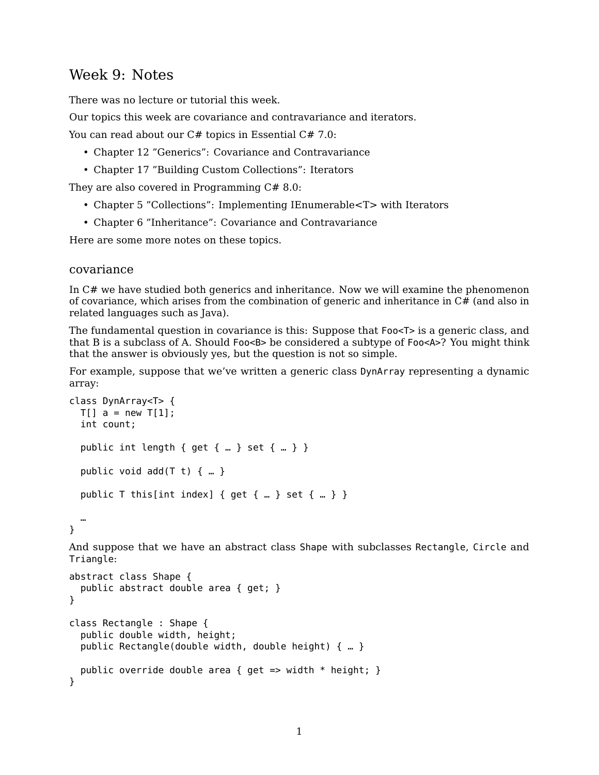## Week 9: Notes

There was no lecture or tutorial this week.

Our topics this week are covariance and contravariance and iterators.

You can read about our C# topics in [Essential C# 7.0:](https://www.pearson.com/us/higher-education/program/Michaelis-Essential-C-7-0-6th-Edition/PGM1654205.html)

- Chapter 12 "Generics": Covariance and Contravariance
- Chapter 17 "Building Custom Collections": Iterators

They are also covered in [Programming C# 8.0:](https://www.oreilly.com/library/view/programming-c-80/9781492056805/)

- Chapter 5 "Collections": Implementing IEnumerable<T> with Iterators
- Chapter 6 "Inheritance": Covariance and Contravariance

Here are some more notes on these topics.

### covariance

In C# we have studied both generics and inheritance. Now we will examine the phenomenon of covariance, which arises from the combination of generic and inheritance in  $C\#$  (and also in related languages such as Java).

The fundamental question in covariance is this: Suppose that Foo<T> is a generic class, and that B is a subclass of A. Should Foo<B> be considered a subtype of Foo<A>? You might think that the answer is obviously yes, but the question is not so simple.

For example, suppose that we've written a generic class DynArray representing a dynamic array:

```
class DynArray<T> {
  T[] a = new T[1];
  int count;
  public int length { get { ... } set { ... } }
  public void add(T t) \{ ... }
  public T this[int index] { get { ... } set { ... } }
  …
}
```
And suppose that we have an abstract class Shape with subclasses Rectangle, Circle and Triangle:

```
abstract class Shape {
  public abstract double area { get; }
}
class Rectangle : Shape {
  public double width, height;
  public Rectangle(double width, double height) { … }
  public override double area { get => width * height; }
}
```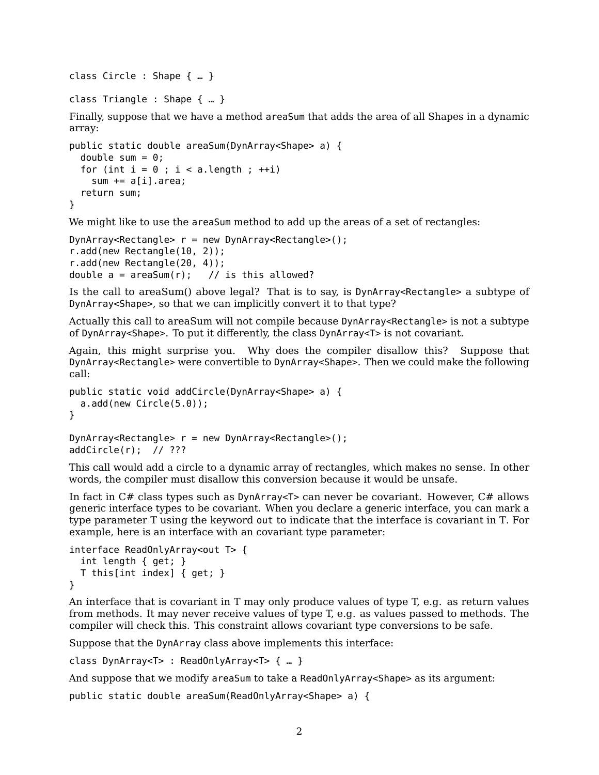class Circle : Shape { … }

class Triangle : Shape { … }

Finally, suppose that we have a method areaSum that adds the area of all Shapes in a dynamic array:

```
public static double areaSum(DynArray<Shape> a) {
 double sum = 0;
  for (int i = 0; i < a. length; +i)
    sum += a[i].area;
  return sum;
}
```
We might like to use the areaSum method to add up the areas of a set of rectangles:

```
DynArray < Rectangle > r = new DynArray < Rectangle > ();
r.add(new Rectangle(10, 2));
r.add(new Rectangle(20, 4));
double a = \text{areaSum}(r); // is this allowed?
```
Is the call to areaSum() above legal? That is to say, is DynArray<Rectangle> a subtype of DynArray<Shape>, so that we can implicitly convert it to that type?

Actually this call to areaSum will not compile because DynArray<Rectangle> is not a subtype of DynArray<Shape>. To put it differently, the class DynArray<T> is not covariant.

Again, this might surprise you. Why does the compiler disallow this? Suppose that DynArray<Rectangle> were convertible to DynArray<Shape>. Then we could make the following call:

```
public static void addCircle(DynArray<Shape> a) {
 a.add(new Circle(5.0));
}
```

```
DynArray < Rectangle > r = new DynArray < Rectangle > ();
addCircle(r); // ???
```
This call would add a circle to a dynamic array of rectangles, which makes no sense. In other words, the compiler must disallow this conversion because it would be unsafe.

In fact in  $C#$  class types such as DynArray  $T$  can never be covariant. However,  $C#$  allows generic interface types to be covariant. When you declare a generic interface, you can mark a type parameter T using the keyword out to indicate that the interface is covariant in T. For example, here is an interface with an covariant type parameter:

```
interface ReadOnlyArray<out T> {
  int length { get; }
  T this[int index] { get; }
}
```
An interface that is covariant in T may only produce values of type T, e.g. as return values from methods. It may never receive values of type T, e.g. as values passed to methods. The compiler will check this. This constraint allows covariant type conversions to be safe.

Suppose that the DynArray class above implements this interface:

class DynArray<T> : ReadOnlyArray<T> { … }

And suppose that we modify areaSum to take a ReadOnlyArray<Shape> as its argument:

public static double areaSum(ReadOnlyArray<Shape> a) {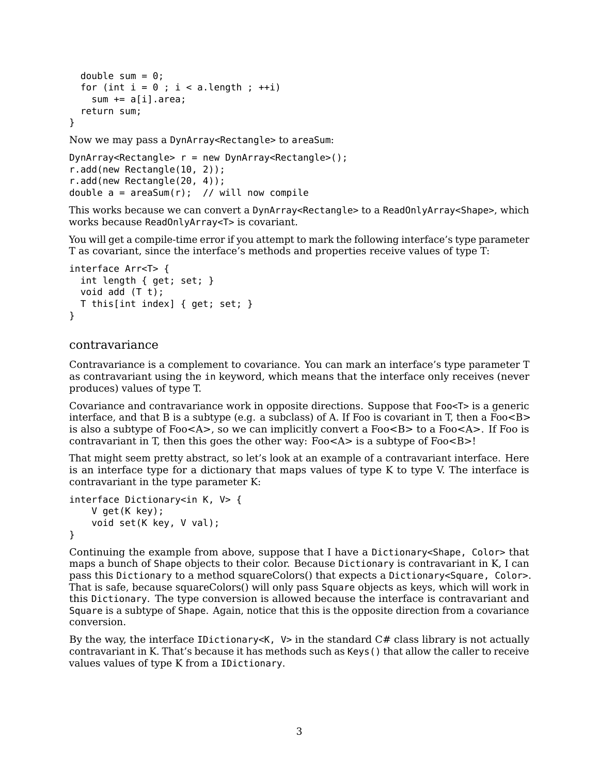```
double sum = 0;
  for (int i = 0; i < a. length; ++i)
    sum += a[i].area;
  return sum;
}
```
Now we may pass a DynArray<Rectangle> to areaSum:

```
DynArray < Rectangle > r = new DynArray < Rectangle > ();
r.add(new Rectangle(10, 2));
r.add(new Rectangle(20, 4));
double a = \text{areaSum}(r); // will now compile
```
This works because we can convert a DynArray<Rectangle> to a ReadOnlyArray<Shape>, which works because ReadOnlyArray<T> is covariant.

You will get a compile-time error if you attempt to mark the following interface's type parameter T as covariant, since the interface's methods and properties receive values of type T:

```
interface Arr<T> {
  int length { get; set; }
  void add (T t);
  T this[int index] { get; set; }
}
```
### contravariance

Contravariance is a complement to covariance. You can mark an interface's type parameter T as contravariant using the in keyword, which means that the interface only receives (never produces) values of type T.

Covariance and contravariance work in opposite directions. Suppose that Foo<T> is a generic interface, and that B is a subtype (e.g. a subclass) of A. If Foo is covariant in T, then a Foo $\leq$ B $>$ is also a subtype of Foo<A>, so we can implicitly convert a Foo<B> to a Foo<A>. If Foo is contravariant in T, then this goes the other way: Foo $\leq A$  is a subtype of Foo $\leq B$  >!

That might seem pretty abstract, so let's look at an example of a contravariant interface. Here is an interface type for a dictionary that maps values of type K to type V. The interface is contravariant in the type parameter K:

```
interface Dictionary<in K, V> {
    V get(K key);
    void set(K key, V val);
}
```
Continuing the example from above, suppose that I have a Dictionary<Shape, Color> that maps a bunch of Shape objects to their color. Because Dictionary is contravariant in K, I can pass this Dictionary to a method squareColors() that expects a Dictionary<Square, Color>. That is safe, because squareColors() will only pass Square objects as keys, which will work in this Dictionary. The type conversion is allowed because the interface is contravariant and Square is a subtype of Shape. Again, notice that this is the opposite direction from a covariance conversion.

By the way, the interface IDictionary<K,  $V$  in the standard  $C#$  class library is not actually contravariant in K. That's because it has methods such as Keys() that allow the caller to receive values values of type K from a IDictionary.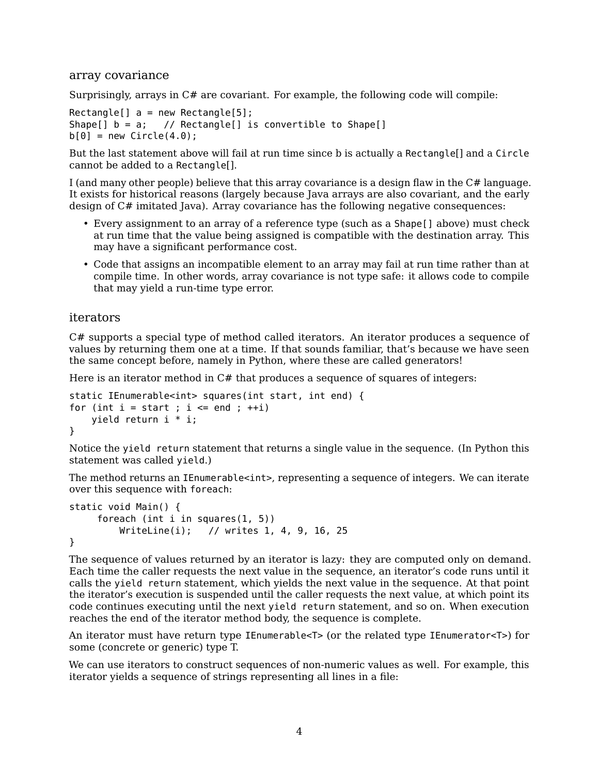### array covariance

Surprisingly, arrays in C# are covariant. For example, the following code will compile:

 $Rectangle[] a = new Rectangle[5];$ Shape[] b = a; // Rectangle[] is convertible to Shape[]  $b[0]$  = new Circle(4.0);

But the last statement above will fail at run time since b is actually a Rectangle[] and a Circle cannot be added to a Rectangle[].

I (and many other people) believe that this array covariance is a design flaw in the C# language. It exists for historical reasons (largely because Java arrays are also covariant, and the early design of C# imitated Java). Array covariance has the following negative consequences:

- Every assignment to an array of a reference type (such as a Shape[] above) must check at run time that the value being assigned is compatible with the destination array. This may have a significant performance cost.
- Code that assigns an incompatible element to an array may fail at run time rather than at compile time. In other words, array covariance is not type safe: it allows code to compile that may yield a run-time type error.

## iterators

C# supports a special type of method called iterators. An iterator produces a sequence of values by returning them one at a time. If that sounds familiar, that's because we have seen the same concept before, namely in Python, where these are called generators!

Here is an iterator method in  $C#$  that produces a sequence of squares of integers:

```
static IEnumerable<int> squares(int start, int end) {
for (int i = start; i \le end; +i)
   yield return i * i;
}
```
Notice the yield return statement that returns a single value in the sequence. (In Python this statement was called yield.)

The method returns an IEnumerable<int>, representing a sequence of integers. We can iterate over this sequence with foreach:

```
static void Main() {
     foreach (int i in squares(1, 5))
        WriteLine(i); // writes 1, 4, 9, 16, 25
}
```
The sequence of values returned by an iterator is lazy: they are computed only on demand. Each time the caller requests the next value in the sequence, an iterator's code runs until it calls the yield return statement, which yields the next value in the sequence. At that point the iterator's execution is suspended until the caller requests the next value, at which point its code continues executing until the next yield return statement, and so on. When execution reaches the end of the iterator method body, the sequence is complete.

An iterator must have return type IEnumerable<T> (or the related type IEnumerator<T>) for some (concrete or generic) type T.

We can use iterators to construct sequences of non-numeric values as well. For example, this iterator yields a sequence of strings representing all lines in a file: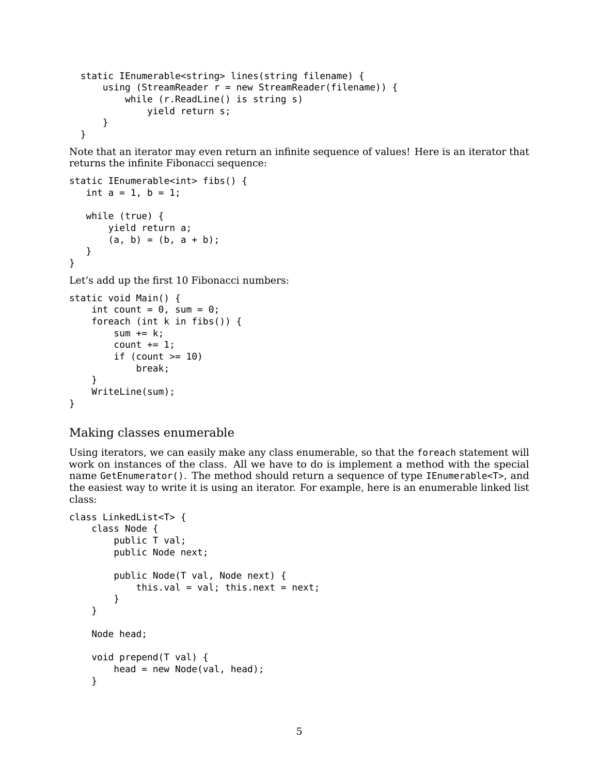```
static IEnumerable<string> lines(string filename) {
    using (StreamReader r = new StreamReader(filename)) {
       while (r.ReadLine() is string s)
            yield return s;
    }
}
```
Note that an iterator may even return an infinite sequence of values! Here is an iterator that returns the infinite Fibonacci sequence:

```
static IEnumerable<int> fibs() {
  int a = 1, b = 1;
  while (true) {
       yield return a;
       (a, b) = (b, a + b);}
}
```
Let's add up the first 10 Fibonacci numbers:

```
static void Main() {
    int count = 0, sum = 0;
    foreach (int k in fibs()) {
        sum += k;count += 1;if (count >= 10)
            break;
    }
   WriteLine(sum);
}
```
Making classes enumerable

Using iterators, we can easily make any class enumerable, so that the foreach statement will work on instances of the class. All we have to do is implement a method with the special name GetEnumerator(). The method should return a sequence of type IEnumerable<T>, and the easiest way to write it is using an iterator. For example, here is an enumerable linked list class:

```
class LinkedList<T> {
    class Node {
        public T val;
        public Node next;
        public Node(T val, Node next) {
            this.val = val; this.next = next;
        }
    }
   Node head;
   void prepend(T val) {
        head = new Node(val, head);}
```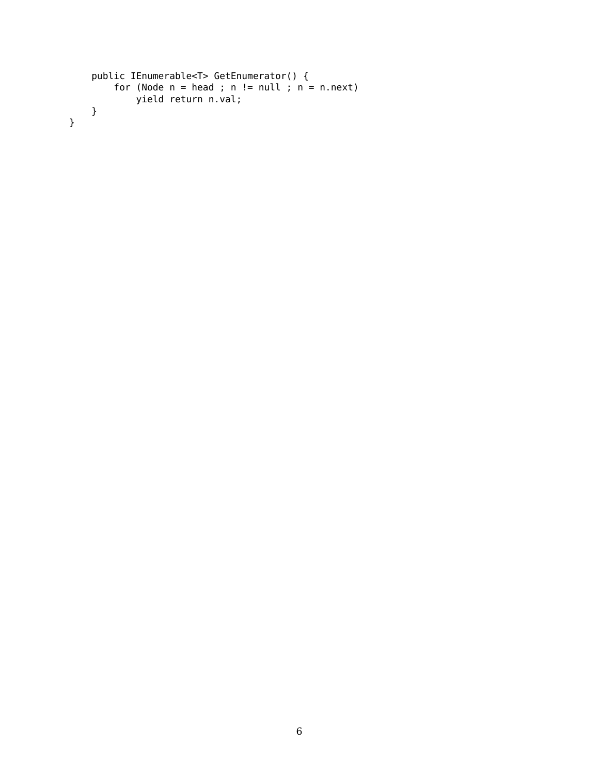```
public IEnumerable<T> GetEnumerator() {
    for (Node n = head; n == null; n = n.next)
        yield return n.val;
}
```
}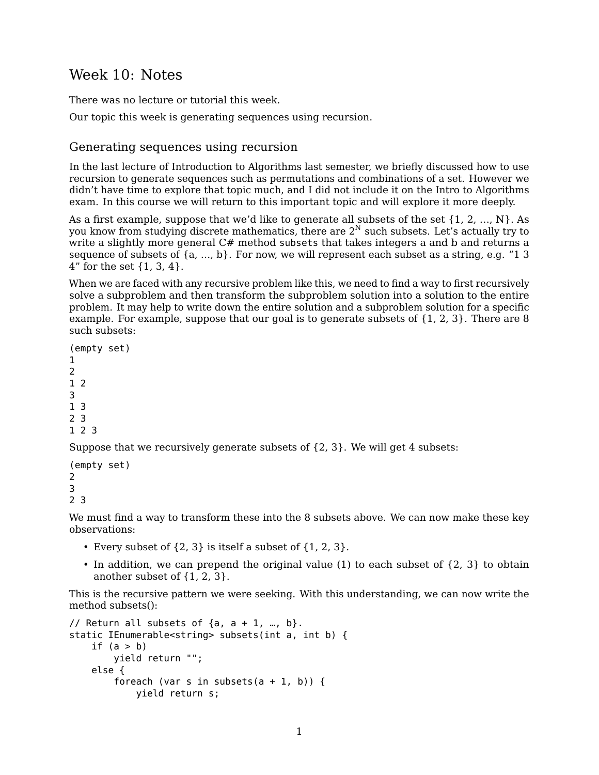# Week 10: Notes

There was no lecture or tutorial this week.

Our topic this week is generating sequences using recursion.

## Generating sequences using recursion

In the last lecture of Introduction to Algorithms last semester, we briefly discussed how to use recursion to generate sequences such as permutations and combinations of a set. However we didn't have time to explore that topic much, and I did not include it on the Intro to Algorithms exam. In this course we will return to this important topic and will explore it more deeply.

As a first example, suppose that we'd like to generate all subsets of the set  $\{1, 2, ..., N\}$ . As you know from studying discrete mathematics, there are  $2<sup>N</sup>$  such subsets. Let's actually try to write a slightly more general C# method subsets that takes integers a and b and returns a sequence of subsets of {a, …, b}. For now, we will represent each subset as a string, e.g. "1 3 4" for the set {1, 3, 4}.

When we are faced with any recursive problem like this, we need to find a way to first recursively solve a subproblem and then transform the subproblem solution into a solution to the entire problem. It may help to write down the entire solution and a subproblem solution for a specific example. For example, suppose that our goal is to generate subsets of {1, 2, 3}. There are 8 such subsets:

```
(empty set)
1
2
1 2
3
1 3
2 3
1 2 3
```
Suppose that we recursively generate subsets of {2, 3}. We will get 4 subsets:

```
(empty set)
2
3
2 3
```
We must find a way to transform these into the 8 subsets above. We can now make these key observations:

- Every subset of  $\{2, 3\}$  is itself a subset of  $\{1, 2, 3\}$ .
- In addition, we can prepend the original value (1) to each subset of {2, 3} to obtain another subset of {1, 2, 3}.

This is the recursive pattern we were seeking. With this understanding, we can now write the method subsets():

```
// Return all subsets of \{a, a + 1, ..., b\}.
static IEnumerable<string> subsets(int a, int b) {
    if (a > b)yield return "";
    else {
        foreach (var s in subsets(a + 1, b)) {
            yield return s;
```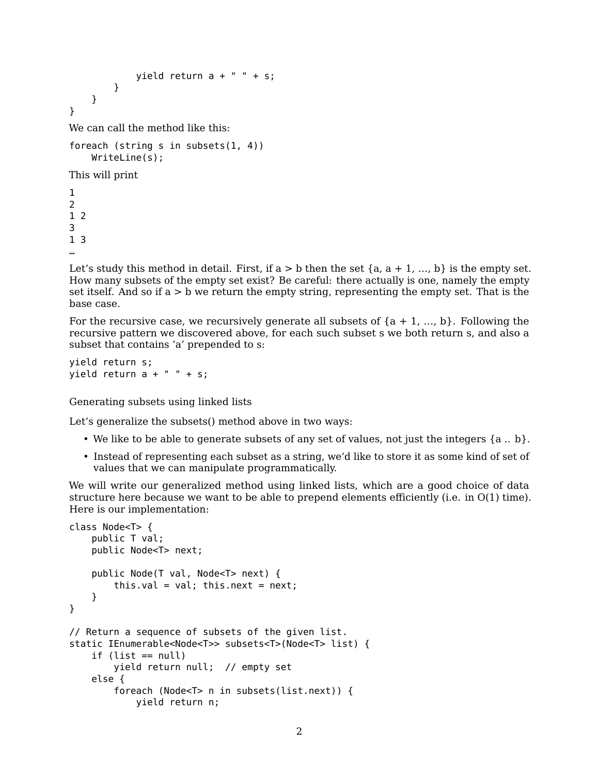```
yield return a + " " + s;}
    }
}
```
We can call the method like this:

```
foreach (string s in subsets(1, 4))
   WriteLine(s);
```
This will print

Let's study this method in detail. First, if  $a > b$  then the set  $\{a, a + 1, ..., b\}$  is the empty set. How many subsets of the empty set exist? Be careful: there actually is one, namely the empty set itself. And so if  $a > b$  we return the empty string, representing the empty set. That is the base case.

For the recursive case, we recursively generate all subsets of  ${a + 1, ..., b}$ . Following the recursive pattern we discovered above, for each such subset s we both return s, and also a subset that contains 'a' prepended to s:

```
yield return s;
yield return a + " " + s;
```
Generating subsets using linked lists

Let's generalize the subsets() method above in two ways:

- We like to be able to generate subsets of any set of values, not just the integers  $\{a \,..\, b\}$ .
- Instead of representing each subset as a string, we'd like to store it as some kind of set of values that we can manipulate programmatically.

We will write our generalized method using linked lists, which are a good choice of data structure here because we want to be able to prepend elements efficiently (i.e. in O(1) time). Here is our implementation:

```
class Node<T> {
    public T val;
    public Node<T> next;
    public Node(T val, Node<T> next) {
        this.val = val; this.next = next;
    }
}
// Return a sequence of subsets of the given list.
static IEnumerable<Node<T>> subsets<T>(Node<T> list) {
    if (list == null)
        yield return null; // empty set
    else {
        foreach (Node<T> n in subsets(list.next)) {
            yield return n;
```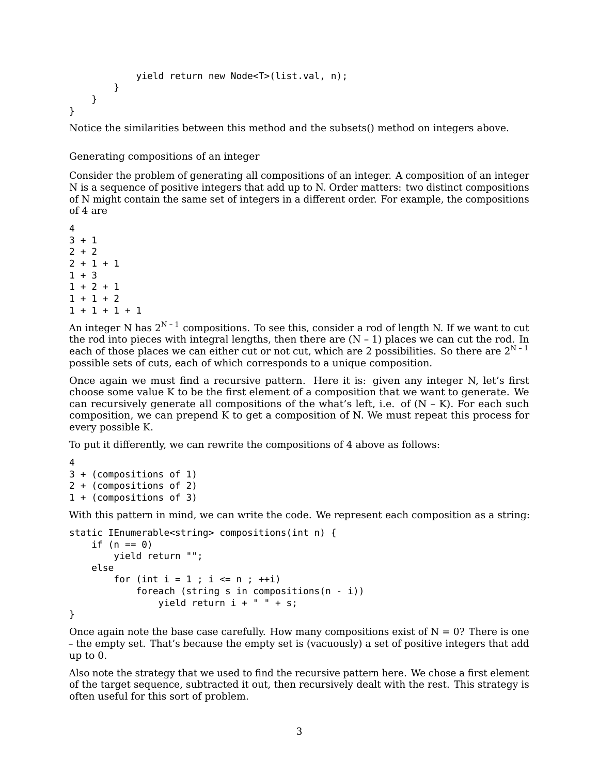```
yield return new Node<T>(list.val, n);
        }
    }
}
```
Notice the similarities between this method and the subsets() method on integers above.

Generating compositions of an integer

Consider the problem of generating all compositions of an integer. A composition of an integer N is a sequence of positive integers that add up to N. Order matters: two distinct compositions of N might contain the same set of integers in a different order. For example, the compositions of 4 are

An integer N has  $2^{N-1}$  compositions. To see this, consider a rod of length N. If we want to cut the rod into pieces with integral lengths, then there are  $(N - 1)$  places we can cut the rod. In each of those places we can either cut or not cut, which are 2 possibilities. So there are  $2^{N-1}$ possible sets of cuts, each of which corresponds to a unique composition.

Once again we must find a recursive pattern. Here it is: given any integer N, let's first choose some value K to be the first element of a composition that we want to generate. We can recursively generate all compositions of the what's left, i.e. of  $(N - K)$ . For each such composition, we can prepend K to get a composition of N. We must repeat this process for every possible K.

To put it differently, we can rewrite the compositions of 4 above as follows:

```
4
3 + (compositions of 1)
2 + (compositions of 2)
1 + (compositions of 3)
```
With this pattern in mind, we can write the code. We represent each composition as a string:

```
static IEnumerable<string> compositions(int n) {
   if (n == 0)yield return "";
   else
       for (int i = 1; i \le n; ++i)
            foreach (string s in compositions(n - i))
                yield return i + " " + s;
```
}

Once again note the base case carefully. How many compositions exist of  $N = 0$ ? There is one – the empty set. That's because the empty set is (vacuously) a set of positive integers that add up to 0.

Also note the strategy that we used to find the recursive pattern here. We chose a first element of the target sequence, subtracted it out, then recursively dealt with the rest. This strategy is often useful for this sort of problem.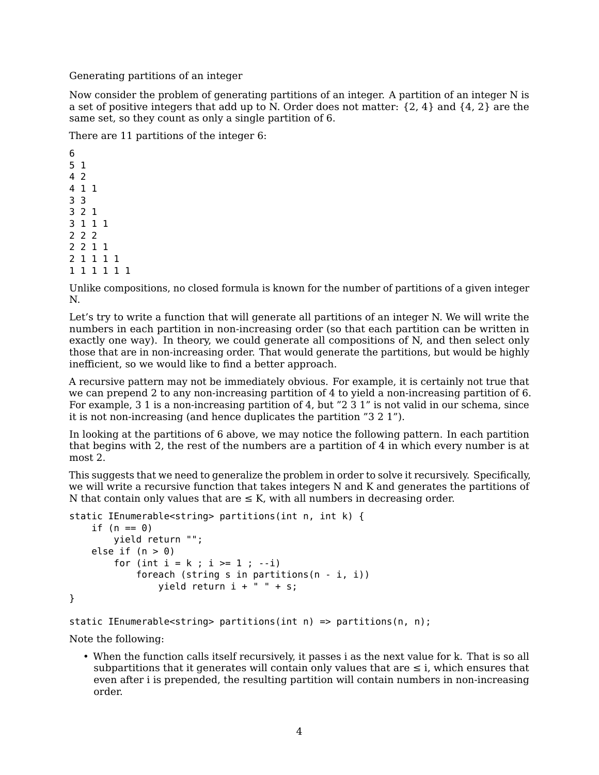Generating partitions of an integer

Now consider the problem of generating partitions of an integer. A partition of an integer N is a set of positive integers that add up to N. Order does not matter:  $\{2, 4\}$  and  $\{4, 2\}$  are the same set, so they count as only a single partition of 6.

There are 11 partitions of the integer 6:

Unlike compositions, no closed formula is known for the number of partitions of a given integer N.

Let's try to write a function that will generate all partitions of an integer N. We will write the numbers in each partition in non-increasing order (so that each partition can be written in exactly one way). In theory, we could generate all compositions of N, and then select only those that are in non-increasing order. That would generate the partitions, but would be highly inefficient, so we would like to find a better approach.

A recursive pattern may not be immediately obvious. For example, it is certainly not true that we can prepend 2 to any non-increasing partition of 4 to yield a non-increasing partition of 6. For example, 3 1 is a non-increasing partition of 4, but "2 3 1" is not valid in our schema, since it is not non-increasing (and hence duplicates the partition "3 2 1").

In looking at the partitions of 6 above, we may notice the following pattern. In each partition that begins with 2, the rest of the numbers are a partition of 4 in which every number is at most 2.

This suggests that we need to generalize the problem in order to solve it recursively. Specifically, we will write a recursive function that takes integers N and K and generates the partitions of N that contain only values that are  $\leq$  K, with all numbers in decreasing order.

```
static IEnumerable<string> partitions(int n, int k) {
   if (n == 0)yield return "";
   else if (n > 0)for (int i = k; i \ge 1; -i)
           foreach (string s in partitions(n - i, i))
               yield return i + " " + s;}
```

```
static IEnumerable<string> partitions(int n) => partitions(n, n);
```
Note the following:

• When the function calls itself recursively, it passes i as the next value for k. That is so all subpartitions that it generates will contain only values that are  $\leq i$ , which ensures that even after i is prepended, the resulting partition will contain numbers in non-increasing order.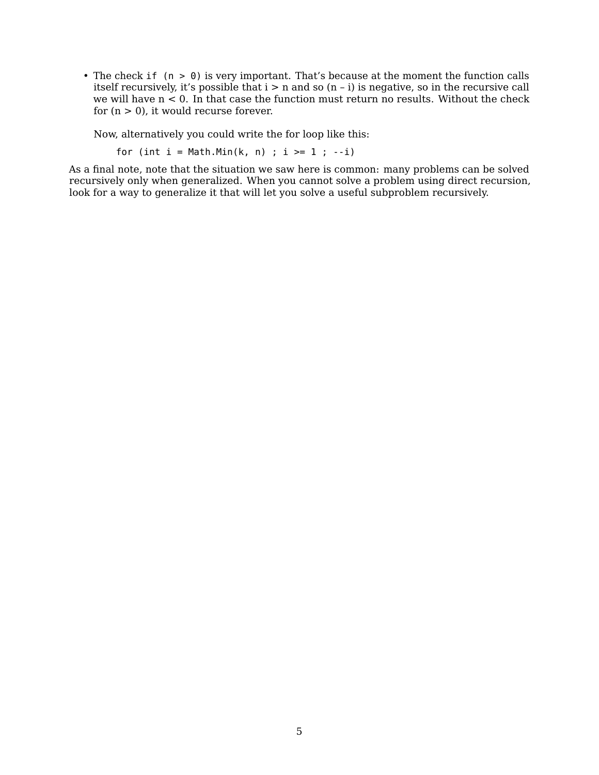• The check if (n > 0) is very important. That's because at the moment the function calls itself recursively, it's possible that i > n and so (n – i) is negative, so in the recursive call we will have n < 0. In that case the function must return no results. Without the check for  $(n > 0)$ , it would recurse forever.

Now, alternatively you could write the for loop like this:

for (int  $i = Math.Min(k, n)$ ;  $i >= 1$ ;  $-i)$ 

As a final note, note that the situation we saw here is common: many problems can be solved recursively only when generalized. When you cannot solve a problem using direct recursion, look for a way to generalize it that will let you solve a useful subproblem recursively.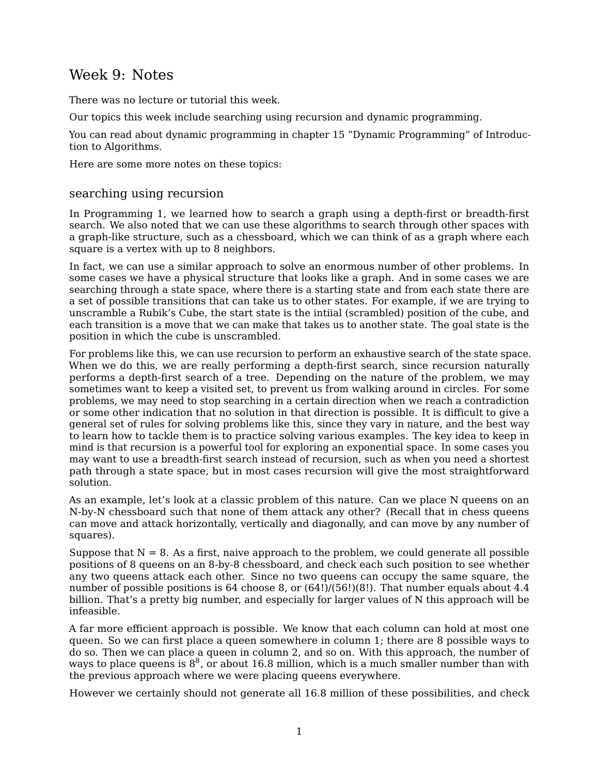# Week 9: Notes

There was no lecture or tutorial this week.

Our topics this week include searching using recursion and dynamic programming.

You can read about dynamic programming in chapter 15 "Dynamic Programming" of [Introduc](https://mitpress.mit.edu/books/introduction-algorithms-third-edition)[tion to Algorithms.](https://mitpress.mit.edu/books/introduction-algorithms-third-edition)

Here are some more notes on these topics:

## searching using recursion

In Programming 1, we learned how to search a graph using a depth-first or breadth-first search. We also noted that we can use these algorithms to search through other spaces with a graph-like structure, such as a chessboard, which we can think of as a graph where each square is a vertex with up to 8 neighbors.

In fact, we can use a similar approach to solve an enormous number of other problems. In some cases we have a physical structure that looks like a graph. And in some cases we are searching through a state space, where there is a starting state and from each state there are a set of possible transitions that can take us to other states. For example, if we are trying to unscramble a Rubik's Cube, the start state is the intiial (scrambled) position of the cube, and each transition is a move that we can make that takes us to another state. The goal state is the position in which the cube is unscrambled.

For problems like this, we can use recursion to perform an exhaustive search of the state space. When we do this, we are really performing a depth-first search, since recursion naturally performs a depth-first search of a tree. Depending on the nature of the problem, we may sometimes want to keep a visited set, to prevent us from walking around in circles. For some problems, we may need to stop searching in a certain direction when we reach a contradiction or some other indication that no solution in that direction is possible. It is difficult to give a general set of rules for solving problems like this, since they vary in nature, and the best way to learn how to tackle them is to practice solving various examples. The key idea to keep in mind is that recursion is a powerful tool for exploring an exponential space. In some cases you may want to use a breadth-first search instead of recursion, such as when you need a shortest path through a state space, but in most cases recursion will give the most straightforward solution.

As an example, let's look at a classic problem of this nature. Can we place N queens on an N-by-N chessboard such that none of them attack any other? (Recall that in chess queens can move and attack horizontally, vertically and diagonally, and can move by any number of squares).

Suppose that  $N = 8$ . As a first, naive approach to the problem, we could generate all possible positions of 8 queens on an 8-by-8 chessboard, and check each such position to see whether any two queens attack each other. Since no two queens can occupy the same square, the number of possible positions is 64 choose 8, or  $(64!)/(56!)(8!)$ . That number equals about 4.4 billion. That's a pretty big number, and especially for larger values of N this approach will be infeasible.

A far more efficient approach is possible. We know that each column can hold at most one queen. So we can first place a queen somewhere in column 1; there are 8 possible ways to do so. Then we can place a queen in column 2, and so on. With this approach, the number of ways to place queens is  $8^8$ , or about 16.8 million, which is a much smaller number than with the previous approach where we were placing queens everywhere.

However we certainly should not generate all 16.8 million of these possibilities, and check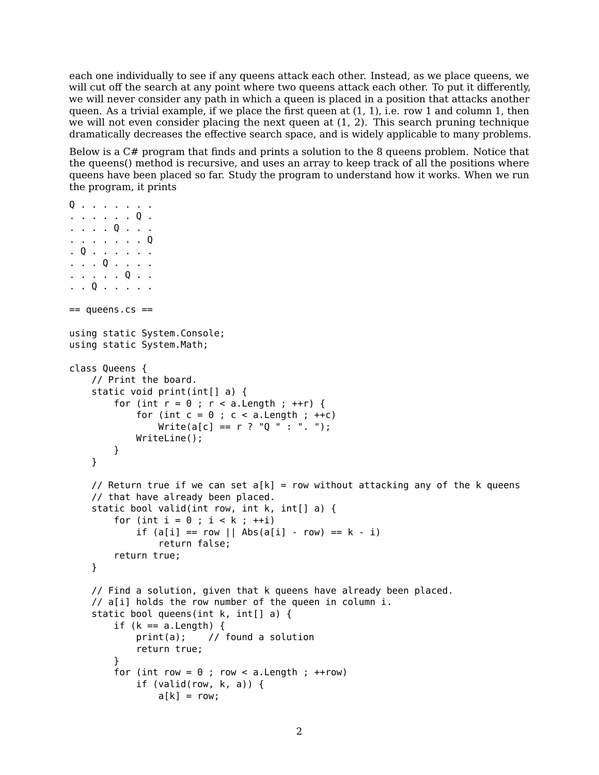each one individually to see if any queens attack each other. Instead, as we place queens, we will cut off the search at any point where two queens attack each other. To put it differently, we will never consider any path in which a queen is placed in a position that attacks another queen. As a trivial example, if we place the first queen at  $(1, 1)$ , i.e. row 1 and column 1, then we will not even consider placing the next queen at  $(1, 2)$ . This search pruning technique dramatically decreases the effective search space, and is widely applicable to many problems.

Below is a C# program that finds and prints a solution to the 8 queens problem. Notice that the queens() method is recursive, and uses an array to keep track of all the positions where queens have been placed so far. Study the program to understand how it works. When we run the program, it prints

```
Q . . . . . . .
. . . . . . Q .
. . . . Q . . .
. . . . . . . Q
. Q . . . . . .
. . . Q . . . .
. . . . . Q . .
. . Q . . . . .
== queens.cs ==using static System.Console;
using static System.Math;
class Queens {
    // Print the board.
    static void print(int[] a) {
        for (int r = 0; r < a. Length; ++r) {
            for (int c = 0; c < a. Length; ++c)
                Write(a[c] == r ? "0 " : "."WriteLine();
        }
    }
    // Return true if we can set a[k] = row without attacking any of the k queens
    // that have already been placed.
    static bool valid(int row, int k, int[] a) {
        for (int i = 0 ; i < k ; ++i)
            if (a[i] == row || Abs(a[i] - row) == k - i)return false;
        return true;
    }
    // Find a solution, given that k queens have already been placed.
    // a[i] holds the row number of the queen in column i.
    static bool queens(int k, int[] a) {
        if (k == a.length) {
            print(a); // found a solution
            return true;
        }
        for (int row = 0; row < a. Length; ++row)
            if (valid(row, k, a)) {
                a[k] = row;
```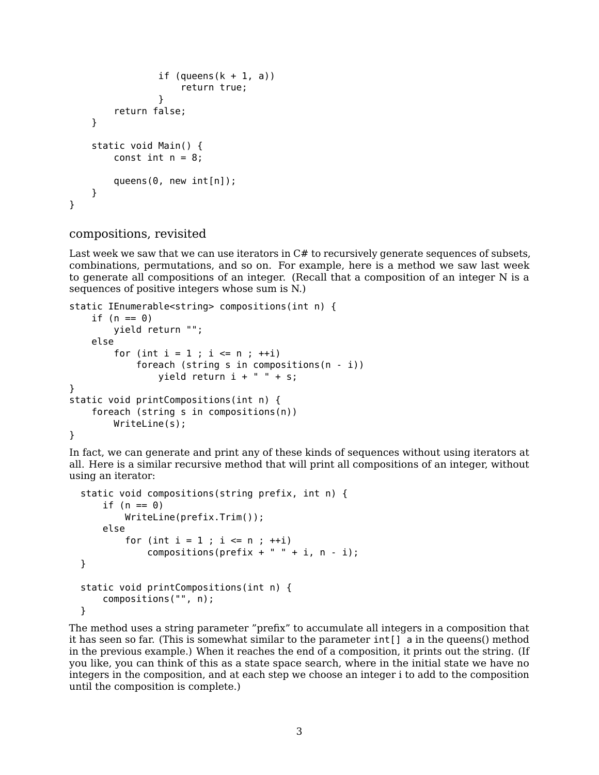```
if (queness(k + 1, a))return true;
                }
        return false;
    }
    static void Main() {
        const int n = 8;
        queens(0, new int[n]);
    }
}
```
### compositions, revisited

Last week we saw that we can use iterators in  $C#$  to recursively generate sequences of subsets, combinations, permutations, and so on. For example, here is a method we saw last week to generate all compositions of an integer. (Recall that a composition of an integer N is a sequences of positive integers whose sum is N.)

```
static IEnumerable<string> compositions(int n) {
    if (n == 0)yield return "";
    else
        for (int i = 1 ; i \le n ; +i)
            foreach (string s in compositions(n - i))
                yield return i + " " + s;}
static void printCompositions(int n) {
    foreach (string s in compositions(n))
        WriteLine(s);
}
```
In fact, we can generate and print any of these kinds of sequences without using iterators at all. Here is a similar recursive method that will print all compositions of an integer, without using an iterator:

```
static void compositions(string prefix, int n) {
   if (n == 0)WriteLine(prefix.Trim());
   else
        for (int i = 1; i \le n; +i)
            compositions(prefix + " " + i, n - i);}
static void printCompositions(int n) {
   compositions("", n);
}
```
The method uses a string parameter "prefix" to accumulate all integers in a composition that it has seen so far. (This is somewhat similar to the parameter int[] a in the queens() method in the previous example.) When it reaches the end of a composition, it prints out the string. (If you like, you can think of this as a state space search, where in the initial state we have no integers in the composition, and at each step we choose an integer i to add to the composition until the composition is complete.)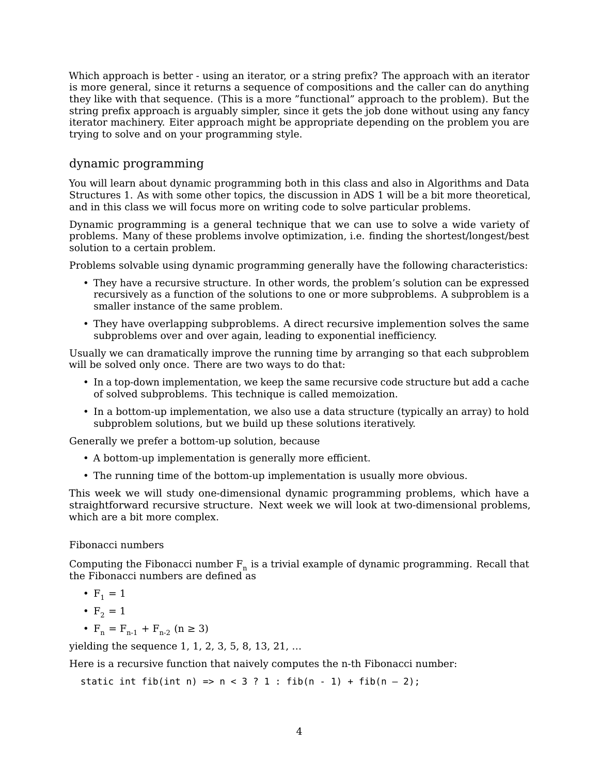Which approach is better - using an iterator, or a string prefix? The approach with an iterator is more general, since it returns a sequence of compositions and the caller can do anything they like with that sequence. (This is a more "functional" approach to the problem). But the string prefix approach is arguably simpler, since it gets the job done without using any fancy iterator machinery. Eiter approach might be appropriate depending on the problem you are trying to solve and on your programming style.

## dynamic programming

You will learn about dynamic programming both in this class and also in Algorithms and Data Structures 1. As with some other topics, the discussion in ADS 1 will be a bit more theoretical, and in this class we will focus more on writing code to solve particular problems.

Dynamic programming is a general technique that we can use to solve a wide variety of problems. Many of these problems involve optimization, i.e. finding the shortest/longest/best solution to a certain problem.

Problems solvable using dynamic programming generally have the following characteristics:

- They have a recursive structure. In other words, the problem's solution can be expressed recursively as a function of the solutions to one or more subproblems. A subproblem is a smaller instance of the same problem.
- They have overlapping subproblems. A direct recursive implemention solves the same subproblems over and over again, leading to exponential inefficiency.

Usually we can dramatically improve the running time by arranging so that each subproblem will be solved only once. There are two ways to do that:

- In a top-down implementation, we keep the same recursive code structure but add a cache of solved subproblems. This technique is called memoization.
- In a bottom-up implementation, we also use a data structure (typically an array) to hold subproblem solutions, but we build up these solutions iteratively.

Generally we prefer a bottom-up solution, because

- A bottom-up implementation is generally more efficient.
- The running time of the bottom-up implementation is usually more obvious.

This week we will study one-dimensional dynamic programming problems, which have a straightforward recursive structure. Next week we will look at two-dimensional problems, which are a bit more complex.

### Fibonacci numbers

Computing the Fibonacci number  $F_n$  is a trivial example of dynamic programming. Recall that the Fibonacci numbers are defined as

- $F_1 = 1$
- $F_2 = 1$
- $F_n = F_{n-1} + F_{n-2}$  (n  $\geq 3$ )

yielding the sequence 1, 1, 2, 3, 5, 8, 13, 21, …

Here is a recursive function that naively computes the n-th Fibonacci number:

static int fib(int n) =>  $n < 3$  ? 1 : fib(n - 1) + fib(n - 2);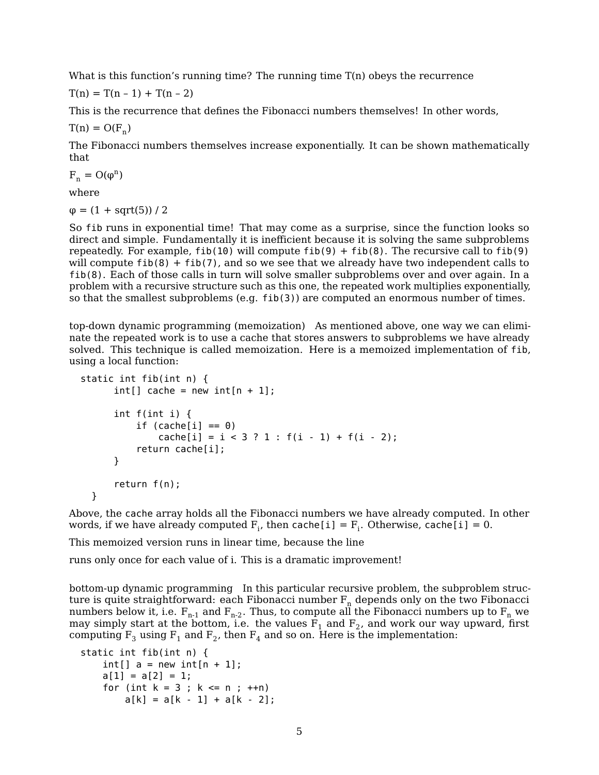What is this function's running time? The running time T(n) obeys the recurrence

 $T(n) = T(n - 1) + T(n - 2)$ 

This is the recurrence that defines the Fibonacci numbers themselves! In other words,

 $T(n) = O(F_n)$ 

The Fibonacci numbers themselves increase exponentially. It can be shown mathematically that

 $F_n = O(\varphi^n)$ 

where

 $\varphi = (1 + \text{sqrt}(5)) / 2$ 

So fib runs in exponential time! That may come as a surprise, since the function looks so direct and simple. Fundamentally it is inefficient because it is solving the same subproblems repeatedly. For example, fib(10) will compute fib(9) + fib(8). The recursive call to fib(9) will compute  $fib(8) + fib(7)$ , and so we see that we already have two independent calls to fib(8). Each of those calls in turn will solve smaller subproblems over and over again. In a problem with a recursive structure such as this one, the repeated work multiplies exponentially, so that the smallest subproblems (e.g. fib(3)) are computed an enormous number of times.

top-down dynamic programming (memoization) As mentioned above, one way we can eliminate the repeated work is to use a cache that stores answers to subproblems we have already solved. This technique is called memoization. Here is a memoized implementation of fib, using a local function:

```
static int fib(int n) {
      int[] cache = new int[n + 1];int f(int i) {
          if (cache[i] == 0)cache[i] = i < 3 ? 1 : f(i - 1) + f(i - 2);return cache[i];
      }
      return f(n);
  }
```
Above, the cache array holds all the Fibonacci numbers we have already computed. In other words, if we have already computed  $F_i$ , then cache[i] =  $F_i$ . Otherwise, cache[i] = 0.

This memoized version runs in linear time, because the line

runs only once for each value of i. This is a dramatic improvement!

bottom-up dynamic programming In this particular recursive problem, the subproblem structure is quite straightforward: each Fibonacci number  $F_n$  depends only on the two Fibonacci numbers below it, i.e.  $F_{n-1}$  and  $F_{n-2}$ . Thus, to compute all the Fibonacci numbers up to  $F_n$  we may simply start at the bottom, i.e. the values  $\mathrm{F_{1}}$  and  $\mathrm{F_{2}}$ , and work our way upward, first computing  $F_3$  using  $F_1$  and  $F_2$ , then  $F_4$  and so on. Here is the implementation:

```
static int fib(int n) {
   int[] a = new int[n + 1];
   a[1] = a[2] = 1;for (int k = 3; k \le n; ++n)
       a[k] = a[k - 1] + a[k - 2];
```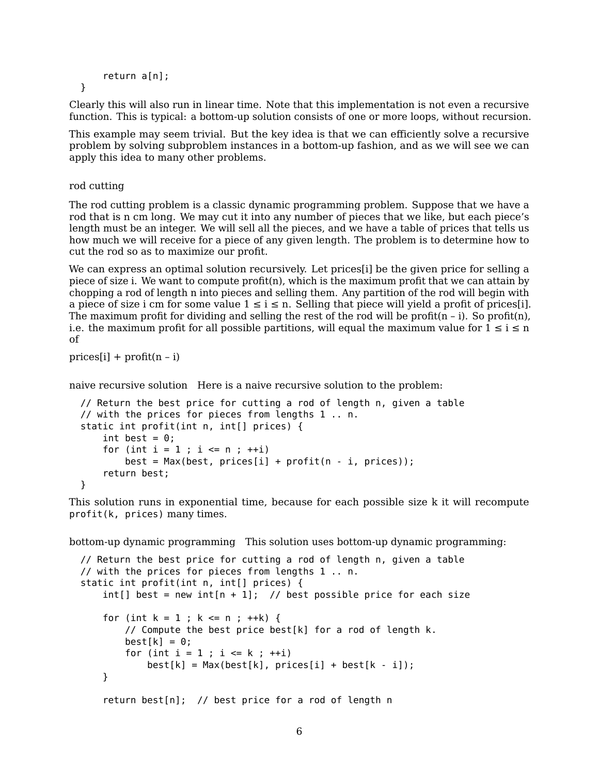```
return a[n];
```
Clearly this will also run in linear time. Note that this implementation is not even a recursive function. This is typical: a bottom-up solution consists of one or more loops, without recursion.

This example may seem trivial. But the key idea is that we can efficiently solve a recursive problem by solving subproblem instances in a bottom-up fashion, and as we will see we can apply this idea to many other problems.

rod cutting

}

The rod cutting problem is a classic dynamic programming problem. Suppose that we have a rod that is n cm long. We may cut it into any number of pieces that we like, but each piece's length must be an integer. We will sell all the pieces, and we have a table of prices that tells us how much we will receive for a piece of any given length. The problem is to determine how to cut the rod so as to maximize our profit.

We can express an optimal solution recursively. Let prices[i] be the given price for selling a piece of size i. We want to compute profit(n), which is the maximum profit that we can attain by chopping a rod of length n into pieces and selling them. Any partition of the rod will begin with a piece of size i cm for some value  $1 \le i \le n$ . Selling that piece will yield a profit of prices [i]. The maximum profit for dividing and selling the rest of the rod will be profit $(n - i)$ . So profit $(n)$ , i.e. the maximum profit for all possible partitions, will equal the maximum value for  $1 \le i \le n$ of

 $prices[i] + profit(n - i)$ 

naive recursive solution Here is a naive recursive solution to the problem:

```
// Return the best price for cutting a rod of length n, given a table
// with the prices for pieces from lengths 1 .. n.
static int profit(int n, int[] prices) {
   int best = 0:
    for (int i = 1; i \le n; +i)
        best = Max(best, prices[i] + profit(n - i, prices));return best;
}
```
This solution runs in exponential time, because for each possible size k it will recompute profit(k, prices) many times.

bottom-up dynamic programming This solution uses bottom-up dynamic programming:

```
// Return the best price for cutting a rod of length n, given a table
// with the prices for pieces from lengths 1 .. n.
static int profit(int n, int[] prices) {
   int[] best = new int[n + 1]; // best possible price for each size
   for (int k = 1 ; k \le n ; ++k) {
        // Compute the best price best[k] for a rod of length k.
        best[k] = 0;for (int i = 1 ; i <= k ; ++i)
            best[k] = Max(best[k], prices[i] + best[k - i]);}
    return best[n]; // best price for a rod of length n
```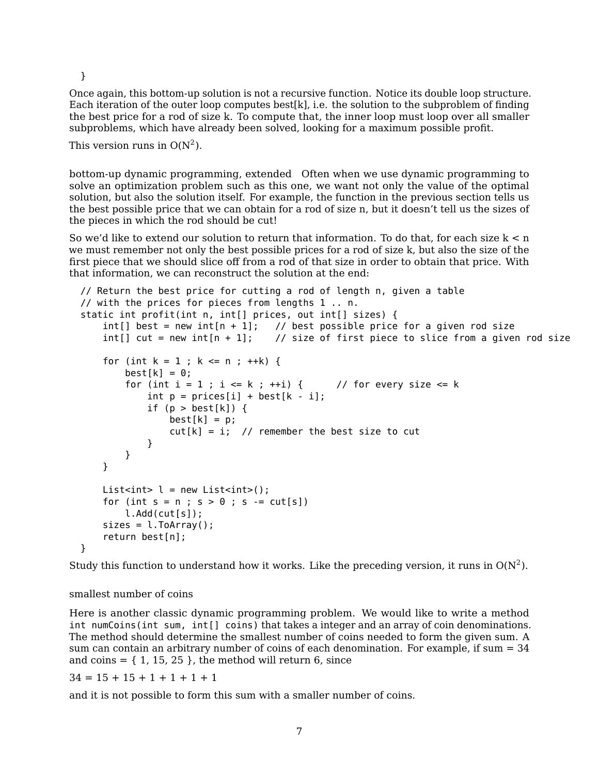}

Once again, this bottom-up solution is not a recursive function. Notice its double loop structure. Each iteration of the outer loop computes best[k], i.e. the solution to the subproblem of finding the best price for a rod of size k. To compute that, the inner loop must loop over all smaller subproblems, which have already been solved, looking for a maximum possible profit.

This version runs in  $O(N^2)$ .

bottom-up dynamic programming, extended Often when we use dynamic programming to solve an optimization problem such as this one, we want not only the value of the optimal solution, but also the solution itself. For example, the function in the previous section tells us the best possible price that we can obtain for a rod of size n, but it doesn't tell us the sizes of the pieces in which the rod should be cut!

So we'd like to extend our solution to return that information. To do that, for each size  $k < n$ we must remember not only the best possible prices for a rod of size k, but also the size of the first piece that we should slice off from a rod of that size in order to obtain that price. With that information, we can reconstruct the solution at the end:

```
// Return the best price for cutting a rod of length n, given a table
// with the prices for pieces from lengths 1 .. n.
static int profit(int n, int[] prices, out int[] sizes) {
    int[] best = new int[n + 1]; // best possible price for a given rod size
    int[] cut = new int[n + 1]; // size of first piece to slice from a given rod size
    for (int k = 1 ; k \le n ; \text{++k}) {
        best[k] = 0;for (int i = 1 ; i <= k ; ++i) { // for every size <= k
            int p = prices[i] + best[k - i];if (p > best[k]) {
                best[k] = p;cut[k] = i; // remember the best size to cut
            }
       }
    }
    List<int> l = new List<int>l</sup>;
    for (int s = n; s > 0; s = \text{cut}[s])
        l.Add(cut[s]);
    sizes = 1.ToArray();return best[n];
}
```
Study this function to understand how it works. Like the preceding version, it runs in  $O(N^2)$ .

## smallest number of coins

Here is another classic dynamic programming problem. We would like to write a method int numCoins(int sum, int[] coins) that takes a integer and an array of coin denominations. The method should determine the smallest number of coins needed to form the given sum. A sum can contain an arbitrary number of coins of each denomination. For example, if sum  $= 34$ and coins  $= \{ 1, 15, 25 \}$ , the method will return 6, since

 $34 = 15 + 15 + 1 + 1 + 1 + 1$ 

and it is not possible to form this sum with a smaller number of coins.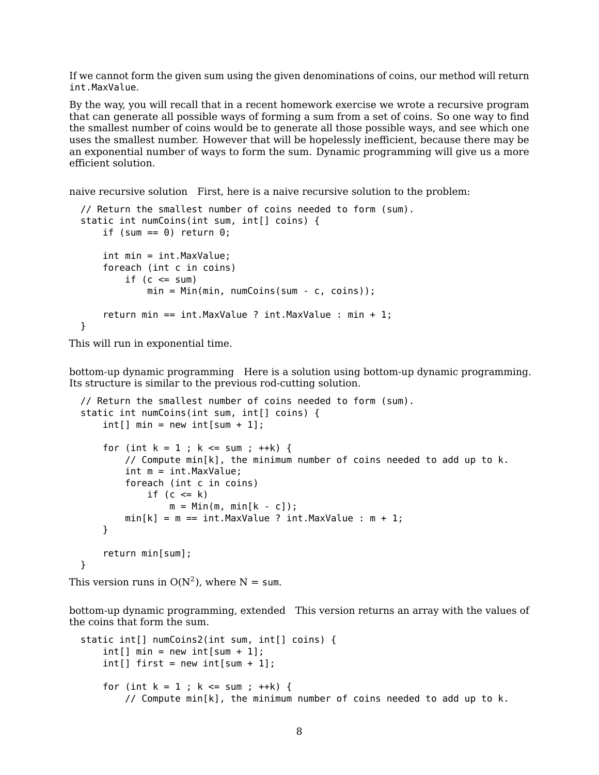If we cannot form the given sum using the given denominations of coins, our method will return int.MaxValue.

By the way, you will recall that in a recent homework exercise we wrote a recursive program that can generate all possible ways of forming a sum from a set of coins. So one way to find the smallest number of coins would be to generate all those possible ways, and see which one uses the smallest number. However that will be hopelessly inefficient, because there may be an exponential number of ways to form the sum. Dynamic programming will give us a more efficient solution.

naive recursive solution First, here is a naive recursive solution to the problem:

```
// Return the smallest number of coins needed to form (sum).
static int numCoins(int sum, int[] coins) {
    if (sum == 0) return 0;
    int min = int.MaxValue;
    foreach (int c in coins)
        if (c \leq sum)min = Min(min, numCoins(sum - c, coins));
    return min == int.MaxValue ? int.MaxValue : min + 1;
}
```
This will run in exponential time.

bottom-up dynamic programming Here is a solution using bottom-up dynamic programming. Its structure is similar to the previous rod-cutting solution.

```
// Return the smallest number of coins needed to form (sum).
static int numCoins(int sum, int[] coins) {
    int[] min = new int[sum + 1];for (int k = 1 ; k \le m ; \pm \pm k) {
        // Compute min[k], the minimum number of coins needed to add up to k.
        int m = int.MaxValue;
        foreach (int c in coins)
            if (c \le k)m = Min(m, min[k - c]);min[k] = m == int.MaxValue ? int.MaxValue : m + 1;}
    return min[sum];
}
```

```
This version runs in O(N^2), where N = sum.
```
bottom-up dynamic programming, extended This version returns an array with the values of the coins that form the sum.

```
static int[] numCoins2(int sum, int[] coins) {
    int[] min = new int[sum + 1];
    int[] first = new int[sum + 1];
    for (int k = 1; k \leq sum; ++k) {
        // Compute min[k], the minimum number of coins needed to add up to k.
```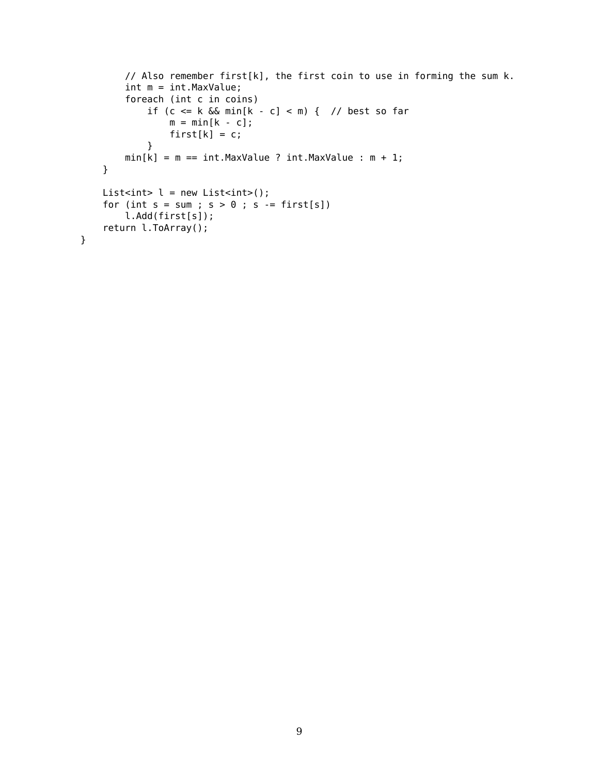```
// Also remember first[k], the first coin to use in forming the sum k.
       int m = int.MaxValue;
        foreach (int c in coins)
            if (c <= k && min[k - c] < m) { // best so far
               m = min[k - c];first[k] = c;}
       min[k] = m == int.MaxValue ? int.MaxValue : m + 1;}
   List<int> l = new List<int>l</sup>;
    for (int s = sum; s > 0; s = first[s])
       l.Add(first[s]);
   return l.ToArray();
}
```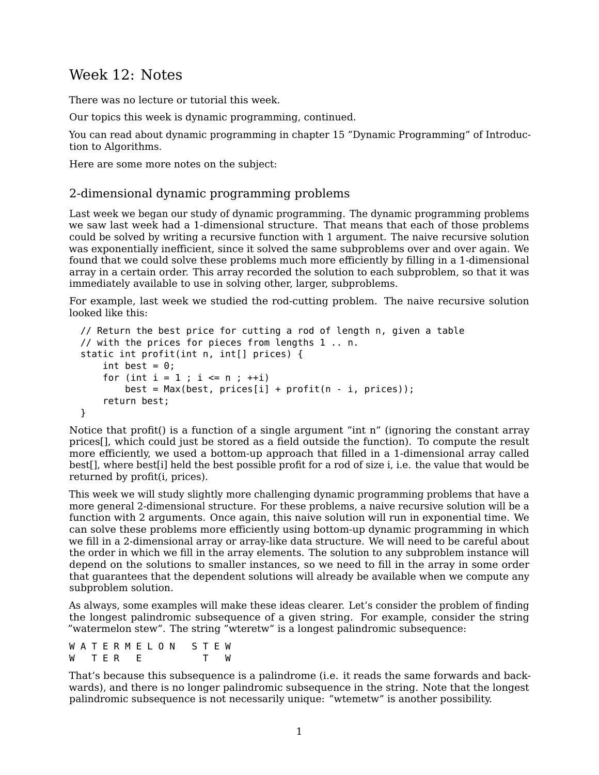## Week 12: Notes

There was no lecture or tutorial this week.

Our topics this week is dynamic programming, continued.

You can read about dynamic programming in chapter 15 "Dynamic Programming" of [Introduc](https://mitpress.mit.edu/books/introduction-algorithms-third-edition)[tion to Algorithms.](https://mitpress.mit.edu/books/introduction-algorithms-third-edition)

Here are some more notes on the subject:

## 2-dimensional dynamic programming problems

Last week we began our study of dynamic programming. The dynamic programming problems we saw last week had a 1-dimensional structure. That means that each of those problems could be solved by writing a recursive function with 1 argument. The naive recursive solution was exponentially inefficient, since it solved the same subproblems over and over again. We found that we could solve these problems much more efficiently by filling in a 1-dimensional array in a certain order. This array recorded the solution to each subproblem, so that it was immediately available to use in solving other, larger, subproblems.

For example, last week we studied the rod-cutting problem. The naive recursive solution looked like this:

```
// Return the best price for cutting a rod of length n, given a table
// with the prices for pieces from lengths 1 .. n.
static int profit(int n, int[] prices) {
   int best = 0;
   for (int i = 1; i \le n; +i)
        best = Max(best, prices[i] + profit(n - i, prices));
    return best;
}
```
Notice that profit() is a function of a single argument "int n" (ignoring the constant array prices[], which could just be stored as a field outside the function). To compute the result more efficiently, we used a bottom-up approach that filled in a 1-dimensional array called best[], where best[i] held the best possible profit for a rod of size i, i.e. the value that would be returned by profit(i, prices).

This week we will study slightly more challenging dynamic programming problems that have a more general 2-dimensional structure. For these problems, a naive recursive solution will be a function with 2 arguments. Once again, this naive solution will run in exponential time. We can solve these problems more efficiently using bottom-up dynamic programming in which we fill in a 2-dimensional array or array-like data structure. We will need to be careful about the order in which we fill in the array elements. The solution to any subproblem instance will depend on the solutions to smaller instances, so we need to fill in the array in some order that guarantees that the dependent solutions will already be available when we compute any subproblem solution.

As always, some examples will make these ideas clearer. Let's consider the problem of finding the longest palindromic subsequence of a given string. For example, consider the string "watermelon stew". The string "wteretw" is a longest palindromic subsequence:

W A T E R M E L O N S T E W W TER E T

That's because this subsequence is a palindrome (i.e. it reads the same forwards and backwards), and there is no longer palindromic subsequence in the string. Note that the longest palindromic subsequence is not necessarily unique: "wtemetw" is another possibility.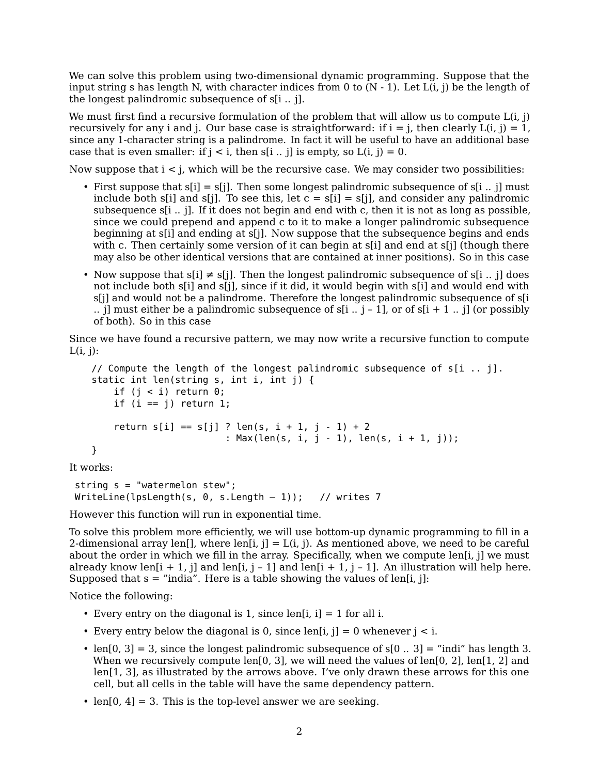We can solve this problem using two-dimensional dynamic programming. Suppose that the input string s has length N, with character indices from 0 to  $(N - 1)$ . Let  $L(i, j)$  be the length of the longest palindromic subsequence of s[i .. j].

We must first find a recursive formulation of the problem that will allow us to compute  $L(i, j)$ recursively for any i and j. Our base case is straightforward: if  $i = j$ , then clearly  $L(i, j) = 1$ , since any 1-character string is a palindrome. In fact it will be useful to have an additional base case that is even smaller: if  $j < i$ , then s[i .. j] is empty, so  $L(i, j) = 0$ .

Now suppose that  $i < j$ , which will be the recursive case. We may consider two possibilities:

- First suppose that  $s[i] = s[i]$ . Then some longest palindromic subsequence of  $s[i]$ . if must include both s[i] and s[j]. To see this, let  $c = s[i] = s[j]$ , and consider any palindromic subsequence s[i .. j]. If it does not begin and end with c, then it is not as long as possible, since we could prepend and append c to it to make a longer palindromic subsequence beginning at s[i] and ending at s[j]. Now suppose that the subsequence begins and ends with c. Then certainly some version of it can begin at s[i] and end at s[i] (though there may also be other identical versions that are contained at inner positions). So in this case
- Now suppose that  $s[i] \neq s[j]$ . Then the longest palindromic subsequence of  $s[i]$ . if does not include both s[i] and s[j], since if it did, it would begin with s[i] and would end with s[j] and would not be a palindrome. Therefore the longest palindromic subsequence of s[i .. j] must either be a palindromic subsequence of  $s[i]$  .. j - 1], or of  $s[i + 1]$  .. j] (or possibly of both). So in this case

Since we have found a recursive pattern, we may now write a recursive function to compute  $L(i, j)$ :

```
// Compute the length of the longest palindromic subsequence of s[i \dots j].
static int len(string s, int i, int j) {
    if (j < i) return \theta;
    if (i == j) return 1;
    return s[i] == s[j] ? len(s, i + 1, j - 1) + 2
                         : Max(len(s, i, j - 1), len(s, i + 1, j));
}
```
It works:

```
string s = "watermelon stew";
WriteLine(lpsLength(s, \theta, s.Length - 1)); // writes 7
```
However this function will run in exponential time.

To solve this problem more efficiently, we will use bottom-up dynamic programming to fill in a 2-dimensional array len[], where len[i, j] =  $L(i, j)$ . As mentioned above, we need to be careful about the order in which we fill in the array. Specifically, when we compute len[i, j] we must already know len<sup>[j +</sup> 1, j] and len<sup>[j]</sup>, j - 1] and len<sup>[j +</sup> 1, j - 1]. An illustration will help here. Supposed that  $s =$  "india". Here is a table showing the values of len[i, j]:

Notice the following:

- Every entry on the diagonal is 1, since len[i, i] = 1 for all i.
- Every entry below the diagonal is 0, since len[i, j] = 0 whenever  $j < i$ .
- len $[0, 3] = 3$ , since the longest palindromic subsequence of  $s[0..3] =$  "indi" has length 3. When we recursively compute len[0, 3], we will need the values of len[0, 2], len[1, 2] and len[1, 3], as illustrated by the arrows above. I've only drawn these arrows for this one cell, but all cells in the table will have the same dependency pattern.
- len $[0, 4]$  = 3. This is the top-level answer we are seeking.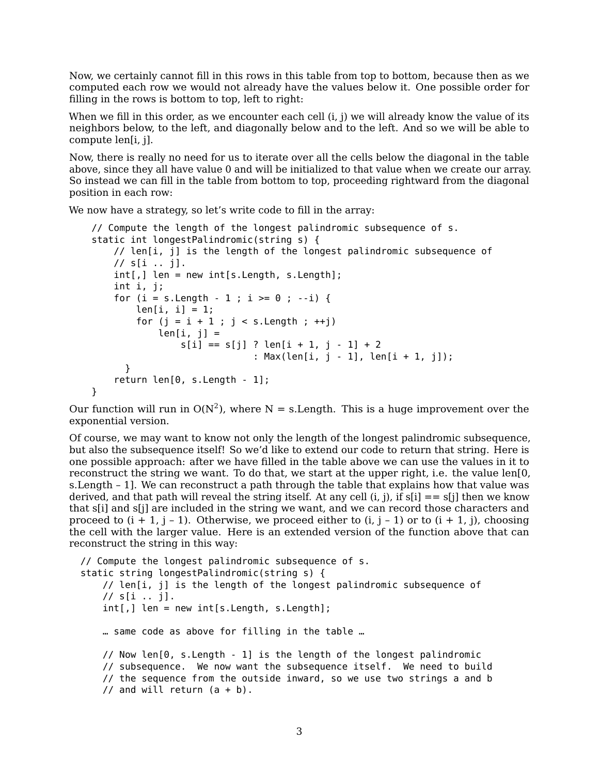Now, we certainly cannot fill in this rows in this table from top to bottom, because then as we computed each row we would not already have the values below it. One possible order for filling in the rows is bottom to top, left to right:

When we fill in this order, as we encounter each cell  $(i, j)$  we will already know the value of its neighbors below, to the left, and diagonally below and to the left. And so we will be able to compute len[i, j].

Now, there is really no need for us to iterate over all the cells below the diagonal in the table above, since they all have value 0 and will be initialized to that value when we create our array. So instead we can fill in the table from bottom to top, proceeding rightward from the diagonal position in each row:

We now have a strategy, so let's write code to fill in the array:

```
// Compute the length of the longest palindromic subsequence of s.
static int longestPalindromic(string s) {
   // len[i, j] is the length of the longest palindromic subsequence of
   // s[i .. j].
   int[,] len = new int[s.Length, s.Length];
    int i, j;
    for (i = s.length - 1 ; i >= 0 ; --i) {
        len[i, i] = 1;for (j = i + 1 ; j < s.length ; ++j)len[i, j] =s[i] == s[j] ? len[i + 1, j - 1] + 2: Max(len[i, j - 1], len[i + 1, j]);
      }
    return len[0, s.length - 1];
}
```
Our function will run in  $O(N^2)$ , where N = s. Length. This is a huge improvement over the exponential version.

Of course, we may want to know not only the length of the longest palindromic subsequence, but also the subsequence itself! So we'd like to extend our code to return that string. Here is one possible approach: after we have filled in the table above we can use the values in it to reconstruct the string we want. To do that, we start at the upper right, i.e. the value len[0, s.Length – 1]. We can reconstruct a path through the table that explains how that value was derived, and that path will reveal the string itself. At any cell  $(i, j)$ , if  $s[i] = s[i]$  then we know that s[i] and s[j] are included in the string we want, and we can record those characters and proceed to  $(i + 1, j - 1)$ . Otherwise, we proceed either to  $(i, j - 1)$  or to  $(i + 1, j)$ , choosing the cell with the larger value. Here is an extended version of the function above that can reconstruct the string in this way:

```
// Compute the longest palindromic subsequence of s.
static string longestPalindromic(string s) {
   // len[i, j] is the length of the longest palindromic subsequence of
   // s[i .. j].
   int[,] len = new int[s.length, s.length];… same code as above for filling in the table …
   // Now len[0, s.Length - 1] is the length of the longest palindromic
   // subsequence. We now want the subsequence itself. We need to build
   // the sequence from the outside inward, so we use two strings a and b
   // and will return (a + b).
```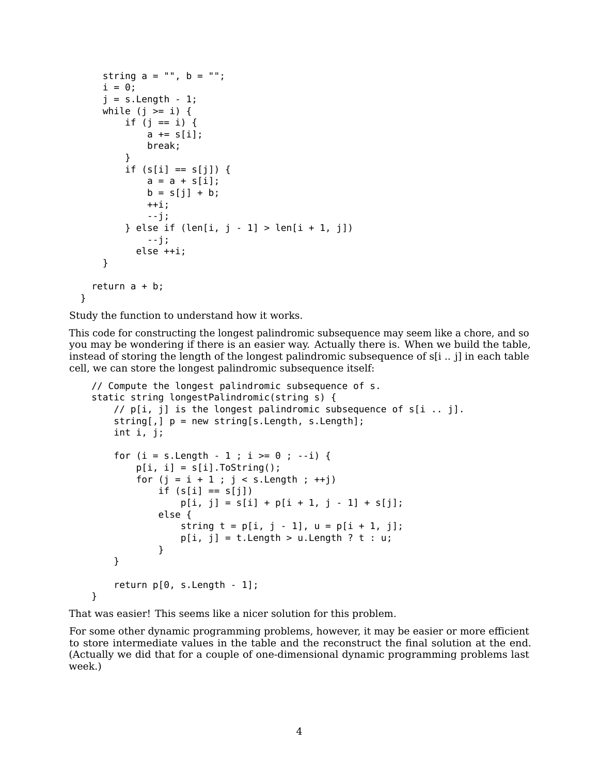```
string a = "", b = "";i = 0;j = s. Length - 1;
    while (j >= i) {
        if (j == i) {
            a == s[i];break;
        }
        if (s[i] == s[j]) {
            a = a + s[i];b = s[j] + b;++i;--j;
        } else if (len[i, j - 1] > len[i + 1, j])
            --j;
          else ++i;
    }
  return a + b;
}
```
Study the function to understand how it works.

This code for constructing the longest palindromic subsequence may seem like a chore, and so you may be wondering if there is an easier way. Actually there is. When we build the table, instead of storing the length of the longest palindromic subsequence of s[i .. j] in each table cell, we can store the longest palindromic subsequence itself:

```
// Compute the longest palindromic subsequence of s.
static string longestPalindromic(string s) {
    // p[i, j] is the longest palindromic subsequence of s[i, j].
    string[,] p = new string[s.length, s.length];
    int i, j;
    for (i = s.length - 1 ; i >= 0 ; --i) {
        p[i, i] = s[i]. To String();
        for (j = i + 1 ; j < s. Length ; ++j)
            if (s[i] == s[j])p[i, j] = s[i] + p[i + 1, j - 1] + s[j];else {
                string t = p[i, j - 1], u = p[i + 1, j];p[i, j] = t.length > u.length ? t : u;}
    }
    return p[0, s.Length - 1];
}
```
That was easier! This seems like a nicer solution for this problem.

For some other dynamic programming problems, however, it may be easier or more efficient to store intermediate values in the table and the reconstruct the final solution at the end. (Actually we did that for a couple of one-dimensional dynamic programming problems last week.)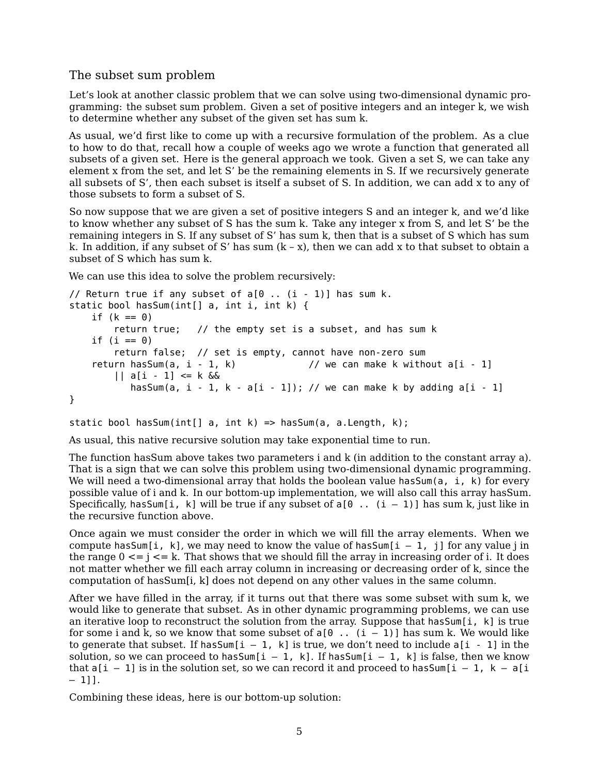## The subset sum problem

Let's look at another classic problem that we can solve using two-dimensional dynamic programming: the subset sum problem. Given a set of positive integers and an integer k, we wish to determine whether any subset of the given set has sum k.

As usual, we'd first like to come up with a recursive formulation of the problem. As a clue to how to do that, recall how a couple of weeks ago we wrote a function that generated all subsets of a given set. Here is the general approach we took. Given a set S, we can take any element x from the set, and let S' be the remaining elements in S. If we recursively generate all subsets of S', then each subset is itself a subset of S. In addition, we can add x to any of those subsets to form a subset of S.

So now suppose that we are given a set of positive integers S and an integer k, and we'd like to know whether any subset of S has the sum k. Take any integer x from S, and let S' be the remaining integers in S. If any subset of S' has sum k, then that is a subset of S which has sum k. In addition, if any subset of S' has sum  $(k - x)$ , then we can add x to that subset to obtain a subset of S which has sum k.

We can use this idea to solve the problem recursively:

```
// Return true if any subset of a[0... (i - 1)] has sum k.
static bool hasSum(int[] a, int i, int k) {
    if (k == 0)return true; // the empty set is a subset, and has sum k
    if (i == 0)return false; // set is empty, cannot have non-zero sum<br>return hasSum(a, i - 1, k) // we can make k without
                                                // we can make k without a[i - 1]|| a[i - 1] <= k &&
            hasSum(a, i - 1, k - a[i - 1]); // we can make k by adding a[i - 1]
}
```
static bool hasSum(int[] a, int k) => hasSum(a, a.Length, k);

As usual, this native recursive solution may take exponential time to run.

The function hasSum above takes two parameters i and k (in addition to the constant array a). That is a sign that we can solve this problem using two-dimensional dynamic programming. We will need a two-dimensional array that holds the boolean value has Sum(a,  $i$ , k) for every possible value of i and k. In our bottom-up implementation, we will also call this array hasSum. Specifically, has Sum [i, k] will be true if any subset of  $a[0 \ldots (i - 1)]$  has sum k, just like in the recursive function above.

Once again we must consider the order in which we will fill the array elements. When we compute has Sum [i, k], we may need to know the value of has Sum [i - 1, j] for any value j in the range  $0 \le j \le k$ . That shows that we should fill the array in increasing order of i. It does not matter whether we fill each array column in increasing or decreasing order of k, since the computation of hasSum[i, k] does not depend on any other values in the same column.

After we have filled in the array, if it turns out that there was some subset with sum k, we would like to generate that subset. As in other dynamic programming problems, we can use an iterative loop to reconstruct the solution from the array. Suppose that has Sum[i, k] is true for some i and k, so we know that some subset of  $a[0 \dots (i - 1)]$  has sum k. We would like to generate that subset. If has Sum  $[i - 1, k]$  is true, we don't need to include  $a[i - 1]$  in the solution, so we can proceed to has Sum[i - 1, k]. If has Sum[i - 1, k] is false, then we know that  $a[i - 1]$  is in the solution set, so we can record it and proceed to has  $Sum[i - 1, k - a[i]$  $-1$ ]].

Combining these ideas, here is our bottom-up solution: